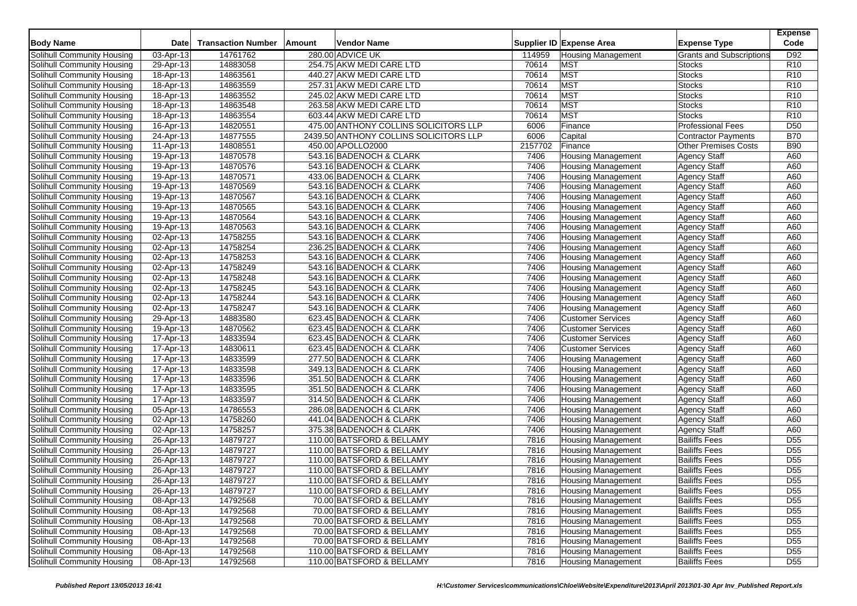| <b>Body Name</b>                  | Date                    | <b>Transaction Number</b> | Amount | Vendor Name                            |         | Supplier ID Expense Area  | <b>Expense Type</b>             | <b>Expense</b><br>Code |
|-----------------------------------|-------------------------|---------------------------|--------|----------------------------------------|---------|---------------------------|---------------------------------|------------------------|
| Solihull Community Housing        | 03-Apr-13               | 14761762                  |        | 280.00 ADVICE UK                       | 114959  | <b>Housing Management</b> | <b>Grants and Subscriptions</b> | D92                    |
| Solihull Community Housing        | 29-Apr- $\overline{13}$ | 14883058                  |        | 254.75 AKW MEDI CARE LTD               | 70614   | <b>MST</b>                | <b>Stocks</b>                   | R <sub>10</sub>        |
| Solihull Community Housing        | 18-Apr-13               | 14863561                  |        | 440.27 AKW MEDI CARE LTD               | 70614   | <b>MST</b>                | <b>Stocks</b>                   | R <sub>10</sub>        |
| Solihull Community Housing        | 18-Apr-13               | 14863559                  |        | 257.31 AKW MEDI CARE LTD               | 70614   | <b>MST</b>                | Stocks                          | R <sub>10</sub>        |
| Solihull Community Housing        | 18-Apr-13               | 14863552                  |        | 245.02 AKW MEDI CARE LTD               | 70614   | <b>MST</b>                | <b>Stocks</b>                   | R <sub>10</sub>        |
| Solihull Community Housing        | 18-Apr-13               | 14863548                  |        | 263.58 AKW MEDI CARE LTD               | 70614   | <b>MST</b>                | <b>Stocks</b>                   | R <sub>10</sub>        |
| Solihull Community Housing        | 18-Apr-13               | 14863554                  |        | 603.44 AKW MEDI CARE LTD               | 70614   | <b>MST</b>                | <b>Stocks</b>                   | R <sub>10</sub>        |
| Solihull Community Housing        | 16-Apr-13               | 14820551                  |        | 475.00 ANTHONY COLLINS SOLICITORS LLP  | 6006    | Finance                   | <b>Professional Fees</b>        | D <sub>50</sub>        |
| Solihull Community Housing        | 24-Apr-13               | 14877555                  |        | 2439.50 ANTHONY COLLINS SOLICITORS LLP | 6006    | Capital                   | Contractor Payments             | <b>B70</b>             |
| Solihull Community Housing        | 11-Apr-13               | 14808551                  |        | 450.00 APOLLO2000                      | 2157702 | Finance                   | <b>Other Premises Costs</b>     | <b>B90</b>             |
| Solihull Community Housing        | 19-Apr-13               | 14870578                  |        | 543.16 BADENOCH & CLARK                | 7406    | <b>Housing Management</b> | <b>Agency Staff</b>             | A60                    |
| Solihull Community Housing        | 19-Apr-13               | 14870576                  |        | 543.16 BADENOCH & CLARK                | 7406    | <b>Housing Management</b> | <b>Agency Staff</b>             | A60                    |
| Solihull Community Housing        | 19-Apr-13               | 14870571                  |        | 433.06 BADENOCH & CLARK                | 7406    | <b>Housing Management</b> | <b>Agency Staff</b>             | A60                    |
| Solihull Community Housing        | 19-Apr-13               | 14870569                  |        | 543.16 BADENOCH & CLARK                | 7406    | <b>Housing Management</b> | <b>Agency Staff</b>             | A60                    |
| <b>Solihull Community Housing</b> | 19-Apr-13               | 14870567                  |        | 543.16 BADENOCH & CLARK                | 7406    | <b>Housing Management</b> | <b>Agency Staff</b>             | A60                    |
| Solihull Community Housing        | 19-Apr-13               | 14870565                  |        | 543.16 BADENOCH & CLARK                | 7406    | Housing Management        | <b>Agency Staff</b>             | A60                    |
| Solihull Community Housing        | 19-Apr-13               | 14870564                  |        | 543.16 BADENOCH & CLARK                | 7406    | <b>Housing Management</b> | <b>Agency Staff</b>             | A60                    |
| Solihull Community Housing        | 19-Apr-13               | 14870563                  |        | 543.16 BADENOCH & CLARK                | 7406    | <b>Housing Management</b> | <b>Agency Staff</b>             | A60                    |
| Solihull Community Housing        | 02-Apr-13               | 14758255                  |        | 543.16 BADENOCH & CLARK                | 7406    | <b>Housing Management</b> | <b>Agency Staff</b>             | A60                    |
| Solihull Community Housing        | 02-Apr-13               | 14758254                  |        | 236.25 BADENOCH & CLARK                | 7406    | <b>Housing Management</b> | <b>Agency Staff</b>             | A60                    |
| Solihull Community Housing        | 02-Apr-13               | 14758253                  |        | 543.16 BADENOCH & CLARK                | 7406    | <b>Housing Management</b> | <b>Agency Staff</b>             | A60                    |
| Solihull Community Housing        | 02-Apr-13               | 14758249                  |        | 543.16 BADENOCH & CLARK                | 7406    | <b>Housing Management</b> | <b>Agency Staff</b>             | A60                    |
| Solihull Community Housing        | 02-Apr-13               | 14758248                  |        | 543.16 BADENOCH & CLARK                | 7406    | <b>Housing Management</b> | <b>Agency Staff</b>             | A60                    |
| Solihull Community Housing        | 02-Apr-13               | 14758245                  |        | 543.16 BADENOCH & CLARK                | 7406    | <b>Housing Management</b> | <b>Agency Staff</b>             | A60                    |
| Solihull Community Housing        | 02-Apr-13               | 14758244                  |        | 543.16 BADENOCH & CLARK                | 7406    | <b>Housing Management</b> | <b>Agency Staff</b>             | A60                    |
| Solihull Community Housing        | 02-Apr-13               | 14758247                  |        | 543.16 BADENOCH & CLARK                | 7406    | <b>Housing Management</b> | <b>Agency Staff</b>             | A60                    |
| Solihull Community Housing        | 29-Apr-13               | 14883580                  |        | 623.45 BADENOCH & CLARK                | 7406    | <b>Customer Services</b>  | <b>Agency Staff</b>             | A60                    |
| Solihull Community Housing        | 19-Apr-13               | 14870562                  |        | 623.45 BADENOCH & CLARK                | 7406    | <b>Customer Services</b>  | <b>Agency Staff</b>             | A60                    |
| <b>Solihull Community Housing</b> | 17-Apr-13               | 14833594                  |        | 623.45 BADENOCH & CLARK                | 7406    | <b>Customer Services</b>  | <b>Agency Staff</b>             | A60                    |
| Solihull Community Housing        | 17-Apr-13               | 14830611                  |        | 623.45 BADENOCH & CLARK                | 7406    | <b>Customer Services</b>  | <b>Agency Staff</b>             | A60                    |
| Solihull Community Housing        | 17-Apr-13               | 14833599                  |        | 277.50 BADENOCH & CLARK                | 7406    | <b>Housing Management</b> | <b>Agency Staff</b>             | A60                    |
| Solihull Community Housing        | 17-Apr-13               | 14833598                  |        | 349.13 BADENOCH & CLARK                | 7406    | <b>Housing Management</b> | <b>Agency Staff</b>             | A60                    |
| Solihull Community Housing        | 17-Apr-13               | 14833596                  |        | 351.50 BADENOCH & CLARK                | 7406    | <b>Housing Management</b> | <b>Agency Staff</b>             | A60                    |
| Solihull Community Housing        | 17-Apr-13               | 14833595                  |        | 351.50 BADENOCH & CLARK                | 7406    | <b>Housing Management</b> | Agency Staff                    | A60                    |
| Solihull Community Housing        | 17-Apr-13               | 14833597                  |        | 314.50 BADENOCH & CLARK                | 7406    | <b>Housing Management</b> | <b>Agency Staff</b>             | A60                    |
| <b>Solihull Community Housing</b> | 05-Apr-13               | 14786553                  |        | 286.08 BADENOCH & CLARK                | 7406    | <b>Housing Management</b> | <b>Agency Staff</b>             | A60                    |
| Solihull Community Housing        | 02-Apr-13               | 14758260                  |        | 441.04 BADENOCH & CLARK                | 7406    | <b>Housing Management</b> | Agency Staff                    | A60                    |
| Solihull Community Housing        | 02-Apr-13               | 14758257                  |        | 375.38 BADENOCH & CLARK                | 7406    | <b>Housing Management</b> | <b>Agency Staff</b>             | A60                    |
| Solihull Community Housing        | 26-Apr-13               | 14879727                  |        | 110.00 BATSFORD & BELLAMY              | 7816    | <b>Housing Management</b> | <b>Bailiffs Fees</b>            | D <sub>55</sub>        |
| Solihull Community Housing        | 26-Apr-13               | 14879727                  |        | 110.00 BATSFORD & BELLAMY              | 7816    | <b>Housing Management</b> | <b>Bailiffs Fees</b>            | D <sub>55</sub>        |
| Solihull Community Housing        | 26-Apr-13               | 14879727                  |        | 110.00 BATSFORD & BELLAMY              | 7816    | <b>Housing Management</b> | <b>Bailiffs Fees</b>            | $\overline{D55}$       |
| Solihull Community Housing        | 26-Apr-13               | 14879727                  |        | 110.00 BATSFORD & BELLAMY              | 7816    | <b>Housing Management</b> | <b>Bailiffs Fees</b>            | $\overline{D55}$       |
| Solihull Community Housing        | 26-Apr-13               | 14879727                  |        | 110.00 BATSFORD & BELLAMY              | 7816    | <b>Housing Management</b> | <b>Bailiffs Fees</b>            | D <sub>55</sub>        |
| Solihull Community Housing        | 26-Apr-13               | 14879727                  |        | 110.00 BATSFORD & BELLAMY              | 7816    | <b>Housing Management</b> | <b>Bailiffs Fees</b>            | D <sub>55</sub>        |
| Solihull Community Housing        | 08-Apr-13               | 14792568                  |        | 70.00 BATSFORD & BELLAMY               | 7816    | <b>Housing Management</b> | <b>Bailiffs Fees</b>            | D <sub>55</sub>        |
| Solihull Community Housing        | 08-Apr-13               | 14792568                  |        | 70.00 BATSFORD & BELLAMY               | 7816    | <b>Housing Management</b> | <b>Bailiffs Fees</b>            | D <sub>55</sub>        |
| Solihull Community Housing        | 08-Apr-13               | 14792568                  |        | 70.00 BATSFORD & BELLAMY               | 7816    | <b>Housing Management</b> | <b>Bailiffs Fees</b>            | D <sub>55</sub>        |
| Solihull Community Housing        | 08-Apr-13               | 14792568                  |        | 70.00 BATSFORD & BELLAMY               | 7816    | <b>Housing Management</b> | <b>Bailiffs Fees</b>            | D <sub>55</sub>        |
| Solihull Community Housing        | 08-Apr-13               | 14792568                  |        | 70.00 BATSFORD & BELLAMY               | 7816    | <b>Housing Management</b> | <b>Bailiffs Fees</b>            | D <sub>55</sub>        |
| Solihull Community Housing        | 08-Apr-13               | 14792568                  |        | 110.00 BATSFORD & BELLAMY              | 7816    | <b>Housing Management</b> | <b>Bailiffs Fees</b>            | D <sub>55</sub>        |
| Solihull Community Housing        | 08-Apr-13               | 14792568                  |        | 110.00 BATSFORD & BELLAMY              | 7816    | <b>Housing Management</b> | <b>Bailiffs Fees</b>            | D <sub>55</sub>        |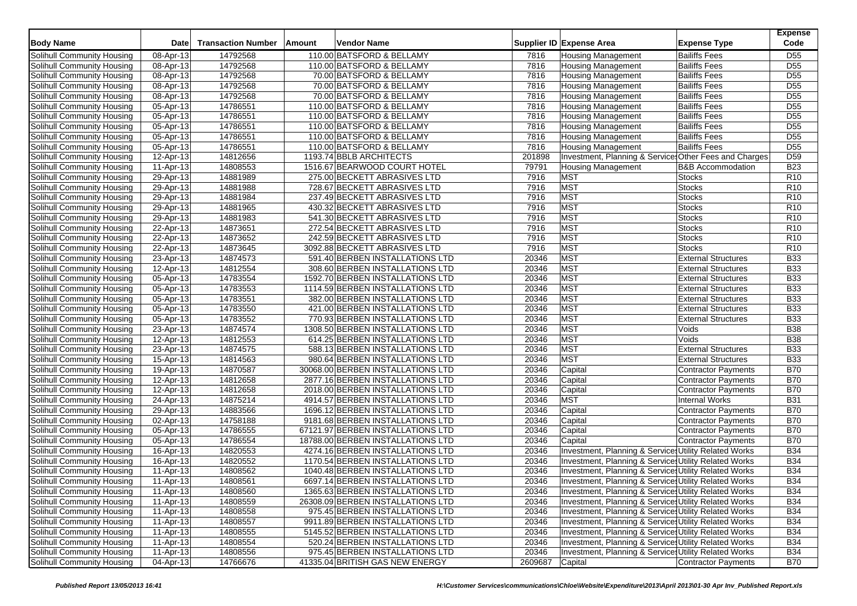| <b>Body Name</b>           | <b>Date</b>  | <b>Transaction Number</b> | Amount | <b>Vendor Name</b>                |         | Supplier ID Expense Area                               | <b>Expense Type</b>          | <b>Expense</b><br>Code |
|----------------------------|--------------|---------------------------|--------|-----------------------------------|---------|--------------------------------------------------------|------------------------------|------------------------|
| Solihull Community Housing | 08-Apr-13    | 14792568                  |        | 110.00 BATSFORD & BELLAMY         | 7816    | <b>Housing Management</b>                              | <b>Bailiffs Fees</b>         | D <sub>55</sub>        |
| Solihull Community Housing | 08-Apr-13    | 14792568                  |        | 110.00 BATSFORD & BELLAMY         | 7816    | <b>Housing Management</b>                              | <b>Bailiffs Fees</b>         | D <sub>55</sub>        |
| Solihull Community Housing | 08-Apr-13    | 14792568                  |        | 70.00 BATSFORD & BELLAMY          | 7816    | <b>Housing Management</b>                              | <b>Bailiffs Fees</b>         | D <sub>55</sub>        |
| Solihull Community Housing | 08-Apr-13    | 14792568                  |        | 70.00 BATSFORD & BELLAMY          | 7816    | <b>Housing Management</b>                              | <b>Bailiffs Fees</b>         | D <sub>55</sub>        |
| Solihull Community Housing | 08-Apr-13    | 14792568                  |        | 70.00 BATSFORD & BELLAMY          | 7816    | <b>Housing Management</b>                              | <b>Bailiffs Fees</b>         | D <sub>55</sub>        |
| Solihull Community Housing | 05-Apr-13    | 14786551                  |        | 110.00 BATSFORD & BELLAMY         | 7816    | <b>Housing Management</b>                              | <b>Bailiffs Fees</b>         | D <sub>55</sub>        |
| Solihull Community Housing | 05-Apr-13    | 14786551                  |        | 110.00 BATSFORD & BELLAMY         | 7816    | <b>Housing Management</b>                              | <b>Bailiffs Fees</b>         | D <sub>55</sub>        |
| Solihull Community Housing | 05-Apr-13    | 14786551                  |        | 110.00 BATSFORD & BELLAMY         | 7816    | <b>Housing Management</b>                              | <b>Bailiffs Fees</b>         | D <sub>55</sub>        |
| Solihull Community Housing | 05-Apr-13    | 14786551                  |        | 110.00 BATSFORD & BELLAMY         | 7816    | <b>Housing Management</b>                              | <b>Bailiffs Fees</b>         | D <sub>55</sub>        |
| Solihull Community Housing | 05-Apr-13    | 14786551                  |        | 110.00 BATSFORD & BELLAMY         | 7816    | <b>Housing Management</b>                              | <b>Bailiffs Fees</b>         | D <sub>55</sub>        |
| Solihull Community Housing | 12-Apr-13    | 14812656                  |        | 1193.74 BBLB ARCHITECTS           | 201898  | Investment, Planning & Services Other Fees and Charges |                              | D <sub>59</sub>        |
| Solihull Community Housing | 11-Apr-13    | 14808553                  |        | 1516.67 BEARWOOD COURT HOTEL      | 79791   | <b>Housing Management</b>                              | <b>B&amp;B Accommodation</b> | <b>B23</b>             |
| Solihull Community Housing | 29-Apr-13    | 14881989                  |        | 275.00 BECKETT ABRASIVES LTD      | 7916    | <b>MST</b>                                             | <b>Stocks</b>                | R <sub>10</sub>        |
| Solihull Community Housing | 29-Apr-13    | 14881988                  |        | 728.67 BECKETT ABRASIVES LTD      | 7916    | <b>MST</b>                                             | <b>Stocks</b>                | R <sub>10</sub>        |
| Solihull Community Housing | 29-Apr-13    | 14881984                  |        | 237.49 BECKETT ABRASIVES LTD      | 7916    | <b>MST</b>                                             | <b>Stocks</b>                | R <sub>10</sub>        |
| Solihull Community Housing | 29-Apr-13    | 14881965                  |        | 430.32 BECKETT ABRASIVES LTD      | 7916    | MST                                                    | <b>Stocks</b>                | R10                    |
| Solihull Community Housing | 29-Apr-13    | 14881983                  |        | 541.30 BECKETT ABRASIVES LTD      | 7916    | <b>MST</b>                                             | <b>Stocks</b>                | R <sub>10</sub>        |
| Solihull Community Housing | 22-Apr-13    | 14873651                  |        | 272.54 BECKETT ABRASIVES LTD      | 7916    | <b>MST</b>                                             | <b>Stocks</b>                | R <sub>10</sub>        |
| Solihull Community Housing | 22-Apr-13    | 14873652                  |        | 242.59 BECKETT ABRASIVES LTD      | 7916    | <b>MST</b>                                             | <b>Stocks</b>                | R10                    |
| Solihull Community Housing | 22-Apr-13    | 14873645                  |        | 3092.88 BECKETT ABRASIVES LTD     | 7916    | <b>MST</b>                                             | <b>Stocks</b>                | R <sub>10</sub>        |
| Solihull Community Housing | 23-Apr-13    | 14874573                  |        | 591.40 BERBEN INSTALLATIONS LTD   | 20346   | <b>MST</b>                                             | <b>External Structures</b>   | <b>B33</b>             |
| Solihull Community Housing | 12-Apr-13    | 14812554                  |        | 308.60 BERBEN INSTALLATIONS LTD   | 20346   | <b>MST</b>                                             | <b>External Structures</b>   | <b>B33</b>             |
| Solihull Community Housing | 05-Apr-13    | 14783554                  |        | 1592.70 BERBEN INSTALLATIONS LTD  | 20346   | <b>MST</b>                                             | <b>External Structures</b>   | <b>B33</b>             |
| Solihull Community Housing | 05-Apr-13    | 14783553                  |        | 1114.59 BERBEN INSTALLATIONS LTD  | 20346   | <b>MST</b>                                             | <b>External Structures</b>   | <b>B33</b>             |
| Solihull Community Housing | 05-Apr-13    | 14783551                  |        | 382.00 BERBEN INSTALLATIONS LTD   | 20346   | <b>MST</b>                                             | <b>External Structures</b>   | <b>B33</b>             |
| Solihull Community Housing | 05-Apr-13    | 14783550                  |        | 421.00 BERBEN INSTALLATIONS LTD   | 20346   | MST                                                    | <b>External Structures</b>   | <b>B33</b>             |
| Solihull Community Housing | 05-Apr-13    | 14783552                  |        | 770.93 BERBEN INSTALLATIONS LTD   | 20346   | <b>MST</b>                                             | <b>External Structures</b>   | <b>B33</b>             |
| Solihull Community Housing | 23-Apr-13    | 14874574                  |        | 1308.50 BERBEN INSTALLATIONS LTD  | 20346   | <b>MST</b>                                             | Voids                        | <b>B</b> 38            |
| Solihull Community Housing | 12-Apr-13    | 14812553                  |        | 614.25 BERBEN INSTALLATIONS LTD   | 20346   | <b>MST</b>                                             | Voids                        | <b>B38</b>             |
| Solihull Community Housing | 23-Apr-13    | 14874575                  |        | 588.13 BERBEN INSTALLATIONS LTD   | 20346   | <b>MST</b>                                             | <b>External Structures</b>   | <b>B33</b>             |
| Solihull Community Housing | 15-Apr-13    | 14814563                  |        | 980.64 BERBEN INSTALLATIONS LTD   | 20346   | <b>MST</b>                                             | <b>External Structures</b>   | <b>B33</b>             |
| Solihull Community Housing | 19-Apr-13    | 14870587                  |        | 30068.00 BERBEN INSTALLATIONS LTD | 20346   | Capital                                                | <b>Contractor Payments</b>   | <b>B70</b>             |
| Solihull Community Housing | 12-Apr-13    | 14812658                  |        | 2877.16 BERBEN INSTALLATIONS LTD  | 20346   | Capital                                                | Contractor Payments          | <b>B70</b>             |
| Solihull Community Housing | 12-Apr-13    | 14812658                  |        | 2018.00 BERBEN INSTALLATIONS LTD  | 20346   | Capital                                                | Contractor Payments          | <b>B70</b>             |
| Solihull Community Housing | 24-Apr-13    | 14875214                  |        | 4914.57 BERBEN INSTALLATIONS LTD  | 20346   | <b>MST</b>                                             | <b>Internal Works</b>        | <b>B31</b>             |
| Solihull Community Housing | 29-Apr-13    | 14883566                  |        | 1696.12 BERBEN INSTALLATIONS LTD  | 20346   | Capital                                                | <b>Contractor Payments</b>   | <b>B70</b>             |
| Solihull Community Housing | 02-Apr-13    | 14758188                  |        | 9181.68 BERBEN INSTALLATIONS LTD  | 20346   | Capital                                                | <b>Contractor Payments</b>   | <b>B70</b>             |
| Solihull Community Housing | 05-Apr-13    | 14786555                  |        | 67121.97 BERBEN INSTALLATIONS LTD | 20346   | Capital                                                | <b>Contractor Payments</b>   | <b>B70</b>             |
| Solihull Community Housing | 05-Apr-13    | 14786554                  |        | 18788.00 BERBEN INSTALLATIONS LTD | 20346   | Capital                                                | <b>Contractor Payments</b>   | <b>B70</b>             |
| Solihull Community Housing | 16-Apr-13    | 14820553                  |        | 4274.16 BERBEN INSTALLATIONS LTD  | 20346   | Investment, Planning & Services Utility Related Works  |                              | <b>B34</b>             |
| Solihull Community Housing | 16-Apr-13    | 14820552                  |        | 1170.54 BERBEN INSTALLATIONS LTD  | 20346   | Investment, Planning & Services Utility Related Works  |                              | <b>B34</b>             |
| Solihull Community Housing | 11-Apr-13    | 14808562                  |        | 1040.48 BERBEN INSTALLATIONS LTD  | 20346   | Investment, Planning & Services Utility Related Works  |                              | <b>B34</b>             |
| Solihull Community Housing | 11-Apr-13    | 14808561                  |        | 6697.14 BERBEN INSTALLATIONS LTD  | 20346   | Investment, Planning & Services Utility Related Works  |                              | <b>B34</b>             |
| Solihull Community Housing | 11-Apr-13    | 14808560                  |        | 1365.63 BERBEN INSTALLATIONS LTD  | 20346   | Investment, Planning & Services Utility Related Works  |                              | <b>B34</b>             |
| Solihull Community Housing | 11-Apr-13    | 14808559                  |        | 26308.09 BERBEN INSTALLATIONS LTD | 20346   | Investment, Planning & Services Utility Related Works  |                              | <b>B34</b>             |
| Solihull Community Housing | $11$ -Apr-13 | 14808558                  |        | 975.45 BERBEN INSTALLATIONS LTD   | 20346   | Investment, Planning & Services Utility Related Works  |                              | <b>B34</b>             |
| Solihull Community Housing | 11-Apr-13    | 14808557                  |        | 9911.89 BERBEN INSTALLATIONS LTD  | 20346   | Investment, Planning & Services Utility Related Works  |                              | <b>B34</b>             |
| Solihull Community Housing | 11-Apr-13    | 14808555                  |        | 5145.52 BERBEN INSTALLATIONS LTD  | 20346   | Investment, Planning & Services Utility Related Works  |                              | <b>B34</b>             |
| Solihull Community Housing | 11-Apr-13    | 14808554                  |        | 520.24 BERBEN INSTALLATIONS LTD   | 20346   | Investment, Planning & Services Utility Related Works  |                              | <b>B34</b>             |
| Solihull Community Housing | 11-Apr-13    | 14808556                  |        | 975.45 BERBEN INSTALLATIONS LTD   | 20346   | Investment, Planning & Services Utility Related Works  |                              | <b>B34</b>             |
| Solihull Community Housing | 04-Apr-13    | 14766676                  |        | 41335.04 BRITISH GAS NEW ENERGY   | 2609687 | Capital                                                | Contractor Payments          | <b>B70</b>             |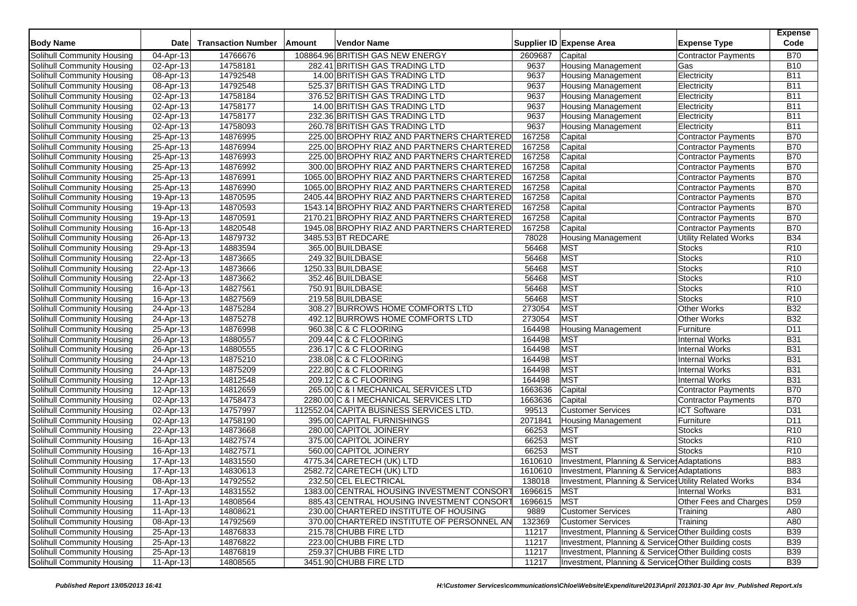| <b>Body Name</b>                  | <b>Date</b>             | <b>Transaction Number</b> | Amount | Vendor Name                                |             | <b>Supplier ID Expense Area</b>                       | <b>Expense Type</b>                      | <b>Expense</b><br>Code   |
|-----------------------------------|-------------------------|---------------------------|--------|--------------------------------------------|-------------|-------------------------------------------------------|------------------------------------------|--------------------------|
| Solihull Community Housing        | 04-Apr-13               | 14766676                  |        | 108864.96 BRITISH GAS NEW ENERGY           | 2609687     | Capital                                               | Contractor Payments                      | <b>B70</b>               |
| Solihull Community Housing        | 02-Apr-13               | 14758181                  |        | 282.41 BRITISH GAS TRADING LTD             | 9637        | <b>Housing Management</b>                             | Gas                                      | <b>B10</b>               |
| Solihull Community Housing        | 08-Apr-13               | 14792548                  |        | 14.00 BRITISH GAS TRADING LTD              | 9637        | <b>Housing Management</b>                             | Electricity                              | <b>B11</b>               |
| Solihull Community Housing        | 08-Apr-13               | 14792548                  |        | 525.37 BRITISH GAS TRADING LTD             | 9637        | <b>Housing Management</b>                             | Electricity                              | <b>B11</b>               |
| Solihull Community Housing        | 02-Apr-13               | 14758184                  |        | 376.52 BRITISH GAS TRADING LTD             | 9637        | <b>Housing Management</b>                             | Electricity                              | <b>B11</b>               |
| Solihull Community Housing        | 02-Apr-13               | 14758177                  |        | 14.00 BRITISH GAS TRADING LTD              | 9637        | <b>Housing Management</b>                             | Electricity                              | <b>B11</b>               |
| Solihull Community Housing        | 02-Apr-13               | 14758177                  |        | 232.36 BRITISH GAS TRADING LTD             | 9637        | <b>Housing Management</b>                             | Electricity                              | <b>B11</b>               |
| Solihull Community Housing        | 02-Apr-13               | 14758093                  |        | 260.78 BRITISH GAS TRADING LTD             | 9637        | <b>Housing Management</b>                             | Electricity                              | <b>B11</b>               |
| Solihull Community Housing        | 25-Apr-13               | 14876995                  |        | 225.00 BROPHY RIAZ AND PARTNERS CHARTERED  | 167258      | Capital                                               | Contractor Payments                      | <b>B70</b>               |
| Solihull Community Housing        | 25-Apr-13               | 14876994                  |        | 225.00 BROPHY RIAZ AND PARTNERS CHARTERED  | 167258      | Capital                                               | Contractor Payments                      | <b>B70</b>               |
| Solihull Community Housing        | 25-Apr-13               | 14876993                  |        | 225.00 BROPHY RIAZ AND PARTNERS CHARTERED  | 167258      | Capital                                               | Contractor Payments                      | <b>B70</b>               |
| Solihull Community Housing        | 25-Apr-13               | 14876992                  |        | 300.00 BROPHY RIAZ AND PARTNERS CHARTERED  | 167258      | Capital                                               | Contractor Payments                      | <b>B70</b>               |
| Solihull Community Housing        | 25-Apr-13               | 14876991                  |        | 1065.00 BROPHY RIAZ AND PARTNERS CHARTERED | 167258      | Capital                                               | <b>Contractor Payments</b>               | <b>B70</b>               |
| Solihull Community Housing        | 25-Apr-13               | 14876990                  |        | 1065.00 BROPHY RIAZ AND PARTNERS CHARTERED | 167258      | Capital                                               | <b>Contractor Payments</b>               | <b>B70</b>               |
| Solihull Community Housing        | 19-Apr-13               | 14870595                  |        | 2405.44 BROPHY RIAZ AND PARTNERS CHARTERED | 167258      | Capital                                               | Contractor Payments                      | <b>B70</b>               |
| Solihull Community Housing        | 19-Apr-13               | 14870593                  |        | 1543.14 BROPHY RIAZ AND PARTNERS CHARTERED | 167258      | Capital                                               | <b>Contractor Payments</b>               | <b>B70</b>               |
| Solihull Community Housing        | 19-Apr-13               | 14870591                  |        | 2170.21 BROPHY RIAZ AND PARTNERS CHARTERED | 167258      | Capital                                               | Contractor Payments                      | <b>B70</b>               |
| Solihull Community Housing        | 16-Apr-13               | 14820548                  |        | 1945.08 BROPHY RIAZ AND PARTNERS CHARTERED | 167258      | Capital                                               | <b>Contractor Payments</b>               | <b>B70</b>               |
| Solihull Community Housing        | 26-Apr-13               | 14879732                  |        | 3485.53 BT REDCARE                         | 78028       | <b>Housing Management</b>                             | <b>Utility Related Works</b>             | <b>B34</b>               |
| Solihull Community Housing        | 29-Apr-13               | 14883594                  |        | 365.00 BUILDBASE                           | 56468       | <b>MST</b>                                            | <b>Stocks</b>                            | R <sub>10</sub>          |
| Solihull Community Housing        | 22-Apr-13               | 14873665                  |        | 249.32 BUILDBASE                           | 56468       | MST                                                   | <b>Stocks</b>                            | R <sub>10</sub>          |
| Solihull Community Housing        | $\overline{22}$ -Apr-13 | 14873666                  |        | 1250.33 BUILDBASE                          | 56468       | <b>MST</b>                                            | Stocks                                   | R <sub>10</sub>          |
| Solihull Community Housing        | 22-Apr-13               | 14873662                  |        | 352.46 BUILDBASE                           | 56468       | MST                                                   | Stocks                                   | R <sub>10</sub>          |
|                                   |                         |                           |        | 750.91 BUILDBASE                           | 56468       | MST                                                   | <b>Stocks</b>                            | R10                      |
| Solihull Community Housing        | 16-Apr-13               | 14827561                  |        |                                            | 56468       | <b>MST</b>                                            | <b>Stocks</b>                            |                          |
| Solihull Community Housing        | 16-Apr-13               | 14827569                  |        | 219.58 BUILDBASE                           |             |                                                       |                                          | R <sub>10</sub>          |
| Solihull Community Housing        | 24-Apr-13               | 14875284                  |        | 308.27 BURROWS HOME COMFORTS LTD           | 273054      | MST<br><b>MST</b>                                     | <b>Other Works</b><br><b>Other Works</b> | <b>B32</b><br><b>B32</b> |
| Solihull Community Housing        | 24-Apr-13               | 14875278                  |        | 492.12 BURROWS HOME COMFORTS LTD           | 273054      |                                                       |                                          |                          |
| Solihull Community Housing        | 25-Apr-13               | 14876998                  |        | 960.38 C & C FLOORING                      | 164498      | <b>Housing Management</b>                             | Furniture                                | D <sub>11</sub>          |
| Solihull Community Housing        | 26-Apr-13               | 14880557                  |        | 209.44 C & C FLOORING                      | 164498      | <b>MST</b>                                            | <b>Internal Works</b>                    | <b>B31</b>               |
| Solihull Community Housing        | 26-Apr-13               | 14880555                  |        | 236.17 C & C FLOORING                      | 164498      | MST                                                   | <b>Internal Works</b>                    | <b>B31</b>               |
| Solihull Community Housing        | 24-Apr-13               | 14875210                  |        | 238.08 C & C FLOORING                      | 164498      | MST                                                   | <b>Internal Works</b>                    | <b>B31</b>               |
| Solihull Community Housing        | 24-Apr-13               | 14875209                  |        | 222.80 C & C FLOORING                      | 164498      | <b>MST</b>                                            | <b>Internal Works</b>                    | <b>B31</b>               |
| Solihull Community Housing        | 12-Apr-13               | 14812548                  |        | 209.12 C & C FLOORING                      | 164498      | <b>MST</b>                                            | <b>Internal Works</b>                    | <b>B31</b>               |
| Solihull Community Housing        | 12-Apr-13               | 14812659                  |        | 265.00 C & I MECHANICAL SERVICES LTD       | 1663636     | Capital                                               | <b>Contractor Payments</b>               | <b>B70</b>               |
| Solihull Community Housing        | 02-Apr-13               | 14758473                  |        | 2280.00 C & I MECHANICAL SERVICES LTD      | 1663636     | Capital                                               | <b>Contractor Payments</b>               | <b>B70</b>               |
| <b>Solihull Community Housing</b> | 02-Apr-13               | 14757997                  |        | 112552.04 CAPITA BUSINESS SERVICES LTD.    | 99513       | <b>Customer Services</b>                              | <b>ICT Software</b>                      | D31                      |
| Solihull Community Housing        | 02-Apr-13               | 14758190                  |        | 395.00 CAPITAL FURNISHINGS                 | 2071841     | <b>Housing Management</b>                             | Furniture                                | D <sub>11</sub>          |
| Solihull Community Housing        | 22-Apr-13               | 14873668                  |        | 280.00 CAPITOL JOINERY                     | 66253       | <b>MST</b>                                            | <b>Stocks</b>                            | R <sub>10</sub>          |
| Solihull Community Housing        | 16-Apr-13               | 14827574                  |        | 375.00 CAPITOL JOINERY                     | 66253       | <b>MST</b>                                            | <b>Stocks</b>                            | R <sub>10</sub>          |
| Solihull Community Housing        | 16-Apr-13               | 14827571                  |        | 560.00 CAPITOL JOINERY                     | 66253       | <b>MST</b>                                            | <b>Stocks</b>                            | R <sub>10</sub>          |
| Solihull Community Housing        | 17-Apr-13               | 14831550                  |        | 4775.34 CARETECH (UK) LTD                  | 1610610     | Investment, Planning & Service: Adaptations           |                                          | <b>B83</b>               |
| Solihull Community Housing        | 17-Apr-13               | 14830613                  |        | 2582.72 CARETECH (UK) LTD                  | 1610610     | Investment, Planning & Services Adaptations           |                                          | <b>B83</b>               |
| Solihull Community Housing        | 08-Apr-13               | 14792552                  |        | 232.50 CEL ELECTRICAL                      | 138018      | Investment, Planning & Services Utility Related Works |                                          | <b>B34</b>               |
| Solihull Community Housing        | 17-Apr-13               | 14831552                  |        | 1383.00 CENTRAL HOUSING INVESTMENT CONSORT | 1696615 MST |                                                       | <b>Internal Works</b>                    | <b>B31</b>               |
| Solihull Community Housing        | 11-Apr-13               | 14808564                  |        | 885.43 CENTRAL HOUSING INVESTMENT CONSORT  | 1696615     | MST                                                   | Other Fees and Charges                   | D <sub>59</sub>          |
| Solihull Community Housing        | $11-Apr-13$             | 14808621                  |        | 230.00 CHARTERED INSTITUTE OF HOUSING      | 9889        | <b>Customer Services</b>                              | Training                                 | A80                      |
| Solihull Community Housing        | 08-Apr-13               | 14792569                  |        | 370.00 CHARTERED INSTITUTE OF PERSONNEL AN | 132369      | <b>Customer Services</b>                              | Training                                 | A80                      |
| Solihull Community Housing        | 25-Apr-13               | 14876833                  |        | 215.78 CHUBB FIRE LTD                      | 11217       | Investment, Planning & Services Other Building costs  |                                          | <b>B39</b>               |
| Solihull Community Housing        | 25-Apr-13               | 14876822                  |        | 223.00 CHUBB FIRE LTD                      | 11217       | Investment, Planning & Service: Other Building costs  |                                          | <b>B39</b>               |
| <b>Solihull Community Housing</b> | 25-Apr-13               | 14876819                  |        | 259.37 CHUBB FIRE LTD                      | 11217       | Investment, Planning & Services Other Building costs  |                                          | <b>B39</b>               |
| Solihull Community Housing        | 11-Apr-13               | 14808565                  |        | 3451.90 CHUBB FIRE LTD                     | 11217       | Investment, Planning & Service: Other Building costs  |                                          | <b>B39</b>               |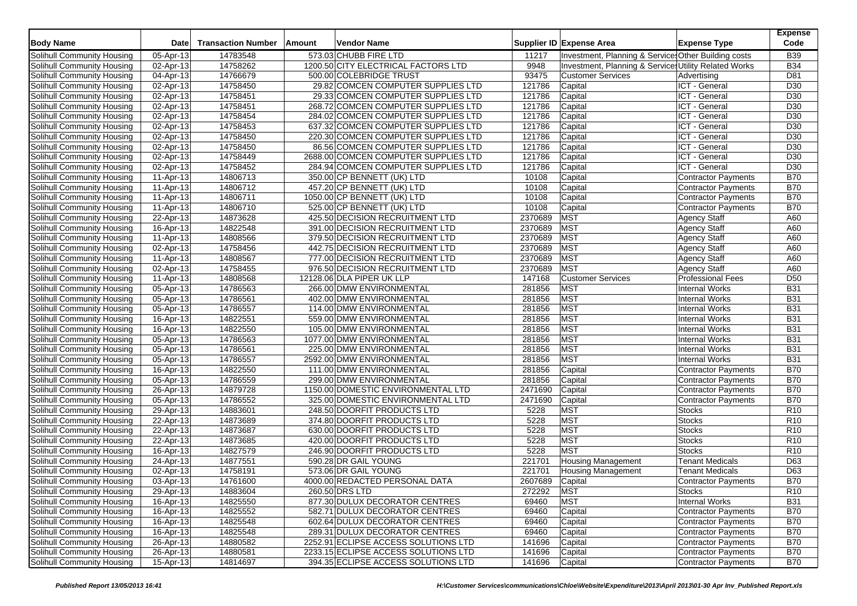| <b>Body Name</b>           | <b>Date</b>             | <b>Transaction Number</b> | Amount | <b>Vendor Name</b>                   |         | Supplier ID Expense Area                              | <b>Expense Type</b>        | <b>Expense</b><br>Code |
|----------------------------|-------------------------|---------------------------|--------|--------------------------------------|---------|-------------------------------------------------------|----------------------------|------------------------|
| Solihull Community Housing | 05-Apr-13               | 14783548                  |        | 573.03 CHUBB FIRE LTD                | 11217   | Investment, Planning & Service Other Building costs   |                            | <b>B39</b>             |
| Solihull Community Housing | 02-Apr-13               | 14758262                  |        | 1200.50 CITY ELECTRICAL FACTORS LTD  | 9948    | Investment, Planning & Services Utility Related Works |                            | <b>B34</b>             |
| Solihull Community Housing | 04-Apr-13               | 14766679                  |        | 500.00 COLEBRIDGE TRUST              | 93475   | <b>Customer Services</b>                              | Advertising                | D81                    |
| Solihull Community Housing | $\overline{02}$ -Apr-13 | 14758450                  |        | 29.82 COMCEN COMPUTER SUPPLIES LTD   | 121786  | Capital                                               | ICT - General              | D30                    |
| Solihull Community Housing | 02-Apr-13               | 14758451                  |        | 29.33 COMCEN COMPUTER SUPPLIES LTD   | 121786  | Capital                                               | ICT - General              | D30                    |
| Solihull Community Housing | 02-Apr-13               | 14758451                  |        | 268.72 COMCEN COMPUTER SUPPLIES LTD  | 121786  | Capital                                               | ICT - General              | D30                    |
| Solihull Community Housing | $\overline{02}$ -Apr-13 | 14758454                  |        | 284.02 COMCEN COMPUTER SUPPLIES LTD  | 121786  | Capital                                               | ICT - General              | D30                    |
| Solihull Community Housing | 02-Apr-13               | 14758453                  |        | 637.32 COMCEN COMPUTER SUPPLIES LTD  | 121786  | Capital                                               | ICT - General              | D <sub>30</sub>        |
| Solihull Community Housing | 02-Apr-13               | 14758450                  |        | 220.30 COMCEN COMPUTER SUPPLIES LTD  | 121786  | Capital                                               | ICT - General              | D30                    |
| Solihull Community Housing | $\overline{02}$ -Apr-13 | 14758450                  |        | 86.56 COMCEN COMPUTER SUPPLIES LTD   | 121786  | Capital                                               | ICT - General              | D30                    |
| Solihull Community Housing | 02-Apr-13               | 14758449                  |        | 2688.00 COMCEN COMPUTER SUPPLIES LTD | 121786  | Capital                                               | ICT - General              | D30                    |
| Solihull Community Housing | 02-Apr-13               | 14758452                  |        | 284.94 COMCEN COMPUTER SUPPLIES LTD  | 121786  | Capital                                               | ICT - General              | D30                    |
| Solihull Community Housing | 11-Apr-13               | 14806713                  |        | 350.00 CP BENNETT (UK) LTD           | 10108   | Capital                                               | Contractor Payments        | <b>B70</b>             |
| Solihull Community Housing | 11-Apr-13               | 14806712                  |        | 457.20 CP BENNETT (UK) LTD           | 10108   | Capital                                               | <b>Contractor Payments</b> | <b>B70</b>             |
| Solihull Community Housing | 11-Apr-13               | 14806711                  |        | 1050.00 CP BENNETT (UK) LTD          | 10108   | Capital                                               | <b>Contractor Payments</b> | <b>B70</b>             |
| Solihull Community Housing | 11-Apr-13               | 14806710                  |        | 525.00 CP BENNETT (UK) LTD           | 10108   | Capital                                               | Contractor Payments        | <b>B70</b>             |
| Solihull Community Housing | 22-Apr-13               | 14873628                  |        | 425.50 DECISION RECRUITMENT LTD      | 2370689 | <b>MST</b>                                            | <b>Agency Staff</b>        | A60                    |
| Solihull Community Housing | 16-Apr-13               | 14822548                  |        | 391.00 DECISION RECRUITMENT LTD      | 2370689 | <b>MST</b>                                            | Agency Staff               | A60                    |
| Solihull Community Housing | 11-Apr-13               | 14808566                  |        | 379.50 DECISION RECRUITMENT LTD      | 2370689 | <b>MST</b>                                            | <b>Agency Staff</b>        | A60                    |
| Solihull Community Housing | 02-Apr-13               | 14758456                  |        | 442.75 DECISION RECRUITMENT LTD      | 2370689 | <b>MST</b>                                            | <b>Agency Staff</b>        | A60                    |
| Solihull Community Housing | 11-Apr-13               | 14808567                  |        | 777.00 DECISION RECRUITMENT LTD      | 2370689 | <b>MST</b>                                            | <b>Agency Staff</b>        | A60                    |
| Solihull Community Housing | 02-Apr-13               | 14758455                  |        | 976.50 DECISION RECRUITMENT LTD      | 2370689 | <b>MST</b>                                            | <b>Agency Staff</b>        | A60                    |
| Solihull Community Housing | 11-Apr-13               | 14808568                  |        | 12128.06 DLA PIPER UK LLP            | 147168  | <b>Customer Services</b>                              | <b>Professional Fees</b>   | D <sub>50</sub>        |
| Solihull Community Housing | 05-Apr-13               | 14786563                  |        | 266.00 DMW ENVIRONMENTAL             | 281856  | <b>MST</b>                                            | <b>Internal Works</b>      | <b>B31</b>             |
| Solihull Community Housing | 05-Apr-13               | 14786561                  |        | 402.00 DMW ENVIRONMENTAL             | 281856  | <b>MST</b>                                            | <b>Internal Works</b>      | <b>B31</b>             |
| Solihull Community Housing | 05-Apr-13               | 14786557                  |        | 114.00 DMW ENVIRONMENTAL             | 281856  | <b>MST</b>                                            | <b>Internal Works</b>      | <b>B31</b>             |
| Solihull Community Housing | 16-Apr-13               | 14822551                  |        | 559.00 DMW ENVIRONMENTAL             | 281856  | <b>MST</b>                                            | <b>Internal Works</b>      | <b>B31</b>             |
| Solihull Community Housing | 16-Apr-13               | 14822550                  |        | 105.00 DMW ENVIRONMENTAL             | 281856  | <b>MST</b>                                            | <b>Internal Works</b>      | <b>B31</b>             |
| Solihull Community Housing | 05-Apr-13               | 14786563                  |        | 1077.00 DMW ENVIRONMENTAL            | 281856  | <b>MST</b>                                            | <b>Internal Works</b>      | <b>B31</b>             |
| Solihull Community Housing | 05-Apr-13               | 14786561                  |        | 225.00 DMW ENVIRONMENTAL             | 281856  | <b>MST</b>                                            | <b>Internal Works</b>      | <b>B31</b>             |
| Solihull Community Housing | 05-Apr-13               | 14786557                  |        | 2592.00 DMW ENVIRONMENTAL            | 281856  | <b>MST</b>                                            | <b>Internal Works</b>      | <b>B31</b>             |
| Solihull Community Housing | 16-Apr-13               | 14822550                  |        | 111.00 DMW ENVIRONMENTAL             | 281856  | Capital                                               | Contractor Payments        | <b>B70</b>             |
| Solihull Community Housing | 05-Apr-13               | 14786559                  |        | 299.00 DMW ENVIRONMENTAL             | 281856  | Capital                                               | <b>Contractor Payments</b> | <b>B70</b>             |
| Solihull Community Housing | 26-Apr-13               | 14879728                  |        | 1150.00 DOMESTIC ENVIRONMENTAL LTD   | 2471690 | Capital                                               | <b>Contractor Payments</b> | <b>B70</b>             |
| Solihull Community Housing | 05-Apr-13               | 14786552                  |        | 325.00 DOMESTIC ENVIRONMENTAL LTD    | 2471690 | Capital                                               | Contractor Payments        | <b>B70</b>             |
| Solihull Community Housing | 29-Apr-13               | 14883601                  |        | 248.50 DOORFIT PRODUCTS LTD          | 5228    | <b>MST</b>                                            | <b>Stocks</b>              | R <sub>10</sub>        |
| Solihull Community Housing | 22-Apr-13               | 14873689                  |        | 374.80 DOORFIT PRODUCTS LTD          | 5228    | <b>MST</b>                                            | <b>Stocks</b>              | R <sub>10</sub>        |
| Solihull Community Housing | 22-Apr-13               | 14873687                  |        | 630.00 DOORFIT PRODUCTS LTD          | 5228    | <b>MST</b>                                            | Stocks                     | R <sub>10</sub>        |
| Solihull Community Housing | 22-Apr-13               | 14873685                  |        | 420.00 DOORFIT PRODUCTS LTD          | 5228    | <b>MST</b>                                            | Stocks                     | R <sub>10</sub>        |
| Solihull Community Housing | 16-Apr-13               | 14827579                  |        | 246.90 DOORFIT PRODUCTS LTD          | 5228    | <b>MST</b>                                            | <b>Stocks</b>              | R <sub>10</sub>        |
| Solihull Community Housing | 24-Apr-13               | 14877551                  |        | 590.28 DR GAIL YOUNG                 | 221701  | <b>Housing Management</b>                             | <b>Tenant Medicals</b>     | D63                    |
| Solihull Community Housing | 02-Apr-13               | 14758191                  |        | 573.06 DR GAIL YOUNG                 | 221701  | <b>Housing Management</b>                             | <b>Tenant Medicals</b>     | D63                    |
| Solihull Community Housing | 03-Apr-13               | 14761600                  |        | 4000.00 REDACTED PERSONAL DATA       | 2607689 | Capital                                               | <b>Contractor Payments</b> | <b>B70</b>             |
| Solihull Community Housing | 29-Apr-13               | 14883604                  |        | 260.50 DRS LTD                       | 272292  | <b>MST</b>                                            | <b>Stocks</b>              | R <sub>10</sub>        |
| Solihull Community Housing | 16-Apr-13               | 14825550                  |        | 877.30 DULUX DECORATOR CENTRES       | 69460   | <b>MST</b>                                            | Internal Works             | <b>B31</b>             |
| Solihull Community Housing | 16-Apr-13               | 14825552                  |        | 582.71 DULUX DECORATOR CENTRES       | 69460   | Capital                                               | <b>Contractor Payments</b> | <b>B70</b>             |
| Solihull Community Housing | 16-Apr-13               | 14825548                  |        | 602.64 DULUX DECORATOR CENTRES       | 69460   | Capital                                               | Contractor Payments        | <b>B70</b>             |
| Solihull Community Housing | 16-Apr-13               | 14825548                  |        | 289.31 DULUX DECORATOR CENTRES       | 69460   | Capital                                               | <b>Contractor Payments</b> | <b>B70</b>             |
| Solihull Community Housing | 26-Apr-13               | 14880582                  |        | 2252.91 ECLIPSE ACCESS SOLUTIONS LTD | 141696  | Capital                                               | <b>Contractor Payments</b> | <b>B70</b>             |
| Solihull Community Housing | 26-Apr-13               | 14880581                  |        | 2233.15 ECLIPSE ACCESS SOLUTIONS LTD | 141696  | Capital                                               | Contractor Payments        | <b>B70</b>             |
| Solihull Community Housing | 15-Apr-13               | 14814697                  |        | 394.35 ECLIPSE ACCESS SOLUTIONS LTD  | 141696  | Capital                                               | Contractor Payments        | <b>B70</b>             |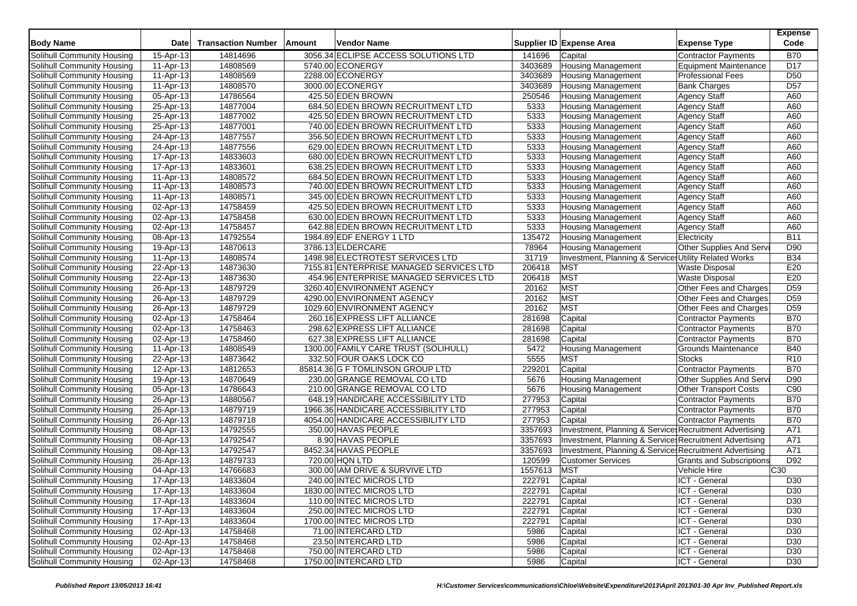| <b>Body Name</b>           | <b>Date</b>             | <b>Transaction Number</b> | Amount | <b>Vendor Name</b>                      |         | Supplier ID Expense Area                                | <b>Expense Type</b>             | <b>Expense</b><br>Code |
|----------------------------|-------------------------|---------------------------|--------|-----------------------------------------|---------|---------------------------------------------------------|---------------------------------|------------------------|
| Solihull Community Housing | 15-Apr-13               | 14814696                  |        | 3056.34 ECLIPSE ACCESS SOLUTIONS LTD    | 141696  | Capital                                                 | Contractor Payments             | <b>B70</b>             |
| Solihull Community Housing | 11-Apr-13               | 14808569                  |        | 5740.00 ECONERGY                        | 3403689 | <b>Housing Management</b>                               | Equipment Maintenance           | D <sub>17</sub>        |
| Solihull Community Housing | 11-Apr-13               | 14808569                  |        | 2288.00 ECONERGY                        | 3403689 | <b>Housing Management</b>                               | <b>Professional Fees</b>        | D <sub>50</sub>        |
| Solihull Community Housing | 11-Apr-13               | 14808570                  |        | 3000.00 ECONERGY                        | 3403689 | <b>Housing Management</b>                               | <b>Bank Charges</b>             | D <sub>57</sub>        |
| Solihull Community Housing | 05-Apr-13               | 14786564                  |        | 425.50 EDEN BROWN                       | 250546  | <b>Housing Management</b>                               | <b>Agency Staff</b>             | A60                    |
| Solihull Community Housing | 25-Apr-13               | 14877004                  |        | 684.50 EDEN BROWN RECRUITMENT LTD       | 5333    | <b>Housing Management</b>                               | <b>Agency Staff</b>             | A60                    |
| Solihull Community Housing | 25-Apr-13               | 14877002                  |        | 425.50 EDEN BROWN RECRUITMENT LTD       | 5333    | <b>Housing Management</b>                               | <b>Agency Staff</b>             | A60                    |
| Solihull Community Housing | 25-Apr-13               | 14877001                  |        | 740.00 EDEN BROWN RECRUITMENT LTD       | 5333    | <b>Housing Management</b>                               | <b>Agency Staff</b>             | A60                    |
| Solihull Community Housing | 24-Apr-13               | 14877557                  |        | 356.50 EDEN BROWN RECRUITMENT LTD       | 5333    | <b>Housing Management</b>                               | <b>Agency Staff</b>             | A60                    |
| Solihull Community Housing | 24-Apr-13               | 14877556                  |        | 629.00 EDEN BROWN RECRUITMENT LTD       | 5333    | <b>Housing Management</b>                               | <b>Agency Staff</b>             | A60                    |
| Solihull Community Housing | 17-Apr-13               | 14833603                  |        | 680.00 EDEN BROWN RECRUITMENT LTD       | 5333    | <b>Housing Management</b>                               | <b>Agency Staff</b>             | A60                    |
| Solihull Community Housing | 17-Apr-13               | 14833601                  |        | 638.25 EDEN BROWN RECRUITMENT LTD       | 5333    | <b>Housing Management</b>                               | Agency Staff                    | A60                    |
| Solihull Community Housing | 11-Apr-13               | 14808572                  |        | 684.50 EDEN BROWN RECRUITMENT LTD       | 5333    | <b>Housing Management</b>                               | <b>Agency Staff</b>             | A60                    |
| Solihull Community Housing | 11-Apr-13               | 14808573                  |        | 740.00 EDEN BROWN RECRUITMENT LTD       | 5333    | <b>Housing Management</b>                               | <b>Agency Staff</b>             | A60                    |
| Solihull Community Housing | 11-Apr-13               | 14808571                  |        | 345.00 EDEN BROWN RECRUITMENT LTD       | 5333    | <b>Housing Management</b>                               | <b>Agency Staff</b>             | A60                    |
| Solihull Community Housing | 02-Apr-13               | 14758459                  |        | 425.50 EDEN BROWN RECRUITMENT LTD       | 5333    | <b>Housing Management</b>                               | <b>Agency Staff</b>             | A60                    |
| Solihull Community Housing | 02-Apr-13               | 14758458                  |        | 630.00 EDEN BROWN RECRUITMENT LTD       | 5333    | <b>Housing Management</b>                               | <b>Agency Staff</b>             | A60                    |
| Solihull Community Housing | 02-Apr-13               | 14758457                  |        | 642.88 EDEN BROWN RECRUITMENT LTD       | 5333    | <b>Housing Management</b>                               | <b>Agency Staff</b>             | A60                    |
| Solihull Community Housing | 08-Apr-13               | 14792554                  |        | 1984.89 EDF ENERGY 1 LTD                | 135472  | <b>Housing Management</b>                               | Electricity                     | <b>B11</b>             |
| Solihull Community Housing | 19-Apr-13               | 14870613                  |        | 3786.13 ELDERCARE                       | 78964   | <b>Housing Management</b>                               | Other Supplies And Serv         | D90                    |
| Solihull Community Housing | 11-Apr-13               | 14808574                  |        | 1498.98 ELECTROTEST SERVICES LTD        | 31719   | Investment, Planning & Services Utility Related Works   |                                 | <b>B34</b>             |
| Solihull Community Housing | 22-Apr-13               | 14873630                  |        | 7155.81 ENTERPRISE MANAGED SERVICES LTD | 206418  | <b>MST</b>                                              | <b>Waste Disposal</b>           | E20                    |
| Solihull Community Housing | 22-Apr-13               | 14873630                  |        | 454.96 ENTERPRISE MANAGED SERVICES LTD  | 206418  | <b>MST</b>                                              | <b>Waste Disposal</b>           | E20                    |
| Solihull Community Housing | 26-Apr-13               | 14879729                  |        | 3260.40 ENVIRONMENT AGENCY              | 20162   | <b>MST</b>                                              | Other Fees and Charges          | D <sub>59</sub>        |
| Solihull Community Housing | 26-Apr-13               | 14879729                  |        | 4290.00 ENVIRONMENT AGENCY              | 20162   | <b>MST</b>                                              | Other Fees and Charges          | D <sub>59</sub>        |
| Solihull Community Housing | 26-Apr-13               | 14879729                  |        | 1029.60 ENVIRONMENT AGENCY              | 20162   | <b>MST</b>                                              | Other Fees and Charges          | D <sub>59</sub>        |
| Solihull Community Housing | 02-Apr-13               | 14758464                  |        | 260.16 EXPRESS LIFT ALLIANCE            | 281698  | Capital                                                 | Contractor Payments             | <b>B70</b>             |
| Solihull Community Housing | 02-Apr-13               | 14758463                  |        | 298.62 EXPRESS LIFT ALLIANCE            | 281698  | Capital                                                 | <b>Contractor Payments</b>      | <b>B70</b>             |
| Solihull Community Housing | 02-Apr-13               | 14758460                  |        | 627.38 EXPRESS LIFT ALLIANCE            | 281698  | Capital                                                 | <b>Contractor Payments</b>      | <b>B70</b>             |
| Solihull Community Housing | 11-Apr-13               | 14808549                  |        | 1300.00 FAMILY CARE TRUST (SOLIHULL)    | 5472    | <b>Housing Management</b>                               | <b>Grounds Maintenance</b>      | <b>B40</b>             |
| Solihull Community Housing | 22-Apr-13               | 14873642                  |        | 332.50 FOUR OAKS LOCK CO                | 5555    | <b>MST</b>                                              | <b>Stocks</b>                   | R <sub>10</sub>        |
| Solihull Community Housing | 12-Apr-13               | 14812653                  |        | 85814.36 G F TOMLINSON GROUP LTD        | 229201  | Capital                                                 | <b>Contractor Payments</b>      | <b>B70</b>             |
| Solihull Community Housing | 19-Apr-13               | 14870649                  |        | 230.00 GRANGE REMOVAL CO LTD            | 5676    | <b>Housing Management</b>                               | Other Supplies And Servi        | D90                    |
| Solihull Community Housing | 05-Apr-13               | 14786643                  |        | 210.00 GRANGE REMOVAL CO LTD            | 5676    | <b>Housing Management</b>                               | <b>Other Transport Costs</b>    | C90                    |
| Solihull Community Housing | 26-Apr-13               | 14880567                  |        | 648.19 HANDICARE ACCESSIBILITY LTD      | 277953  | Capital                                                 | <b>Contractor Payments</b>      | <b>B70</b>             |
| Solihull Community Housing | 26-Apr-13               | 14879719                  |        | 1966.36 HANDICARE ACCESSIBILITY LTD     | 277953  | Capital                                                 | Contractor Payments             | <b>B70</b>             |
| Solihull Community Housing | 26-Apr-13               | 14879718                  |        | 4054.00 HANDICARE ACCESSIBILITY LTD     | 277953  | Capital                                                 | Contractor Payments             | <b>B70</b>             |
| Solihull Community Housing | 08-Apr-13               | 14792555                  |        | 350.00 HAVAS PEOPLE                     | 3357693 | Investment, Planning & Services Recruitment Advertising |                                 | A71                    |
| Solihull Community Housing | 08-Apr-13               | 14792547                  |        | 8.90 HAVAS PEOPLE                       | 3357693 | Investment, Planning & Services Recruitment Advertising |                                 | A71                    |
| Solihull Community Housing | 08-Apr-13               | 14792547                  |        | 8452.34 HAVAS PEOPLE                    | 3357693 | Investment, Planning & Service: Recruitment Advertising |                                 | A71                    |
| Solihull Community Housing | 26-Apr-13               | 14879733                  |        | 720.00 HQN LTD                          | 120599  | <b>Customer Services</b>                                | <b>Grants and Subscriptions</b> | D92                    |
| Solihull Community Housing | 04-Apr-13               | 14766683                  |        | 300.00 IAM DRIVE & SURVIVE LTD          | 1557613 | <b>MST</b>                                              | Vehicle Hire                    | C30                    |
| Solihull Community Housing | 17-Apr-13               | 14833604                  |        | 240.00 INTEC MICROS LTD                 | 222791  | Capital                                                 | ICT - General                   | D <sub>30</sub>        |
| Solihull Community Housing | 17-Apr-13               | 14833604                  |        | 1830.00 INTEC MICROS LTD                | 222791  | Capital                                                 | ICT - General                   | D30                    |
| Solihull Community Housing | $\overline{17}$ -Apr-13 | 14833604                  |        | 110.00 INTEC MICROS LTD                 | 222791  | Capital                                                 | ICT - General                   | D <sub>30</sub>        |
| Solihull Community Housing | 17-Apr-13               | 14833604                  |        | 250.00 INTEC MICROS LTD                 | 222791  | Capital                                                 | ICT - General                   | D30                    |
| Solihull Community Housing | 17-Apr-13               | 14833604                  |        | 1700.00 INTEC MICROS LTD                | 222791  | Capital                                                 | ICT - General                   | D30                    |
| Solihull Community Housing | 02-Apr-13               | 14758468                  |        | 71.00 INTERCARD LTD                     | 5986    | Capital                                                 | ICT - General                   | D30                    |
| Solihull Community Housing | 02-Apr-13               | 14758468                  |        | 23.50 INTERCARD LTD                     | 5986    | Capital                                                 | ICT - General                   | D30                    |
| Solihull Community Housing | 02-Apr-13               | 14758468                  |        | 750.00 INTERCARD LTD                    | 5986    | Capital                                                 | ICT - General                   | D30                    |
| Solihull Community Housing | 02-Apr-13               | 14758468                  |        | 1750.00 INTERCARD LTD                   | 5986    | Capital                                                 | ICT - General                   | D30                    |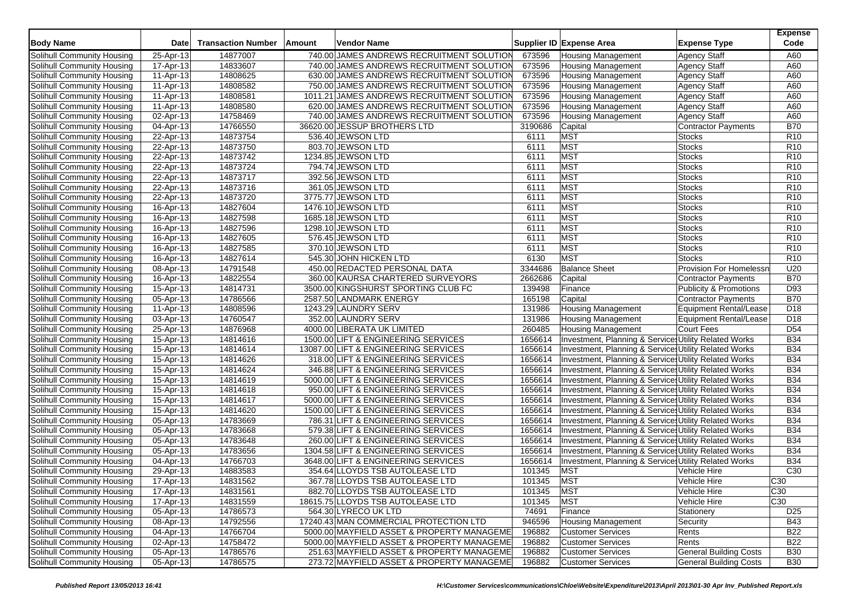| <b>Body Name</b>                  | <b>Date</b>             | <b>Transaction Number</b> | Amount | <b>Vendor Name</b>                         |         | Supplier ID Expense Area                                         | <b>Expense Type</b>            | <b>Expense</b><br>Code |
|-----------------------------------|-------------------------|---------------------------|--------|--------------------------------------------|---------|------------------------------------------------------------------|--------------------------------|------------------------|
| Solihull Community Housing        | 25-Apr-13               | 14877007                  |        | 740.00 JAMES ANDREWS RECRUITMENT SOLUTION  | 673596  | <b>Housing Management</b>                                        | <b>Agency Staff</b>            | A60                    |
| Solihull Community Housing        | 17-Apr-13               | 14833607                  |        | 740.00 JAMES ANDREWS RECRUITMENT SOLUTION  | 673596  | <b>Housing Management</b>                                        | <b>Agency Staff</b>            | A60                    |
| Solihull Community Housing        | 11-Apr-13               | 14808625                  |        | 630.00 JAMES ANDREWS RECRUITMENT SOLUTION  | 673596  | <b>Housing Management</b>                                        | <b>Agency Staff</b>            | A60                    |
| Solihull Community Housing        | 11-Apr-13               | 14808582                  |        | 750.00 JAMES ANDREWS RECRUITMENT SOLUTION  | 673596  | <b>Housing Management</b>                                        | <b>Agency Staff</b>            | A60                    |
| Solihull Community Housing        | 11-Apr-13               | 14808581                  |        | 1011.21 JAMES ANDREWS RECRUITMENT SOLUTION | 673596  | <b>Housing Management</b>                                        | <b>Agency Staff</b>            | A60                    |
| Solihull Community Housing        | 11-Apr-13               | 14808580                  |        | 620.00 JAMES ANDREWS RECRUITMENT SOLUTION  | 673596  | <b>Housing Management</b>                                        | Agency Staff                   | A60                    |
| Solihull Community Housing        | 02-Apr-13               | 14758469                  |        | 740.00 JAMES ANDREWS RECRUITMENT SOLUTION  | 673596  | <b>Housing Management</b>                                        | <b>Agency Staff</b>            | A60                    |
| Solihull Community Housing        | 04-Apr-13               | 14766550                  |        | 36620.00 JESSUP BROTHERS LTD               | 3190686 | Capital                                                          | <b>Contractor Payments</b>     | <b>B70</b>             |
| Solihull Community Housing        | 22-Apr-13               | 14873754                  |        | 536.40 JEWSON LTD                          | 6111    | <b>MST</b>                                                       | <b>Stocks</b>                  | R <sub>10</sub>        |
| Solihull Community Housing        | 22-Apr-13               | 14873750                  |        | 803.70 JEWSON LTD                          | 6111    | <b>MST</b>                                                       | <b>Stocks</b>                  | R <sub>10</sub>        |
| Solihull Community Housing        | 22-Apr-13               | 14873742                  |        | 1234.85 JEWSON LTD                         | 6111    | <b>MST</b>                                                       | <b>Stocks</b>                  | R <sub>10</sub>        |
| Solihull Community Housing        | 22-Apr-13               | 14873724                  |        | 794.74 JEWSON LTD                          | 6111    | <b>MST</b>                                                       | <b>Stocks</b>                  | R <sub>10</sub>        |
| Solihull Community Housing        | 22-Apr-13               | 14873717                  |        | 392.56 JEWSON LTD                          | 6111    | MST                                                              | <b>Stocks</b>                  | R <sub>10</sub>        |
| Solihull Community Housing        | 22-Apr-13               | 14873716                  |        | 361.05 JEWSON LTD                          | 6111    | <b>MST</b>                                                       | <b>Stocks</b>                  | R <sub>10</sub>        |
| Solihull Community Housing        | 22-Apr-13               | 14873720                  |        | 3775.77 JEWSON LTD                         | 6111    | <b>MST</b>                                                       | <b>Stocks</b>                  | R <sub>10</sub>        |
| Solihull Community Housing        | 16-Apr-13               | 14827604                  |        | 1476.10 JEWSON LTD                         | 6111    | <b>MST</b>                                                       | <b>Stocks</b>                  | R <sub>10</sub>        |
| Solihull Community Housing        | 16-Apr-13               | 14827598                  |        | 1685.18 JEWSON LTD                         | 6111    | <b>MST</b>                                                       | <b>Stocks</b>                  | R <sub>10</sub>        |
| Solihull Community Housing        | 16-Apr-13               | 14827596                  |        | 1298.10 JEWSON LTD                         | 6111    | <b>MST</b>                                                       | <b>Stocks</b>                  | R <sub>10</sub>        |
| Solihull Community Housing        | 16-Apr-13               | 14827605                  |        | 576.45 JEWSON LTD                          | 6111    | <b>MST</b>                                                       | <b>Stocks</b>                  | R <sub>10</sub>        |
| Solihull Community Housing        | 16-Apr-13               | 14827585                  |        | 370.10 JEWSON LTD                          | 6111    | <b>MST</b>                                                       | <b>Stocks</b>                  | R <sub>10</sub>        |
| Solihull Community Housing        | 16-Apr-13               | 14827614                  |        | 545.30 JOHN HICKEN LTD                     | 6130    | <b>MST</b>                                                       | <b>Stocks</b>                  | R <sub>10</sub>        |
| Solihull Community Housing        | 08-Apr-13               | 14791548                  |        | 450.00 REDACTED PERSONAL DATA              | 3344686 | <b>Balance Sheet</b>                                             | <b>Provision For Homelessr</b> | U20                    |
| Solihull Community Housing        | 16-Apr-13               | 14822554                  |        | 360.00 KAURSA CHARTERED SURVEYORS          | 2662686 | Capital                                                          | <b>Contractor Payments</b>     | <b>B70</b>             |
| Solihull Community Housing        | 15-Apr-13               | 14814731                  |        | 3500.00 KINGSHURST SPORTING CLUB FC        | 139498  | Finance                                                          | Publicity & Promotions         | D93                    |
| Solihull Community Housing        | 05-Apr-13               | 14786566                  |        | 2587.50 LANDMARK ENERGY                    | 165198  | Capital                                                          | Contractor Payments            | <b>B70</b>             |
| Solihull Community Housing        | 11-Apr-13               | 14808596                  |        | 1243.29 LAUNDRY SERV                       | 131986  | <b>Housing Management</b>                                        | <b>Equipment Rental/Lease</b>  | D <sub>18</sub>        |
| Solihull Community Housing        | 03-Apr-13               | 14760547                  |        | 352.00 LAUNDRY SERV                        | 131986  | <b>Housing Management</b>                                        | Equipment Rental/Lease         | D <sub>18</sub>        |
| Solihull Community Housing        | 25-Apr-13               | 14876968                  |        | 4000.00 LIBERATA UK LIMITED                | 260485  | <b>Housing Management</b>                                        | <b>Court Fees</b>              | D <sub>54</sub>        |
| Solihull Community Housing        | 15-Apr-13               | 14814616                  |        | 1500.00 LIFT & ENGINEERING SERVICES        | 1656614 | Investment, Planning & Services Utility Related Works            |                                | <b>B34</b>             |
| Solihull Community Housing        | 15-Apr-13               | 14814614                  |        | 13087.00 LIFT & ENGINEERING SERVICES       | 1656614 | Investment, Planning & Services Utility Related Works            |                                | <b>B34</b>             |
| Solihull Community Housing        | 15-Apr-13               | 14814626                  |        | 318.00 LIFT & ENGINEERING SERVICES         | 1656614 | Investment, Planning & Services Utility Related Works            |                                | <b>B34</b>             |
| Solihull Community Housing        | 15-Apr-13               | 14814624                  |        | 346.88 LIFT & ENGINEERING SERVICES         | 1656614 | Investment, Planning & Services Utility Related Works            |                                | <b>B34</b>             |
| Solihull Community Housing        | 15-Apr-13               | 14814619                  |        | 5000.00 LIFT & ENGINEERING SERVICES        | 1656614 | Investment, Planning & Services Utility Related Works            |                                | <b>B34</b>             |
| Solihull Community Housing        | 15-Apr-13               | 14814618                  |        | 950.00 LIFT & ENGINEERING SERVICES         | 1656614 | Investment, Planning & Services Utility Related Works            |                                | <b>B34</b>             |
| Solihull Community Housing        | 15-Apr-13               | 14814617                  |        | 5000.00 LIFT & ENGINEERING SERVICES        | 1656614 | <b>Investment, Planning &amp; Services Utility Related Works</b> |                                | <b>B34</b>             |
| Solihull Community Housing        | 15-Apr-13               | 14814620                  |        | 1500.00 LIFT & ENGINEERING SERVICES        | 1656614 | Investment, Planning & Services Utility Related Works            |                                | <b>B34</b>             |
| Solihull Community Housing        | 05-Apr-13               | 14783669                  |        | 786.31 LIFT & ENGINEERING SERVICES         | 1656614 | Investment, Planning & Services Utility Related Works            |                                | <b>B34</b>             |
| Solihull Community Housing        | 05-Apr-13               | 14783668                  |        | 579.38 LIFT & ENGINEERING SERVICES         | 1656614 | Investment, Planning & Services Utility Related Works            |                                | <b>B34</b>             |
| Solihull Community Housing        | 05-Apr-13               | 14783648                  |        | 260.00 LIFT & ENGINEERING SERVICES         | 1656614 | Investment, Planning & Services Utility Related Works            |                                | <b>B34</b>             |
| Solihull Community Housing        | 05-Apr-13               | 14783656                  |        | 1304.58 LIFT & ENGINEERING SERVICES        | 1656614 | Investment, Planning & Services Utility Related Works            |                                | <b>B34</b>             |
| Solihull Community Housing        | 04-Apr-13               | 14766703                  |        | 3648.00 LIFT & ENGINEERING SERVICES        | 1656614 | Investment, Planning & Services Utility Related Works            |                                | <b>B34</b>             |
| Solihull Community Housing        | 29-Apr-13               | 14883583                  |        | 354.64 LLOYDS TSB AUTOLEASE LTD            | 101345  | <b>MST</b>                                                       | Vehicle Hire                   | C30                    |
| Solihull Community Housing        | 17-Apr-13               | 14831562                  |        | 367.78 LLOYDS TSB AUTOLEASE LTD            | 101345  | <b>MST</b>                                                       | Vehicle Hire                   | C30                    |
| Solihull Community Housing        | 17-Apr-13               | 14831561                  |        | 882.70 LLOYDS TSB AUTOLEASE LTD            | 101345  | <b>MST</b>                                                       | Vehicle Hire                   | C30                    |
| Solihull Community Housing        | 17-Apr-13               | 14831559                  |        | 18615.75 LLOYDS TSB AUTOLEASE LTD          | 101345  | <b>MST</b>                                                       | Vehicle Hire                   | C30                    |
| Solihull Community Housing        | 05-Apr-13               | 14786573                  |        | 564.30 LYRECO UK LTD                       | 74691   | Finance                                                          | Stationery                     | D <sub>25</sub>        |
| Solihull Community Housing        | 08-Apr-13               | 14792556                  |        | 17240.43 MAN COMMERCIAL PROTECTION LTD     | 946596  | <b>Housing Management</b>                                        | Security                       | <b>B43</b>             |
| Solihull Community Housing        | $\overline{04}$ -Apr-13 | 14766704                  |        | 5000.00 MAYFIELD ASSET & PROPERTY MANAGEME | 196882  | <b>Customer Services</b>                                         | Rents                          | <b>B22</b>             |
| Solihull Community Housing        | 02-Apr-13               | 14758472                  |        | 5000.00 MAYFIELD ASSET & PROPERTY MANAGEME | 196882  | <b>Customer Services</b>                                         | Rents                          | <b>B22</b>             |
| <b>Solihull Community Housing</b> | 05-Apr-13               | 14786576                  |        | 251.63 MAYFIELD ASSET & PROPERTY MANAGEME  | 196882  | <b>Customer Services</b>                                         | <b>General Building Costs</b>  | <b>B30</b>             |
| Solihull Community Housing        | 05-Apr-13               | 14786575                  |        | 273.72 MAYFIELD ASSET & PROPERTY MANAGEME  | 196882  | <b>Customer Services</b>                                         | <b>General Building Costs</b>  | <b>B30</b>             |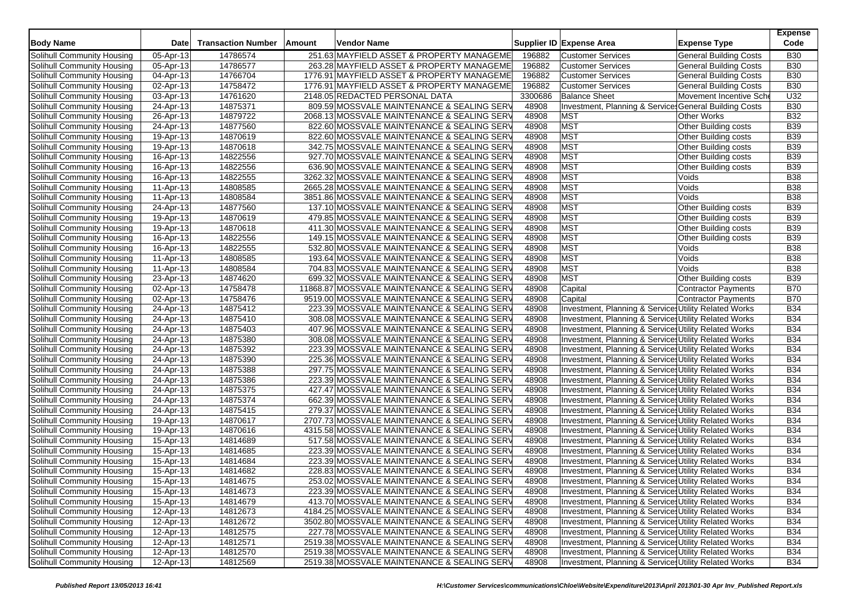| <b>Body Name</b>           | <b>Date</b>            | <b>Transaction Number</b> | Amount | Vendor Name                                                                                |                | Supplier ID Expense Area                                                                                      | <b>Expense Type</b>           | <b>Expense</b><br>Code   |
|----------------------------|------------------------|---------------------------|--------|--------------------------------------------------------------------------------------------|----------------|---------------------------------------------------------------------------------------------------------------|-------------------------------|--------------------------|
| Solihull Community Housing | 05-Apr-13              | 14786574                  |        | 251.63 MAYFIELD ASSET & PROPERTY MANAGEME                                                  | 196882         | <b>Customer Services</b>                                                                                      | <b>General Building Costs</b> | <b>B30</b>               |
| Solihull Community Housing | 05-Apr-13              | 14786577                  |        | 263.28 MAYFIELD ASSET & PROPERTY MANAGEME                                                  | 196882         | <b>Customer Services</b>                                                                                      | <b>General Building Costs</b> | <b>B30</b>               |
| Solihull Community Housing | 04-Apr-13              | 14766704                  |        | 1776.91 MAYFIELD ASSET & PROPERTY MANAGEME                                                 | 196882         | <b>Customer Services</b>                                                                                      | <b>General Building Costs</b> | <b>B30</b>               |
| Solihull Community Housing | 02-Apr-13              | 14758472                  |        | 1776.91 MAYFIELD ASSET & PROPERTY MANAGEME                                                 | 196882         | <b>Customer Services</b>                                                                                      | <b>General Building Costs</b> | <b>B30</b>               |
| Solihull Community Housing | 03-Apr-13              | 14761620                  |        | 2148.05 REDACTED PERSONAL DATA                                                             | 3300686        | <b>Balance Sheet</b>                                                                                          | Movement Incentive Sche       | U32                      |
| Solihull Community Housing | 24-Apr-13              | 14875371                  |        | 809.59 MOSSVALE MAINTENANCE & SEALING SERV                                                 | 48908          | Investment, Planning & Service General Building Costs                                                         |                               | <b>B30</b>               |
| Solihull Community Housing | 26-Apr-13              | 14879722                  |        | 2068.13 MOSSVALE MAINTENANCE & SEALING SERV                                                | 48908          | <b>MST</b>                                                                                                    | <b>Other Works</b>            | <b>B32</b>               |
| Solihull Community Housing | 24-Apr-13              | 14877560                  |        | 822.60 MOSSVALE MAINTENANCE & SEALING SERV                                                 | 48908          | <b>MST</b>                                                                                                    | Other Building costs          | <b>B39</b>               |
| Solihull Community Housing | 19-Apr-13              | 14870619                  |        | 822.60 MOSSVALE MAINTENANCE & SEALING SERV                                                 | 48908          | MST                                                                                                           | Other Building costs          | <b>B39</b>               |
| Solihull Community Housing | 19-Apr-13              | 14870618                  |        | 342.75 MOSSVALE MAINTENANCE & SEALING SERV                                                 | 48908          | <b>MST</b>                                                                                                    | Other Building costs          | <b>B39</b>               |
| Solihull Community Housing | 16-Apr-13              | 14822556                  |        | 927.70 MOSSVALE MAINTENANCE & SEALING SERV                                                 | 48908          | <b>MST</b>                                                                                                    | Other Building costs          | <b>B39</b>               |
| Solihull Community Housing | 16-Apr-13              | 14822556                  |        | 636.90 MOSSVALE MAINTENANCE & SEALING SERV                                                 | 48908          | MST                                                                                                           | Other Building costs          | <b>B39</b>               |
| Solihull Community Housing | 16-Apr-13              | 14822555                  |        | 3262.32 MOSSVALE MAINTENANCE & SEALING SERV                                                | 48908          | <b>MST</b>                                                                                                    | Voids                         | <b>B38</b>               |
| Solihull Community Housing | 11-Apr-13              | 14808585                  |        | 2665.28 MOSSVALE MAINTENANCE & SEALING SERV                                                | 48908          | MST                                                                                                           | Voids                         | <b>B38</b>               |
| Solihull Community Housing | 11-Apr-13              | 14808584                  |        | 3851.86 MOSSVALE MAINTENANCE & SEALING SERV                                                | 48908          | <b>MST</b>                                                                                                    | Voids                         | <b>B38</b>               |
| Solihull Community Housing | 24-Apr-13              | 14877560                  |        | 137.10 MOSSVALE MAINTENANCE & SEALING SERV                                                 | 48908          | <b>MST</b>                                                                                                    | Other Building costs          | <b>B39</b>               |
| Solihull Community Housing | 19-Apr-13              | 14870619                  |        | 479.85 MOSSVALE MAINTENANCE & SEALING SERV                                                 | 48908          | <b>MST</b>                                                                                                    | Other Building costs          | <b>B39</b>               |
| Solihull Community Housing | 19-Apr-13              | 14870618                  |        | 411.30 MOSSVALE MAINTENANCE & SEALING SERV                                                 | 48908          | <b>MST</b>                                                                                                    | Other Building costs          | <b>B39</b>               |
| Solihull Community Housing | 16-Apr-13              | 14822556                  |        | 149.15 MOSSVALE MAINTENANCE & SEALING SERV                                                 | 48908          | <b>MST</b>                                                                                                    | Other Building costs          | <b>B39</b>               |
| Solihull Community Housing | 16-Apr-13              | 14822555                  |        | 532.80 MOSSVALE MAINTENANCE & SEALING SERV                                                 | 48908          | <b>MST</b>                                                                                                    | Voids                         | <b>B38</b>               |
| Solihull Community Housing | 11-Apr-13              | 14808585                  |        | 193.64 MOSSVALE MAINTENANCE & SEALING SERV                                                 | 48908          | MST                                                                                                           | Voids                         | <b>B38</b>               |
| Solihull Community Housing | 11-Apr-13              | 14808584                  |        | 704.83 MOSSVALE MAINTENANCE & SEALING SERV                                                 | 48908          | <b>MST</b>                                                                                                    | Voids                         | <b>B38</b>               |
| Solihull Community Housing | 23-Apr-13              | 14874620                  |        | 699.32 MOSSVALE MAINTENANCE & SEALING SERV                                                 | 48908          | <b>MST</b>                                                                                                    | Other Building costs          | <b>B39</b>               |
| Solihull Community Housing | 02-Apr-13              | 14758478                  |        | 11868.87 MOSSVALE MAINTENANCE & SEALING SERV                                               | 48908          | Capital                                                                                                       | <b>Contractor Payments</b>    | <b>B70</b>               |
| Solihull Community Housing | 02-Apr-13              | 14758476                  |        | 9519.00 MOSSVALE MAINTENANCE & SEALING SERV                                                | 48908          | Capital                                                                                                       | <b>Contractor Payments</b>    | <b>B70</b>               |
| Solihull Community Housing | 24-Apr-13              | 14875412                  |        | 223.39 MOSSVALE MAINTENANCE & SEALING SERV                                                 | 48908          | Investment, Planning & Service Utility Related Works                                                          |                               | <b>B34</b>               |
| Solihull Community Housing | 24-Apr-13              | 14875410                  |        | 308.08 MOSSVALE MAINTENANCE & SEALING SERV                                                 | 48908          | Investment, Planning & Services Utility Related Works                                                         |                               | <b>B34</b>               |
| Solihull Community Housing | 24-Apr-13              | 14875403                  |        | 407.96 MOSSVALE MAINTENANCE & SEALING SERV                                                 | 48908          | Investment, Planning & Service, Utility Related Works                                                         |                               | <b>B34</b>               |
| Solihull Community Housing | 24-Apr-13              | 14875380                  |        | 308.08 MOSSVALE MAINTENANCE & SEALING SERV                                                 | 48908          | Investment, Planning & Services Utility Related Works                                                         |                               | <b>B34</b>               |
| Solihull Community Housing | 24-Apr-13              | 14875392                  |        | 223.39 MOSSVALE MAINTENANCE & SEALING SERV                                                 | 48908          | Investment, Planning & Services Utility Related Works                                                         |                               | <b>B34</b>               |
| Solihull Community Housing | 24-Apr-13              | 14875390                  |        | 225.36 MOSSVALE MAINTENANCE & SEALING SERV                                                 | 48908          | Investment, Planning & Services Utility Related Works                                                         |                               | <b>B34</b>               |
| Solihull Community Housing | 24-Apr-13              | 14875388                  |        | 297.75 MOSSVALE MAINTENANCE & SEALING SERV                                                 | 48908          | Investment, Planning & Services Utility Related Works                                                         |                               | <b>B34</b>               |
| Solihull Community Housing | 24-Apr-13              | 14875386                  |        | 223.39 MOSSVALE MAINTENANCE & SEALING SERV                                                 | 48908          | Investment, Planning & Service, Utility Related Works                                                         |                               | <b>B34</b>               |
| Solihull Community Housing | 24-Apr-13              | 14875375                  |        | 427.47 MOSSVALE MAINTENANCE & SEALING SERV                                                 | 48908          | Investment, Planning & Services Utility Related Works                                                         |                               | <b>B34</b>               |
| Solihull Community Housing | 24-Apr-13              | 14875374                  |        | 662.39 MOSSVALE MAINTENANCE & SEALING SERV                                                 | 48908          | Investment, Planning & Services Utility Related Works                                                         |                               | <b>B34</b>               |
| Solihull Community Housing | 24-Apr-13              | 14875415                  |        | 279.37 MOSSVALE MAINTENANCE & SEALING SERV                                                 | 48908          | Investment, Planning & Services Utility Related Works                                                         |                               | <b>B34</b>               |
| Solihull Community Housing | 19-Apr-13              | 14870617                  |        | 2707.73 MOSSVALE MAINTENANCE & SEALING SERV                                                | 48908          | Investment, Planning & Services Utility Related Works                                                         |                               | <b>B34</b>               |
| Solihull Community Housing | 19-Apr-13              | 14870616                  |        | 4315.58 MOSSVALE MAINTENANCE & SEALING SERV                                                | 48908          | Investment, Planning & Services Utility Related Works                                                         |                               | <b>B34</b>               |
| Solihull Community Housing | 15-Apr-13              | 14814689                  |        | 517.58 MOSSVALE MAINTENANCE & SEALING SERV                                                 | 48908          | Investment, Planning & Services Utility Related Works                                                         |                               | <b>B34</b>               |
| Solihull Community Housing | 15-Apr-13              | 14814685                  |        | 223.39 MOSSVALE MAINTENANCE & SEALING SERV                                                 | 48908          | Investment, Planning & Services Utility Related Works                                                         |                               | <b>B34</b>               |
| Solihull Community Housing | 15-Apr-13              | 14814684                  |        | 223.39 MOSSVALE MAINTENANCE & SEALING SERV                                                 | 48908          | Investment, Planning & Services Utility Related Works                                                         |                               | <b>B34</b>               |
| Solihull Community Housing | 15-Apr-13              | 14814682                  |        | 228.83 MOSSVALE MAINTENANCE & SEALING SERV                                                 | 48908          | Investment, Planning & Services Utility Related Works                                                         |                               | <b>B34</b>               |
| Solihull Community Housing | 15-Apr-13              | 14814675                  |        | 253.02 MOSSVALE MAINTENANCE & SEALING SERV                                                 | 48908          | Investment, Planning & Services Utility Related Works                                                         |                               | <b>B34</b>               |
| Solihull Community Housing | 15-Apr-13              | 14814673                  |        | 223.39 MOSSVALE MAINTENANCE & SEALING SERV                                                 | 48908          | Investment, Planning & Services Utility Related Works                                                         |                               | <b>B34</b>               |
| Solihull Community Housing | $15-Apr-13$            | 14814679                  |        | 413.70 MOSSVALE MAINTENANCE & SEALING SERV                                                 | 48908          | Investment, Planning & Services Utility Related Works                                                         |                               | <b>B34</b>               |
| Solihull Community Housing |                        |                           |        | 4184.25 MOSSVALE MAINTENANCE & SEALING SERV                                                | 48908          | Investment, Planning & Services Utility Related Works                                                         |                               |                          |
| Solihull Community Housing | 12-Apr-13<br>12-Apr-13 | 14812673<br>14812672      |        | 3502.80 MOSSVALE MAINTENANCE & SEALING SERV                                                | 48908          | Investment, Planning & Services Utility Related Works                                                         |                               | <b>B34</b><br><b>B34</b> |
| Solihull Community Housing | 12-Apr-13              | 14812575                  |        |                                                                                            | 48908          | Investment, Planning & Services Utility Related Works                                                         |                               | <b>B34</b>               |
|                            |                        |                           |        | 227.78 MOSSVALE MAINTENANCE & SEALING SERV                                                 |                |                                                                                                               |                               |                          |
| Solihull Community Housing | 12-Apr-13<br>12-Apr-13 | 14812571<br>14812570      |        | 2519.38 MOSSVALE MAINTENANCE & SEALING SERV<br>2519.38 MOSSVALE MAINTENANCE & SEALING SERV | 48908<br>48908 | Investment, Planning & Services Utility Related Works<br>Investment, Planning & Service Utility Related Works |                               | <b>B34</b><br><b>B34</b> |
| Solihull Community Housing |                        |                           |        |                                                                                            |                |                                                                                                               |                               |                          |
| Solihull Community Housing | 12-Apr-13              | 14812569                  |        | 2519.38 MOSSVALE MAINTENANCE & SEALING SERV                                                | 48908          | Investment, Planning & Services Utility Related Works                                                         |                               | <b>B34</b>               |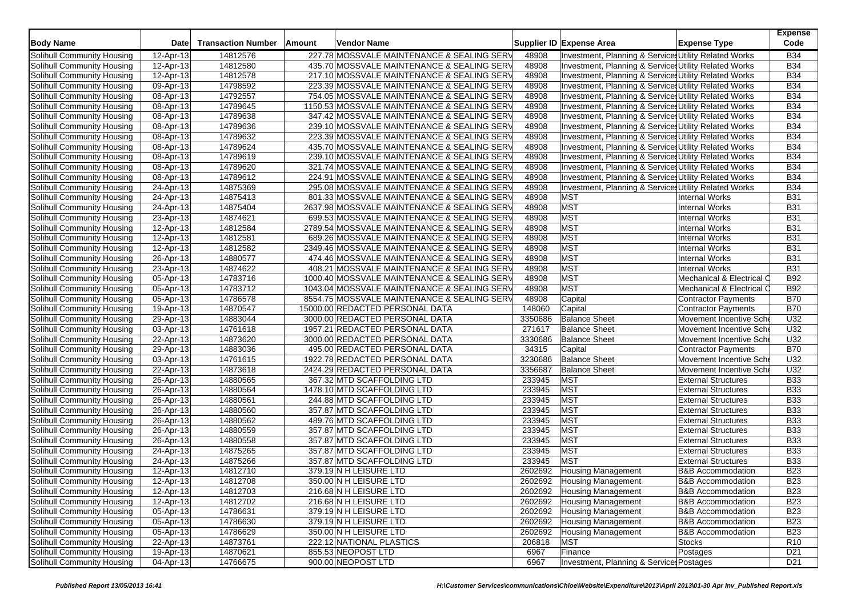| <b>Body Name</b>                  | <b>Date</b> | <b>Transaction Number</b> | Amount | Vendor Name                                 |         | Supplier ID Expense Area                              | <b>Expense Type</b>          | <b>Expense</b><br>Code |
|-----------------------------------|-------------|---------------------------|--------|---------------------------------------------|---------|-------------------------------------------------------|------------------------------|------------------------|
| Solihull Community Housing        | 12-Apr-13   | 14812576                  |        | 227.78 MOSSVALE MAINTENANCE & SEALING SERV  | 48908   | Investment, Planning & Services Utility Related Works |                              | <b>B34</b>             |
| Solihull Community Housing        | 12-Apr-13   | 14812580                  |        | 435.70 MOSSVALE MAINTENANCE & SEALING SERV  | 48908   | Investment, Planning & Services Utility Related Works |                              | <b>B34</b>             |
| Solihull Community Housing        | 12-Apr-13   | 14812578                  |        | 217.10 MOSSVALE MAINTENANCE & SEALING SERV  | 48908   | Investment, Planning & Services Utility Related Works |                              | <b>B34</b>             |
| Solihull Community Housing        | 09-Apr-13   | 14798592                  |        | 223.39 MOSSVALE MAINTENANCE & SEALING SERV  | 48908   | Investment, Planning & Services Utility Related Works |                              | <b>B34</b>             |
| Solihull Community Housing        | 08-Apr-13   | 14792557                  |        | 754.05 MOSSVALE MAINTENANCE & SEALING SERV  | 48908   | Investment, Planning & Services Utility Related Works |                              | <b>B34</b>             |
| Solihull Community Housing        | 08-Apr-13   | 14789645                  |        | 1150.53 MOSSVALE MAINTENANCE & SEALING SERV | 48908   | Investment, Planning & Services Utility Related Works |                              | <b>B34</b>             |
| Solihull Community Housing        | 08-Apr-13   | 14789638                  |        | 347.42 MOSSVALE MAINTENANCE & SEALING SERV  | 48908   | Investment, Planning & Services Utility Related Works |                              | <b>B34</b>             |
| Solihull Community Housing        | 08-Apr-13   | 14789636                  |        | 239.10 MOSSVALE MAINTENANCE & SEALING SERV  | 48908   | Investment, Planning & Services Utility Related Works |                              | <b>B34</b>             |
| Solihull Community Housing        | 08-Apr-13   | 14789632                  |        | 223.39 MOSSVALE MAINTENANCE & SEALING SERV  | 48908   | Investment, Planning & Services Utility Related Works |                              | <b>B34</b>             |
| Solihull Community Housing        | 08-Apr-13   | 14789624                  |        | 435.70 MOSSVALE MAINTENANCE & SEALING SERV  | 48908   | Investment, Planning & Services Utility Related Works |                              | <b>B34</b>             |
| Solihull Community Housing        | 08-Apr-13   | 14789619                  |        | 239.10 MOSSVALE MAINTENANCE & SEALING SERV  | 48908   | Investment, Planning & Services Utility Related Works |                              | <b>B34</b>             |
| Solihull Community Housing        | 08-Apr-13   | 14789620                  |        | 321.74 MOSSVALE MAINTENANCE & SEALING SERV  | 48908   | Investment, Planning & Services Utility Related Works |                              | <b>B34</b>             |
| Solihull Community Housing        | 08-Apr-13   | 14789612                  |        | 224.91 MOSSVALE MAINTENANCE & SEALING SERV  | 48908   | Investment, Planning & Services Utility Related Works |                              | <b>B34</b>             |
| Solihull Community Housing        | 24-Apr-13   | 14875369                  |        | 295.08 MOSSVALE MAINTENANCE & SEALING SERV  | 48908   | Investment, Planning & Services Utility Related Works |                              | <b>B34</b>             |
| Solihull Community Housing        | 24-Apr-13   | 14875413                  |        | 801.33 MOSSVALE MAINTENANCE & SEALING SERV  | 48908   | <b>MST</b>                                            | <b>Internal Works</b>        | <b>B31</b>             |
| Solihull Community Housing        | 24-Apr-13   | 14875404                  |        | 2637.98 MOSSVALE MAINTENANCE & SEALING SERV | 48908   | <b>MST</b>                                            | Internal Works               | <b>B31</b>             |
| Solihull Community Housing        | 23-Apr-13   | 14874621                  |        | 699.53 MOSSVALE MAINTENANCE & SEALING SERV  | 48908   | <b>MST</b>                                            | <b>Internal Works</b>        | <b>B31</b>             |
| Solihull Community Housing        | 12-Apr-13   | 14812584                  |        | 2789.54 MOSSVALE MAINTENANCE & SEALING SERV | 48908   | <b>MST</b>                                            | <b>Internal Works</b>        | <b>B31</b>             |
| Solihull Community Housing        | 12-Apr-13   | 14812581                  |        | 689.26 MOSSVALE MAINTENANCE & SEALING SERV  | 48908   | <b>MST</b>                                            | <b>Internal Works</b>        | <b>B31</b>             |
| Solihull Community Housing        | 12-Apr-13   | 14812582                  |        | 2349.46 MOSSVALE MAINTENANCE & SEALING SERV | 48908   | <b>MST</b>                                            | <b>Internal Works</b>        | <b>B31</b>             |
| Solihull Community Housing        | 26-Apr-13   | 14880577                  |        | 474.46 MOSSVALE MAINTENANCE & SEALING SERV  | 48908   | <b>MST</b>                                            | <b>Internal Works</b>        | <b>B31</b>             |
| Solihull Community Housing        | 23-Apr-13   | 14874622                  |        | 408.21 MOSSVALE MAINTENANCE & SEALING SERV  | 48908   | <b>MST</b>                                            | <b>Internal Works</b>        | <b>B31</b>             |
| Solihull Community Housing        | 05-Apr-13   | 14783716                  |        | 1000.40 MOSSVALE MAINTENANCE & SEALING SERV | 48908   | <b>MST</b>                                            | Mechanical & Electrical C    | <b>B92</b>             |
| Solihull Community Housing        | 05-Apr-13   | 14783712                  |        | 1043.04 MOSSVALE MAINTENANCE & SEALING SERV | 48908   | <b>MST</b>                                            | Mechanical & Electrical C    | <b>B92</b>             |
| Solihull Community Housing        | 05-Apr-13   | 14786578                  |        | 8554.75 MOSSVALE MAINTENANCE & SEALING SERV | 48908   | Capital                                               | Contractor Payments          | <b>B70</b>             |
| Solihull Community Housing        | 19-Apr-13   | 14870547                  |        | 15000.00 REDACTED PERSONAL DATA             | 148060  | Capital                                               | <b>Contractor Payments</b>   | <b>B70</b>             |
| Solihull Community Housing        | 29-Apr-13   | 14883044                  |        | 3000.00 REDACTED PERSONAL DATA              | 3350686 | <b>Balance Sheet</b>                                  | Movement Incentive Sch       | U32                    |
| Solihull Community Housing        | 03-Apr-13   | 14761618                  |        | 1957.21 REDACTED PERSONAL DATA              | 271617  | <b>Balance Sheet</b>                                  | Movement Incentive Sche      | U32                    |
| Solihull Community Housing        | 22-Apr-13   | 14873620                  |        | 3000.00 REDACTED PERSONAL DATA              | 3330686 | <b>Balance Sheet</b>                                  | Movement Incentive Sche      | U <sub>32</sub>        |
| Solihull Community Housing        | 29-Apr-13   | 14883036                  |        | 495.00 REDACTED PERSONAL DATA               | 34315   | Capital                                               | <b>Contractor Payments</b>   | <b>B70</b>             |
| Solihull Community Housing        | 03-Apr-13   | 14761615                  |        | 1922.78 REDACTED PERSONAL DATA              | 3230686 | <b>Balance Sheet</b>                                  | Movement Incentive Sche      | U32                    |
| Solihull Community Housing        | 22-Apr-13   | 14873618                  |        | 2424.29 REDACTED PERSONAL DATA              | 3356687 | <b>Balance Sheet</b>                                  | Movement Incentive Sche      | U32                    |
| Solihull Community Housing        | 26-Apr-13   | 14880565                  |        | 367.32 MTD SCAFFOLDING LTD                  | 233945  | <b>MST</b>                                            | <b>External Structures</b>   | <b>B33</b>             |
| Solihull Community Housing        | 26-Apr-13   | 14880564                  |        | 1478.10 MTD SCAFFOLDING LTD                 | 233945  | <b>MST</b>                                            | <b>External Structures</b>   | <b>B33</b>             |
| Solihull Community Housing        | 26-Apr-13   | 14880561                  |        | 244.88 MTD SCAFFOLDING LTD                  | 233945  | <b>MST</b>                                            | <b>External Structures</b>   | <b>B33</b>             |
| Solihull Community Housing        | 26-Apr-13   | 14880560                  |        | 357.87 MTD SCAFFOLDING LTD                  | 233945  | <b>MST</b>                                            | <b>External Structures</b>   | <b>B33</b>             |
| Solihull Community Housing        | 26-Apr-13   | 14880562                  |        | 489.76 MTD SCAFFOLDING LTD                  | 233945  | <b>MST</b>                                            | <b>External Structures</b>   | <b>B33</b>             |
| Solihull Community Housing        | 26-Apr-13   | 14880559                  |        | 357.87 MTD SCAFFOLDING LTD                  | 233945  | <b>MST</b>                                            | <b>External Structures</b>   | <b>B33</b>             |
| Solihull Community Housing        | 26-Apr-13   | 14880558                  |        | 357.87 MTD SCAFFOLDING LTD                  | 233945  | <b>MST</b>                                            | <b>External Structures</b>   | <b>B33</b>             |
| Solihull Community Housing        | 24-Apr-13   | 14875265                  |        | 357.87 MTD SCAFFOLDING LTD                  | 233945  | <b>MST</b>                                            | <b>External Structures</b>   | <b>B33</b>             |
| Solihull Community Housing        | 24-Apr-13   | 14875266                  |        | 357.87 MTD SCAFFOLDING LTD                  | 233945  | <b>MST</b>                                            | <b>External Structures</b>   | <b>B33</b>             |
| Solihull Community Housing        | 12-Apr-13   | 14812710                  |        | 379.19 N H LEISURE LTD                      | 2602692 | <b>Housing Management</b>                             | <b>B&amp;B Accommodation</b> | <b>B23</b>             |
| Solihull Community Housing        | 12-Apr-13   | 14812708                  |        | 350.00 N H LEISURE LTD                      | 2602692 | <b>Housing Management</b>                             | <b>B&amp;B</b> Accommodation | <b>B23</b>             |
| Solihull Community Housing        | 12-Apr-13   | 14812703                  |        | 216.68 N H LEISURE LTD                      | 2602692 | Housing Management                                    | <b>B&amp;B Accommodation</b> | <b>B23</b>             |
| Solihull Community Housing        | 12-Apr-13   | 14812702                  |        | 216.68 N H LEISURE LTD                      | 2602692 | <b>Housing Management</b>                             | <b>B&amp;B Accommodation</b> | <b>B23</b>             |
| Solihull Community Housing        | 05-Apr-13   | 14786631                  |        | 379.19 N H LEISURE LTD                      | 2602692 | <b>Housing Management</b>                             | <b>B&amp;B Accommodation</b> | <b>B23</b>             |
| Solihull Community Housing        | 05-Apr-13   | 14786630                  |        | 379.19 N H LEISURE LTD                      | 2602692 | <b>Housing Management</b>                             | <b>B&amp;B</b> Accommodation | <b>B23</b>             |
| Solihull Community Housing        | 05-Apr-13   | 14786629                  |        | 350.00 N H LEISURE LTD                      | 2602692 | <b>Housing Management</b>                             | <b>B&amp;B Accommodation</b> | <b>B23</b>             |
| Solihull Community Housing        | 22-Apr-13   | 14873761                  |        | 222.12 NATIONAL PLASTICS                    | 206818  | <b>MST</b>                                            | <b>Stocks</b>                | R <sub>10</sub>        |
| <b>Solihull Community Housing</b> | 19-Apr-13   | 14870621                  |        | 855.53 NEOPOST LTD                          | 6967    | Finance                                               | Postages                     | D <sub>21</sub>        |
| Solihull Community Housing        | 04-Apr-13   | 14766675                  |        | 900.00 NEOPOST LTD                          | 6967    | Investment, Planning & Services Postages              |                              | D <sub>21</sub>        |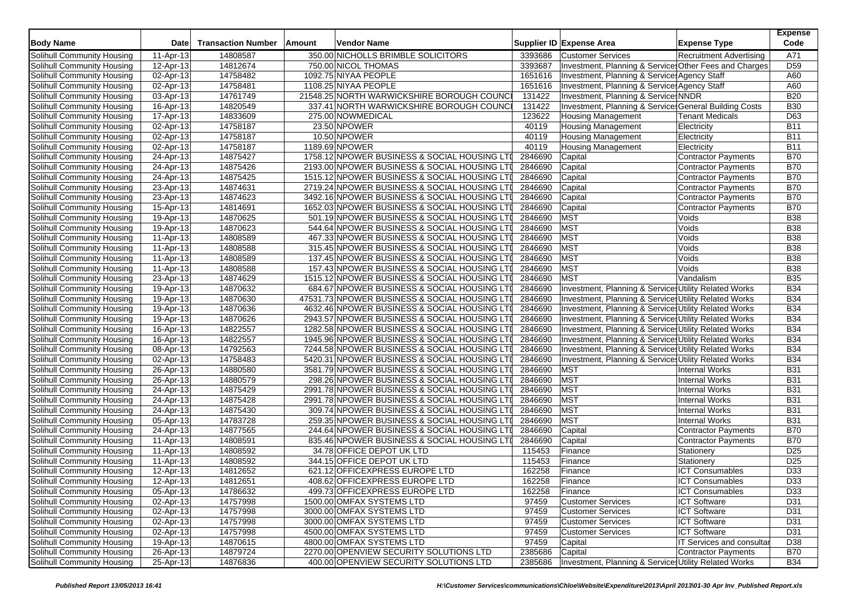| <b>Body Name</b>                                         | <b>Date</b>            | <b>Transaction Number</b> | Amount | Vendor Name                                                                                 |                    | Supplier ID Expense Area                               | <b>Expense Type</b>                            | <b>Expense</b><br>Code |
|----------------------------------------------------------|------------------------|---------------------------|--------|---------------------------------------------------------------------------------------------|--------------------|--------------------------------------------------------|------------------------------------------------|------------------------|
| Solihull Community Housing                               | 11-Apr-13              | 14808587                  |        | 350.00 NICHOLLS BRIMBLE SOLICITORS                                                          | 3393686            | <b>Customer Services</b>                               | <b>Recruitment Advertising</b>                 | A71                    |
| Solihull Community Housing                               | 12-Apr-13              | 14812674                  |        | 750.00 NICOL THOMAS                                                                         | 3393687            | Investment, Planning & Services Other Fees and Charges |                                                | D <sub>59</sub>        |
| Solihull Community Housing                               | 02-Apr-13              | 14758482                  |        | 1092.75 NIYAA PEOPLE                                                                        | 1651616            | Investment, Planning & Services Agency Staff           |                                                | A60                    |
| Solihull Community Housing                               | 02-Apr-13              | 14758481                  |        | 1108.25 NIYAA PEOPLE                                                                        | 1651616            | Investment, Planning & Services Agency Staff           |                                                | A60                    |
| Solihull Community Housing                               | 03-Apr-13              | 14761749                  |        | 21548.25 NORTH WARWICKSHIRE BOROUGH COUNCI                                                  | 131422             | Investment, Planning & Service: NNDR                   |                                                | <b>B20</b>             |
| Solihull Community Housing                               | 16-Apr-13              | 14820549                  |        | 337.41 NORTH WARWICKSHIRE BOROUGH COUNCI                                                    | 131422             | Investment, Planning & Service General Building Costs  |                                                | <b>B30</b>             |
| Solihull Community Housing                               | 17-Apr-13              | 14833609                  |        | 275.00 NOWMEDICAL                                                                           | 123622             | <b>Housing Management</b>                              | <b>Tenant Medicals</b>                         | D63                    |
| Solihull Community Housing                               | 02-Apr-13              | 14758187                  |        | 23.50 NPOWER                                                                                | 40119              | <b>Housing Management</b>                              | Electricity                                    | <b>B11</b>             |
| Solihull Community Housing                               | 02-Apr-13              | 14758187                  |        | 10.50 NPOWER                                                                                | 40119              | <b>Housing Management</b>                              | Electricity                                    | <b>B11</b>             |
| Solihull Community Housing                               | 02-Apr-13              | 14758187                  |        | 1189.69 NPOWER                                                                              | 40119              | <b>Housing Management</b>                              | Electricity                                    | <b>B11</b>             |
| Solihull Community Housing                               | 24-Apr-13              | 14875427                  |        | 1758.12 NPOWER BUSINESS & SOCIAL HOUSING LTI                                                | 2846690            | Capital                                                | <b>Contractor Payments</b>                     | <b>B70</b>             |
| Solihull Community Housing                               | 24-Apr-13              | 14875426                  |        | 2193.00 NPOWER BUSINESS & SOCIAL HOUSING LTI                                                | 2846690            | Capital                                                | Contractor Payments                            | <b>B70</b>             |
| Solihull Community Housing                               | 24-Apr-13              | 14875425                  |        | 1515.12 NPOWER BUSINESS & SOCIAL HOUSING LTI                                                | 2846690            | Capital                                                | <b>Contractor Payments</b>                     | <b>B70</b>             |
| Solihull Community Housing                               | 23-Apr-13              | 14874631                  |        | 2719.24 NPOWER BUSINESS & SOCIAL HOUSING LTI                                                | 2846690            | Capital                                                | Contractor Payments                            | <b>B70</b>             |
| Solihull Community Housing                               | 23-Apr-13              | 14874623                  |        | 3492.16 NPOWER BUSINESS & SOCIAL HOUSING LTI                                                | 2846690            | Capital                                                | Contractor Payments                            | <b>B70</b>             |
| Solihull Community Housing                               | 15-Apr-13              | 14814691                  |        | 1652.03 NPOWER BUSINESS & SOCIAL HOUSING LTI                                                | 2846690            | Capital                                                | <b>Contractor Payments</b>                     | <b>B70</b>             |
| Solihull Community Housing                               | 19-Apr-13              | 14870625                  |        | 501.19 NPOWER BUSINESS & SOCIAL HOUSING LTI                                                 | 2846690            | <b>MST</b>                                             | Voids                                          | <b>B38</b>             |
| Solihull Community Housing                               | 19-Apr-13              | 14870623                  |        | 544.64 NPOWER BUSINESS & SOCIAL HOUSING LTI                                                 | 2846690            | MST                                                    | Voids                                          | <b>B38</b>             |
| Solihull Community Housing                               | 11-Apr-13              | 14808589                  |        | 467.33 NPOWER BUSINESS & SOCIAL HOUSING LTI                                                 | 2846690            | MST                                                    | Voids                                          | <b>B38</b>             |
| Solihull Community Housing                               | 11-Apr-13              | 14808588                  |        | 315.45 NPOWER BUSINESS & SOCIAL HOUSING LTI                                                 | 2846690            | <b>MST</b>                                             | Voids                                          | <b>B38</b>             |
| Solihull Community Housing                               | 11-Apr-13              | 14808589                  |        | 137.45 NPOWER BUSINESS & SOCIAL HOUSING LTI                                                 | 2846690            | MST                                                    | Voids                                          | <b>B38</b>             |
| Solihull Community Housing                               | 11-Apr-13              | 14808588                  |        | 157.43 NPOWER BUSINESS & SOCIAL HOUSING LTI                                                 | 2846690            | <b>MST</b>                                             | Voids                                          | <b>B38</b>             |
| Solihull Community Housing                               | 23-Apr-13              | 14874629                  |        | 1515.12 NPOWER BUSINESS & SOCIAL HOUSING LTI                                                | 2846690            | <b>MST</b>                                             | Vandalism                                      | <b>B35</b>             |
| Solihull Community Housing                               | 19-Apr-13              | 14870632                  |        | 684.67 NPOWER BUSINESS & SOCIAL HOUSING LTI                                                 | 2846690            | Investment, Planning & Services Utility Related Works  |                                                | <b>B34</b>             |
| Solihull Community Housing                               | 19-Apr-13              | 14870630                  |        | 47531.73 NPOWER BUSINESS & SOCIAL HOUSING LTI                                               | 2846690            | Investment, Planning & Services Utility Related Works  |                                                | <b>B34</b>             |
| Solihull Community Housing                               | 19-Apr-13              | 14870636                  |        | 4632.46 NPOWER BUSINESS & SOCIAL HOUSING LTI                                                | 2846690            | Investment, Planning & Services Utility Related Works  |                                                | <b>B34</b>             |
| Solihull Community Housing                               | 19-Apr-13              | 14870626                  |        | 2943.57 NPOWER BUSINESS & SOCIAL HOUSING LTI                                                | 2846690            | Investment, Planning & Services Utility Related Works  |                                                | <b>B34</b>             |
| Solihull Community Housing                               | 16-Apr-13              | 14822557                  |        | 1282.58 NPOWER BUSINESS & SOCIAL HOUSING LTI                                                | 2846690            | Investment, Planning & Services Utility Related Works  |                                                | <b>B34</b>             |
| Solihull Community Housing                               | 16-Apr-13              | 14822557                  |        | 1945.96 NPOWER BUSINESS & SOCIAL HOUSING LTI                                                | 2846690            | Investment, Planning & Services Utility Related Works  |                                                | <b>B34</b>             |
| Solihull Community Housing                               | 08-Apr-13              | 14792563                  |        | 7244.58 NPOWER BUSINESS & SOCIAL HOUSING LTI                                                | 2846690            | Investment, Planning & Services Utility Related Works  |                                                | <b>B34</b>             |
| Solihull Community Housing                               | 02-Apr-13              | 14758483                  |        | 5420.31 NPOWER BUSINESS & SOCIAL HOUSING LTI                                                | 2846690            | Investment, Planning & Service Utility Related Works   |                                                | <b>B34</b>             |
| Solihull Community Housing                               | 26-Apr-13              | 14880580                  |        | 3581.79 NPOWER BUSINESS & SOCIAL HOUSING LTI                                                | 2846690            | <b>MST</b>                                             | <b>Internal Works</b>                          | <b>B31</b>             |
| Solihull Community Housing                               | 26-Apr-13              | 14880579                  |        | 298.26 NPOWER BUSINESS & SOCIAL HOUSING LTI                                                 | 2846690            | <b>MST</b>                                             | <b>Internal Works</b>                          | <b>B31</b>             |
| Solihull Community Housing                               |                        | 14875429                  |        | 2991.78 NPOWER BUSINESS & SOCIAL HOUSING LTI                                                | 2846690            | MST                                                    | <b>Internal Works</b>                          | <b>B31</b>             |
|                                                          | 24-Apr-13              |                           |        |                                                                                             | 2846690            | MST                                                    |                                                | <b>B31</b>             |
| Solihull Community Housing                               | 24-Apr-13              | 14875428<br>14875430      |        | 2991.78 NPOWER BUSINESS & SOCIAL HOUSING LTI<br>309.74 NPOWER BUSINESS & SOCIAL HOUSING LTI | 2846690            | <b>MST</b>                                             | <b>Internal Works</b><br><b>Internal Works</b> | <b>B31</b>             |
| Solihull Community Housing<br>Solihull Community Housing | 24-Apr-13              |                           |        |                                                                                             |                    | <b>MST</b>                                             | <b>Internal Works</b>                          | <b>B31</b>             |
|                                                          | 05-Apr-13              | 14783728                  |        | 259.35 NPOWER BUSINESS & SOCIAL HOUSING LTI                                                 | 2846690            |                                                        |                                                | <b>B70</b>             |
| Solihull Community Housing                               | 24-Apr-13<br>11-Apr-13 | 14877565<br>14808591      |        | 244.64 NPOWER BUSINESS & SOCIAL HOUSING LTI<br>835.46 NPOWER BUSINESS & SOCIAL HOUSING LTI  | 2846690<br>2846690 | Capital<br>Capital                                     | <b>Contractor Payments</b>                     | <b>B70</b>             |
| Solihull Community Housing<br>Solihull Community Housing | 11-Apr-13              | 14808592                  |        | 34.78 OFFICE DEPOT UK LTD                                                                   | 115453             | Finance                                                | <b>Contractor Payments</b><br>Stationery       | D <sub>25</sub>        |
|                                                          | 11-Apr-13              | 14808592                  |        | 344.15 OFFICE DEPOT UK LTD                                                                  | 115453             | Finance                                                |                                                | D <sub>25</sub>        |
| Solihull Community Housing                               |                        |                           |        |                                                                                             | 162258             |                                                        | Stationery                                     | D33                    |
| Solihull Community Housing                               | 12-Apr-13              | 14812652                  |        | 621.12 OFFICEXPRESS EUROPE LTD                                                              |                    | Finance                                                | <b>ICT Consumables</b>                         | D33                    |
| Solihull Community Housing                               | 12-Apr-13              | 14812651                  |        | 408.62 OFFICEXPRESS EUROPE LTD                                                              | 162258             | Finance                                                | <b>ICT Consumables</b>                         |                        |
| Solihull Community Housing                               | 05-Apr-13              | 14786632                  |        | 499.73 OFFICEXPRESS EUROPE LTD                                                              | 162258             | Finance                                                | <b>ICT Consumables</b>                         | D33                    |
| Solihull Community Housing                               | 02-Apr-13              | 14757998                  |        | 1500.00 OMFAX SYSTEMS LTD                                                                   | 97459              | <b>Customer Services</b>                               | <b>ICT Software</b>                            | D31                    |
| Solihull Community Housing                               | 02-Apr-13              | 14757998                  |        | 3000.00 OMFAX SYSTEMS LTD                                                                   | 97459              | <b>Customer Services</b>                               | <b>ICT Software</b>                            | D31                    |
| Solihull Community Housing                               | 02-Apr-13              | 14757998                  |        | 3000.00 OMFAX SYSTEMS LTD                                                                   | 97459              | <b>Customer Services</b>                               | <b>ICT Software</b>                            | D31                    |
| Solihull Community Housing                               | $\overline{O2-Apr-13}$ | 14757998                  |        | 4500.00 OMFAX SYSTEMS LTD                                                                   | 97459              | <b>Customer Services</b>                               | <b>ICT Software</b>                            | D31                    |
| Solihull Community Housing                               | 19-Apr-13              | 14870615                  |        | 4800.00 OMFAX SYSTEMS LTD                                                                   | 97459              | Capital                                                | IT Services and consultar                      | D38                    |
| Solihull Community Housing                               | 26-Apr-13              | 14879724                  |        | 2270.00 OPENVIEW SECURITY SOLUTIONS LTD                                                     | 2385686            | Capital                                                | Contractor Payments                            | <b>B70</b>             |
| Solihull Community Housing                               | 25-Apr-13              | 14876836                  |        | 400.00 OPENVIEW SECURITY SOLUTIONS LTD                                                      | 2385686            | Investment. Planning & Services Utility Related Works  |                                                | <b>B34</b>             |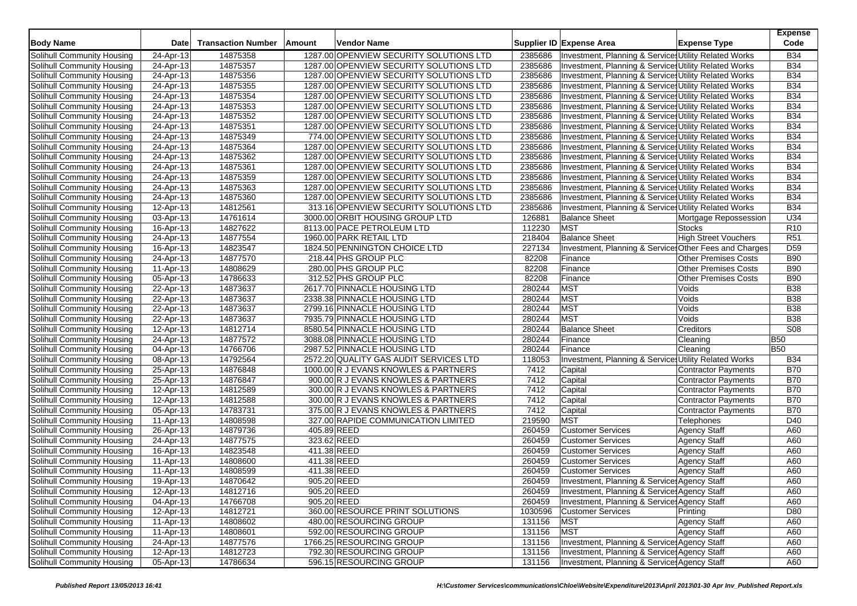| <b>Body Name</b>           | Date                    | <b>Transaction Number</b> | Amount      | <b>Vendor Name</b>                      |         | Supplier ID Expense Area                              | <b>Expense Type</b>         | <b>Expense</b><br>Code |
|----------------------------|-------------------------|---------------------------|-------------|-----------------------------------------|---------|-------------------------------------------------------|-----------------------------|------------------------|
| Solihull Community Housing | 24-Apr-13               | 14875358                  |             | 1287.00 OPENVIEW SECURITY SOLUTIONS LTD | 2385686 | Investment, Planning & Services Utility Related Works |                             | <b>B34</b>             |
| Solihull Community Housing | 24-Apr-13               | 14875357                  |             | 1287.00 OPENVIEW SECURITY SOLUTIONS LTD | 2385686 | Investment, Planning & Services Utility Related Works |                             | <b>B34</b>             |
| Solihull Community Housing | 24-Apr-13               | 14875356                  |             | 1287.00 OPENVIEW SECURITY SOLUTIONS LTD | 2385686 | Investment, Planning & Services Utility Related Works |                             | <b>B34</b>             |
| Solihull Community Housing | 24-Apr-13               | 14875355                  |             | 1287.00 OPENVIEW SECURITY SOLUTIONS LTD | 2385686 | Investment, Planning & Services Utility Related Works |                             | <b>B34</b>             |
| Solihull Community Housing | 24-Apr-13               | 14875354                  |             | 1287.00 OPENVIEW SECURITY SOLUTIONS LTD | 2385686 | Investment, Planning & Services Utility Related Works |                             | <b>B34</b>             |
| Solihull Community Housing | 24-Apr-13               | 14875353                  |             | 1287.00 OPENVIEW SECURITY SOLUTIONS LTD | 2385686 | Investment, Planning & Services Utility Related Works |                             | <b>B34</b>             |
| Solihull Community Housing | 24-Apr-13               | 14875352                  |             | 1287.00 OPENVIEW SECURITY SOLUTIONS LTD | 2385686 | Investment, Planning & Services Utility Related Works |                             | <b>B34</b>             |
| Solihull Community Housing | 24-Apr-13               | 14875351                  |             | 1287.00 OPENVIEW SECURITY SOLUTIONS LTD | 2385686 | Investment, Planning & Services Utility Related Works |                             | <b>B34</b>             |
| Solihull Community Housing | 24-Apr-13               | 14875349                  |             | 774.00 OPENVIEW SECURITY SOLUTIONS LTD  | 2385686 | Investment, Planning & Service Utility Related Works  |                             | <b>B34</b>             |
| Solihull Community Housing | 24-Apr-13               | 14875364                  |             | 1287.00 OPENVIEW SECURITY SOLUTIONS LTD | 2385686 | Investment, Planning & Services Utility Related Works |                             | <b>B34</b>             |
| Solihull Community Housing | 24-Apr-13               | 14875362                  |             | 1287.00 OPENVIEW SECURITY SOLUTIONS LTD | 2385686 | Investment, Planning & Services Utility Related Works |                             | <b>B34</b>             |
| Solihull Community Housing | 24-Apr-13               | 14875361                  |             | 1287.00 OPENVIEW SECURITY SOLUTIONS LTD | 2385686 | Investment, Planning & Services Utility Related Works |                             | <b>B34</b>             |
| Solihull Community Housing | 24-Apr-13               | 14875359                  |             | 1287.00 OPENVIEW SECURITY SOLUTIONS LTD | 2385686 | Investment, Planning & Services Utility Related Works |                             | <b>B34</b>             |
| Solihull Community Housing | 24-Apr-13               | 14875363                  |             | 1287.00 OPENVIEW SECURITY SOLUTIONS LTD | 2385686 | Investment, Planning & Services Utility Related Works |                             | <b>B34</b>             |
| Solihull Community Housing | 24-Apr-13               | 14875360                  |             | 1287.00 OPENVIEW SECURITY SOLUTIONS LTD | 2385686 | Investment, Planning & Services Utility Related Works |                             | <b>B34</b>             |
| Solihull Community Housing | $\overline{12}$ -Apr-13 | 14812561                  |             | 313.16 OPENVIEW SECURITY SOLUTIONS LTD  | 2385686 | Investment, Planning & Services Utility Related Works |                             | <b>B34</b>             |
| Solihull Community Housing | 03-Apr-13               | 14761614                  |             | 3000.00 ORBIT HOUSING GROUP LTD         | 126881  | <b>Balance Sheet</b>                                  | Mortgage Repossession       | U34                    |
| Solihull Community Housing | 16-Apr-13               | 14827622                  |             | 8113.00 PACE PETROLEUM LTD              | 112230  | <b>MST</b>                                            | <b>Stocks</b>               | R <sub>10</sub>        |
| Solihull Community Housing | 24-Apr-13               | 14877554                  |             | 1960.00 PARK RETAIL LTD                 | 218404  | <b>Balance Sheet</b>                                  | <b>High Street Vouchers</b> | <b>R51</b>             |
| Solihull Community Housing | 16-Apr-13               | 14823547                  |             | 1824.50 PENNINGTON CHOICE LTD           | 227134  | Investment, Planning & Service Other Fees and Charges |                             | D <sub>59</sub>        |
| Solihull Community Housing | 24-Apr-13               | 14877570                  |             | 218.44 PHS GROUP PLC                    | 82208   | Finance                                               | <b>Other Premises Costs</b> | <b>B90</b>             |
| Solihull Community Housing | 11-Apr-13               | 14808629                  |             | 280.00 PHS GROUP PLC                    | 82208   | Finance                                               | <b>Other Premises Costs</b> | <b>B90</b>             |
| Solihull Community Housing | 05-Apr-13               | 14786633                  |             | 312.52 PHS GROUP PLC                    | 82208   | Finance                                               | Other Premises Costs        | <b>B90</b>             |
| Solihull Community Housing | 22-Apr-13               | 14873637                  |             | 2617.70 PINNACLE HOUSING LTD            | 280244  | <b>MST</b>                                            | Voids                       | <b>B38</b>             |
| Solihull Community Housing | 22-Apr-13               | 14873637                  |             | 2338.38 PINNACLE HOUSING LTD            | 280244  | <b>MST</b>                                            | Voids                       | <b>B38</b>             |
| Solihull Community Housing | 22-Apr-13               | 14873637                  |             | 2799.16 PINNACLE HOUSING LTD            | 280244  | <b>MST</b>                                            | Voids                       | <b>B38</b>             |
| Solihull Community Housing | 22-Apr-13               | 14873637                  |             | 7935.79 PINNACLE HOUSING LTD            | 280244  | <b>MST</b>                                            | Voids                       | <b>B38</b>             |
| Solihull Community Housing | 12-Apr-13               | 14812714                  |             | 8580.54 PINNACLE HOUSING LTD            | 280244  | <b>Balance Sheet</b>                                  | Creditors                   | <b>S08</b>             |
| Solihull Community Housing | 24-Apr-13               | 14877572                  |             | 3088.08 PINNACLE HOUSING LTD            | 280244  | Finance                                               | Cleaning                    | <b>B50</b>             |
| Solihull Community Housing | 04-Apr-13               | 14766706                  |             | 2987.52 PINNACLE HOUSING LTD            | 280244  | Finance                                               | Cleaning                    | <b>B50</b>             |
| Solihull Community Housing | 08-Apr-13               | 14792564                  |             | 2572.20 QUALITY GAS AUDIT SERVICES LTD  | 118053  | Investment, Planning & Services Utility Related Works |                             | <b>B34</b>             |
| Solihull Community Housing | 25-Apr-13               | 14876848                  |             | 1000.00 R J EVANS KNOWLES & PARTNERS    | 7412    | Capital                                               | Contractor Payments         | <b>B70</b>             |
| Solihull Community Housing | 25-Apr-13               | 14876847                  |             | 900.00 R J EVANS KNOWLES & PARTNERS     | 7412    | Capital                                               | Contractor Payments         | <b>B70</b>             |
| Solihull Community Housing | 12-Apr-13               | 14812589                  |             | 300.00 R J EVANS KNOWLES & PARTNERS     | 7412    | Capital                                               | Contractor Payments         | <b>B70</b>             |
| Solihull Community Housing | 12-Apr-13               | 14812588                  |             | 300.00 R J EVANS KNOWLES & PARTNERS     | 7412    | Capital                                               | Contractor Payments         | <b>B70</b>             |
| Solihull Community Housing | 05-Apr-13               | 14783731                  |             | 375.00 R J EVANS KNOWLES & PARTNERS     | 7412    | Capital                                               | <b>Contractor Payments</b>  | <b>B70</b>             |
| Solihull Community Housing | 11-Apr-13               | 14808598                  |             | 327.00 RAPIDE COMMUNICATION LIMITED     | 219590  | <b>MST</b>                                            | Telephones                  | D40                    |
| Solihull Community Housing | 26-Apr-13               | 14879736                  |             | 405.89 REED                             | 260459  | <b>Customer Services</b>                              | <b>Agency Staff</b>         | A60                    |
| Solihull Community Housing | 24-Apr-13               | 14877575                  |             | 323.62 REED                             | 260459  | <b>Customer Services</b>                              | <b>Agency Staff</b>         | A60                    |
| Solihull Community Housing | 16-Apr-13               | 14823548                  |             | 411.38 REED                             | 260459  | <b>Customer Services</b>                              | <b>Agency Staff</b>         | A60                    |
| Solihull Community Housing | 11-Apr-13               | 14808600                  |             | 411.38 REED                             | 260459  | <b>Customer Services</b>                              | <b>Agency Staff</b>         | A60                    |
| Solihull Community Housing | 11-Apr-13               | 14808599                  | 411.38 REED |                                         | 260459  | <b>Customer Services</b>                              | <b>Agency Staff</b>         | A60                    |
| Solihull Community Housing | 19-Apr-13               | 14870642                  |             | 905.20 REED                             | 260459  | Investment, Planning & Service: Agency Staff          |                             | A60                    |
| Solihull Community Housing | 12-Apr-13               | 14812716                  |             | 905.20 REED                             | 260459  | Investment, Planning & Services Agency Staff          |                             | A60                    |
| Solihull Community Housing | 04-Apr-13               | 14766708                  |             | 905.20 REED                             | 260459  | Investment, Planning & Services Agency Staff          |                             | A60                    |
| Solihull Community Housing | 12-Apr-13               | 14812721                  |             | 360.00 RESOURCE PRINT SOLUTIONS         | 1030596 | <b>Customer Services</b>                              | Printing                    | D80                    |
| Solihull Community Housing | 11-Apr-13               | 14808602                  |             | 480.00 RESOURCING GROUP                 | 131156  | <b>MST</b>                                            | <b>Agency Staff</b>         | A60                    |
| Solihull Community Housing | 11-Apr-13               | 14808601                  |             | 592.00 RESOURCING GROUP                 | 131156  | <b>MST</b>                                            | <b>Agency Staff</b>         | A60                    |
| Solihull Community Housing | 24-Apr-13               | 14877576                  |             | 1766.25 RESOURCING GROUP                | 131156  | Investment, Planning & Services Agency Staff          |                             | A60                    |
| Solihull Community Housing | 12-Apr-13               | 14812723                  |             | 792.30 RESOURCING GROUP                 | 131156  | Investment, Planning & Services Agency Staff          |                             | A60                    |
| Solihull Community Housing | 05-Apr-13               | 14786634                  |             | 596.15 RESOURCING GROUP                 | 131156  | Investment, Planning & Service: Agency Staff          |                             | A60                    |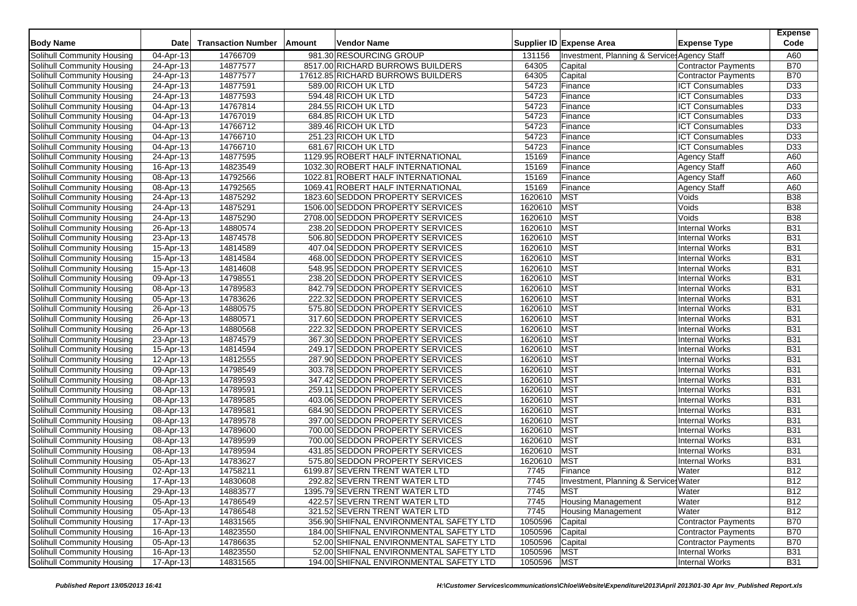| 981.30 RESOURCING GROUP<br>Solihull Community Housing<br>14766709<br>Investment, Planning & Services Agency Staff<br>04-Apr-13<br>131156<br>14877577<br>8517.00 RICHARD BURROWS BUILDERS<br>64305<br>Solihull Community Housing<br>24-Apr-13<br><b>Contractor Payments</b><br>Capital<br>14877577<br>17612.85 RICHARD BURROWS BUILDERS<br>64305<br>Solihull Community Housing<br>24-Apr-13<br>Capital<br>Contractor Payments<br>Solihull Community Housing<br>14877591<br>589.00 RICOH UK LTD<br>54723<br>Finance<br><b>ICT Consumables</b><br>24-Apr-13<br>Solihull Community Housing<br>24-Apr-13<br>14877593<br>594.48 RICOH UK LTD<br>54723<br><b>ICT Consumables</b><br>Finance | A60<br><b>B70</b><br><b>B70</b><br>D33<br>D33<br>D33<br>D33<br>D33<br>D33<br>D33 |
|--------------------------------------------------------------------------------------------------------------------------------------------------------------------------------------------------------------------------------------------------------------------------------------------------------------------------------------------------------------------------------------------------------------------------------------------------------------------------------------------------------------------------------------------------------------------------------------------------------------------------------------------------------------------------------------|----------------------------------------------------------------------------------|
|                                                                                                                                                                                                                                                                                                                                                                                                                                                                                                                                                                                                                                                                                      |                                                                                  |
|                                                                                                                                                                                                                                                                                                                                                                                                                                                                                                                                                                                                                                                                                      |                                                                                  |
|                                                                                                                                                                                                                                                                                                                                                                                                                                                                                                                                                                                                                                                                                      |                                                                                  |
|                                                                                                                                                                                                                                                                                                                                                                                                                                                                                                                                                                                                                                                                                      |                                                                                  |
|                                                                                                                                                                                                                                                                                                                                                                                                                                                                                                                                                                                                                                                                                      |                                                                                  |
| 14767814<br>284.55 RICOH UK LTD<br>54723<br><b>ICT Consumables</b><br>Solihull Community Housing<br>04-Apr-13<br>Finance                                                                                                                                                                                                                                                                                                                                                                                                                                                                                                                                                             |                                                                                  |
| Solihull Community Housing<br>14767019<br>684.85 RICOH UK LTD<br>54723<br>Finance<br><b>ICT Consumables</b><br>04-Apr-13                                                                                                                                                                                                                                                                                                                                                                                                                                                                                                                                                             |                                                                                  |
| 14766712<br>389.46 RICOH UK LTD<br>54723<br><b>ICT Consumables</b><br>Solihull Community Housing<br>04-Apr-13<br>Finance                                                                                                                                                                                                                                                                                                                                                                                                                                                                                                                                                             |                                                                                  |
| 14766710<br>251.23 RICOH UK LTD<br>54723<br><b>ICT Consumables</b><br>Solihull Community Housing<br>04-Apr-13<br>Finance                                                                                                                                                                                                                                                                                                                                                                                                                                                                                                                                                             |                                                                                  |
| Solihull Community Housing<br>14766710<br>681.67 RICOH UK LTD<br>54723<br>Finance<br><b>ICT Consumables</b><br>04-Apr-13                                                                                                                                                                                                                                                                                                                                                                                                                                                                                                                                                             |                                                                                  |
| 14877595<br>1129.95 ROBERT HALF INTERNATIONAL<br>15169<br>Solihull Community Housing<br>24-Apr-13<br>Finance<br><b>Agency Staff</b>                                                                                                                                                                                                                                                                                                                                                                                                                                                                                                                                                  | A60                                                                              |
| 14823549<br>1032.30 ROBERT HALF INTERNATIONAL<br>15169<br><b>Agency Staff</b><br>Solihull Community Housing<br>16-Apr-13<br>Finance                                                                                                                                                                                                                                                                                                                                                                                                                                                                                                                                                  | A60                                                                              |
| 14792566<br>1022.81 ROBERT HALF INTERNATIONAL<br>15169<br>Finance<br><b>Agency Staff</b><br>Solihull Community Housing<br>08-Apr-13                                                                                                                                                                                                                                                                                                                                                                                                                                                                                                                                                  | A60                                                                              |
| 15169<br>Solihull Community Housing<br>14792565<br>1069.41 ROBERT HALF INTERNATIONAL<br>Agency Staff<br>08-Apr-13<br>Finance                                                                                                                                                                                                                                                                                                                                                                                                                                                                                                                                                         | A60                                                                              |
| 14875292<br>1620610<br><b>MST</b><br>1823.60 SEDDON PROPERTY SERVICES<br>Solihull Community Housing<br>24-Apr-13<br>Voids                                                                                                                                                                                                                                                                                                                                                                                                                                                                                                                                                            | <b>B38</b>                                                                       |
| 14875291<br><b>MST</b><br>1506.00 SEDDON PROPERTY SERVICES<br>1620610<br>Voids<br>Solihull Community Housing<br>24-Apr-13                                                                                                                                                                                                                                                                                                                                                                                                                                                                                                                                                            | <b>B38</b>                                                                       |
| 14875290<br>1620610<br><b>MST</b><br>Solihull Community Housing<br>2708.00 SEDDON PROPERTY SERVICES<br>Voids<br>24-Apr-13                                                                                                                                                                                                                                                                                                                                                                                                                                                                                                                                                            | <b>B38</b>                                                                       |
| MST<br>14880574<br>238.20 SEDDON PROPERTY SERVICES<br>1620610<br><b>Internal Works</b><br>Solihull Community Housing<br>26-Apr-13                                                                                                                                                                                                                                                                                                                                                                                                                                                                                                                                                    | <b>B31</b>                                                                       |
| 1620610<br><b>MST</b><br>Solihull Community Housing<br>14874578<br>506.80 SEDDON PROPERTY SERVICES<br><b>Internal Works</b><br>23-Apr-13                                                                                                                                                                                                                                                                                                                                                                                                                                                                                                                                             | <b>B31</b>                                                                       |
| 1620610<br><b>MST</b><br>14814589<br>407.04 SEDDON PROPERTY SERVICES<br><b>Internal Works</b><br>Solihull Community Housing<br>15-Apr-13                                                                                                                                                                                                                                                                                                                                                                                                                                                                                                                                             | <b>B31</b>                                                                       |
| 1620610<br>MST<br>15-Apr-13<br>14814584<br>468.00 SEDDON PROPERTY SERVICES<br><b>Internal Works</b><br>Solihull Community Housing                                                                                                                                                                                                                                                                                                                                                                                                                                                                                                                                                    | <b>B31</b>                                                                       |
| <b>MST</b><br>14814608<br>548.95 SEDDON PROPERTY SERVICES<br>1620610<br><b>Internal Works</b><br>Solihull Community Housing<br>15-Apr-13                                                                                                                                                                                                                                                                                                                                                                                                                                                                                                                                             | <b>B31</b>                                                                       |
| <b>MST</b><br>1620610<br>Solihull Community Housing<br>14798551<br>238.20 SEDDON PROPERTY SERVICES<br><b>Internal Works</b><br>09-Apr-13                                                                                                                                                                                                                                                                                                                                                                                                                                                                                                                                             | <b>B31</b>                                                                       |
| 14789583<br>1620610<br>MST<br>Solihull Community Housing<br>08-Apr-13<br>842.79 SEDDON PROPERTY SERVICES<br><b>Internal Works</b>                                                                                                                                                                                                                                                                                                                                                                                                                                                                                                                                                    | <b>B31</b>                                                                       |
| 1620610<br><b>MST</b><br>Solihull Community Housing<br>14783626<br>222.32 SEDDON PROPERTY SERVICES<br><b>Internal Works</b><br>05-Apr-13                                                                                                                                                                                                                                                                                                                                                                                                                                                                                                                                             | <b>B31</b>                                                                       |
| 1620610<br><b>MST</b><br>Solihull Community Housing<br>14880575<br>575.80 SEDDON PROPERTY SERVICES<br><b>Internal Works</b><br>26-Apr-13                                                                                                                                                                                                                                                                                                                                                                                                                                                                                                                                             | <b>B31</b>                                                                       |
| 1620610<br>MST<br>Solihull Community Housing<br>14880571<br>317.60 SEDDON PROPERTY SERVICES<br>Internal Works<br>26-Apr-13                                                                                                                                                                                                                                                                                                                                                                                                                                                                                                                                                           | <b>B31</b>                                                                       |
| <b>MST</b><br>Solihull Community Housing<br>14880568<br>222.32 SEDDON PROPERTY SERVICES<br>1620610<br><b>Internal Works</b><br>26-Apr-13                                                                                                                                                                                                                                                                                                                                                                                                                                                                                                                                             | <b>B31</b>                                                                       |
| 14874579<br>1620610<br><b>MST</b><br>367.30 SEDDON PROPERTY SERVICES<br><b>Internal Works</b><br>Solihull Community Housing<br>23-Apr-13                                                                                                                                                                                                                                                                                                                                                                                                                                                                                                                                             | <b>B31</b>                                                                       |
| 1620610<br>MST<br>Solihull Community Housing<br>15-Apr-13<br>14814594<br>249.17 SEDDON PROPERTY SERVICES<br><b>Internal Works</b>                                                                                                                                                                                                                                                                                                                                                                                                                                                                                                                                                    | <b>B31</b>                                                                       |
| 1620610<br><b>MST</b><br>Solihull Community Housing<br>$\overline{12}$ -Apr-13<br>14812555<br>287.90 SEDDON PROPERTY SERVICES<br><b>Internal Works</b>                                                                                                                                                                                                                                                                                                                                                                                                                                                                                                                               | <b>B31</b>                                                                       |
| MST<br>14798549<br>1620610<br><b>Internal Works</b><br>Solihull Community Housing<br>09-Apr-13<br>303.78 SEDDON PROPERTY SERVICES                                                                                                                                                                                                                                                                                                                                                                                                                                                                                                                                                    | <b>B31</b>                                                                       |
| 14789593<br>1620610<br>MST<br>Solihull Community Housing<br>08-Apr-13<br>347.42 SEDDON PROPERTY SERVICES<br><b>Internal Works</b>                                                                                                                                                                                                                                                                                                                                                                                                                                                                                                                                                    | <b>B31</b>                                                                       |
| <b>MST</b><br>14789591<br>259.11 SEDDON PROPERTY SERVICES<br>1620610<br><b>Internal Works</b><br>Solihull Community Housing<br>08-Apr-13                                                                                                                                                                                                                                                                                                                                                                                                                                                                                                                                             | <b>B31</b>                                                                       |
| <b>MST</b><br>14789585<br>403.06 SEDDON PROPERTY SERVICES<br>1620610<br><b>Internal Works</b><br>Solihull Community Housing<br>08-Apr-13                                                                                                                                                                                                                                                                                                                                                                                                                                                                                                                                             | <b>B31</b>                                                                       |
| 14789581<br>1620610<br><b>MST</b><br>684.90 SEDDON PROPERTY SERVICES<br><b>Internal Works</b><br><b>Solihull Community Housing</b><br>08-Apr-13                                                                                                                                                                                                                                                                                                                                                                                                                                                                                                                                      | <b>B31</b>                                                                       |
| 1620610<br><b>MST</b><br>Solihull Community Housing<br>14789578<br>397.00 SEDDON PROPERTY SERVICES<br><b>Internal Works</b><br>08-Apr-13                                                                                                                                                                                                                                                                                                                                                                                                                                                                                                                                             | <b>B31</b>                                                                       |
| MST<br>14789600<br>700.00 SEDDON PROPERTY SERVICES<br>1620610<br><b>Internal Works</b><br>Solihull Community Housing<br>08-Apr-13                                                                                                                                                                                                                                                                                                                                                                                                                                                                                                                                                    | <b>B31</b>                                                                       |
| 1620610<br><b>MST</b><br>14789599<br>700.00 SEDDON PROPERTY SERVICES<br><b>Internal Works</b><br>Solihull Community Housing<br>08-Apr-13                                                                                                                                                                                                                                                                                                                                                                                                                                                                                                                                             | <b>B31</b>                                                                       |
| <b>MST</b><br>14789594<br>431.85 SEDDON PROPERTY SERVICES<br>1620610<br>Solihull Community Housing<br>08-Apr-13<br><b>Internal Works</b>                                                                                                                                                                                                                                                                                                                                                                                                                                                                                                                                             | <b>B31</b>                                                                       |
| 14783627<br>MST<br>575.80 SEDDON PROPERTY SERVICES<br>1620610<br><b>Internal Works</b><br>Solihull Community Housing<br>05-Apr-13                                                                                                                                                                                                                                                                                                                                                                                                                                                                                                                                                    | <b>B31</b>                                                                       |
| 14758211<br>7745<br>Solihull Community Housing<br>6199.87 SEVERN TRENT WATER LTD<br>Finance<br>02-Apr-13<br>Water                                                                                                                                                                                                                                                                                                                                                                                                                                                                                                                                                                    | <b>B12</b>                                                                       |
| 14830608<br>7745<br>Solihull Community Housing<br>17-Apr-13<br>292.82 SEVERN TRENT WATER LTD<br>Investment, Planning & Services Water                                                                                                                                                                                                                                                                                                                                                                                                                                                                                                                                                | <b>B12</b>                                                                       |
| <b>MST</b><br>Solihull Community Housing<br>29-Apr-13<br>14883577<br>1395.79 SEVERN TRENT WATER LTD<br>Water<br>7745                                                                                                                                                                                                                                                                                                                                                                                                                                                                                                                                                                 | <b>B12</b>                                                                       |
| <b>Housing Management</b><br>Solihull Community Housing<br>05-Apr-13<br>14786549<br>422.57 SEVERN TRENT WATER LTD<br>7745<br>Water                                                                                                                                                                                                                                                                                                                                                                                                                                                                                                                                                   | <b>B12</b>                                                                       |
| Solihull Community Housing<br>05-Apr-13<br>14786548<br>321.52 SEVERN TRENT WATER LTD<br>7745<br><b>Housing Management</b><br>Water                                                                                                                                                                                                                                                                                                                                                                                                                                                                                                                                                   | <b>B12</b>                                                                       |
| 14831565<br>Solihull Community Housing<br>17-Apr-13<br>356.90 SHIFNAL ENVIRONMENTAL SAFETY LTD<br>1050596<br>Capital<br>Contractor Payments                                                                                                                                                                                                                                                                                                                                                                                                                                                                                                                                          | <b>B70</b>                                                                       |
| Solihull Community Housing<br>16-Apr-13<br>14823550<br>184.00 SHIFNAL ENVIRONMENTAL SAFETY LTD<br>Capital<br>Contractor Payments<br>1050596                                                                                                                                                                                                                                                                                                                                                                                                                                                                                                                                          | <b>B70</b>                                                                       |
| Solihull Community Housing<br>05-Apr-13<br>52.00 SHIFNAL ENVIRONMENTAL SAFETY LTD<br>Capital<br>Contractor Payments<br>14786635<br>1050596                                                                                                                                                                                                                                                                                                                                                                                                                                                                                                                                           | <b>B70</b>                                                                       |
| <b>MST</b><br>Solihull Community Housing<br>$16 - Apr - 13$<br>14823550<br>52.00 SHIFNAL ENVIRONMENTAL SAFETY LTD<br>1050596<br>Internal Works                                                                                                                                                                                                                                                                                                                                                                                                                                                                                                                                       | <b>B31</b>                                                                       |
| 1050596 MST<br>Solihull Community Housing<br>17-Apr-13<br>14831565<br>194.00 SHIFNAL ENVIRONMENTAL SAFETY LTD<br>Internal Works                                                                                                                                                                                                                                                                                                                                                                                                                                                                                                                                                      | <b>B31</b>                                                                       |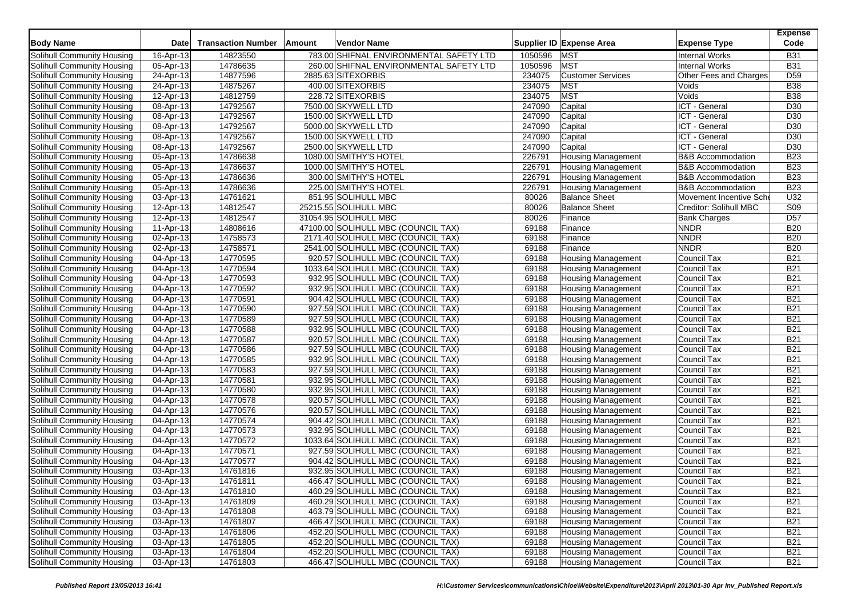| <b>Body Name</b>                  | <b>Date</b> | <b>Transaction Number</b> | Amount | <b>Vendor Name</b>                      |         | Supplier ID Expense Area  | <b>Expense Type</b>          | <b>Expense</b><br>Code |
|-----------------------------------|-------------|---------------------------|--------|-----------------------------------------|---------|---------------------------|------------------------------|------------------------|
| Solihull Community Housing        | 16-Apr-13   | 14823550                  |        | 783.00 SHIFNAL ENVIRONMENTAL SAFETY LTD | 1050596 | <b>MST</b>                | <b>Internal Works</b>        | <b>B31</b>             |
| Solihull Community Housing        | 05-Apr-13   | 14786635                  |        | 260.00 SHIFNAL ENVIRONMENTAL SAFETY LTD | 1050596 | <b>MST</b>                | <b>Internal Works</b>        | <b>B31</b>             |
| Solihull Community Housing        | 24-Apr-13   | 14877596                  |        | 2885.63 SITEXORBIS                      | 234075  | <b>Customer Services</b>  | Other Fees and Charges       | D <sub>59</sub>        |
| Solihull Community Housing        | 24-Apr-13   | 14875267                  |        | 400.00 SITEXORBIS                       | 234075  | <b>MST</b>                | Voids                        | <b>B38</b>             |
| Solihull Community Housing        | 12-Apr-13   | 14812759                  |        | 228.72 SITEXORBIS                       | 234075  | <b>MST</b>                | Voids                        | <b>B38</b>             |
| Solihull Community Housing        | 08-Apr-13   | 14792567                  |        | 7500.00 SKYWELL LTD                     | 247090  | Capital                   | ICT - General                | D30                    |
| Solihull Community Housing        | 08-Apr-13   | 14792567                  |        | 1500.00 SKYWELL LTD                     | 247090  | Capital                   | ICT - General                | D30                    |
| Solihull Community Housing        | 08-Apr-13   | 14792567                  |        | 5000.00 SKYWELL LTD                     | 247090  | Capital                   | ICT - General                | D30                    |
| Solihull Community Housing        | 08-Apr-13   | 14792567                  |        | 1500.00 SKYWELL LTD                     | 247090  | Capital                   | ICT - General                | D30                    |
| Solihull Community Housing        | 08-Apr-13   | 14792567                  |        | 2500.00 SKYWELL LTD                     | 247090  | Capital                   | ICT - General                | D30                    |
| Solihull Community Housing        | 05-Apr-13   | 14786638                  |        | 1080.00 SMITHY'S HOTEL                  | 226791  | <b>Housing Management</b> | <b>B&amp;B Accommodation</b> | <b>B23</b>             |
| Solihull Community Housing        | 05-Apr-13   | 14786637                  |        | 1000.00 SMITHY'S HOTEL                  | 226791  | <b>Housing Management</b> | <b>B&amp;B Accommodation</b> | <b>B23</b>             |
| Solihull Community Housing        | 05-Apr-13   | 14786636                  |        | 300.00 SMITHY'S HOTEL                   | 226791  | <b>Housing Management</b> | <b>B&amp;B Accommodation</b> | <b>B23</b>             |
| Solihull Community Housing        | 05-Apr-13   | 14786636                  |        | 225.00 SMITHY'S HOTEL                   | 226791  | <b>Housing Management</b> | <b>B&amp;B Accommodation</b> | <b>B23</b>             |
| Solihull Community Housing        | 03-Apr-13   | 14761621                  |        | 851.95 SOLIHULL MBC                     | 80026   | <b>Balance Sheet</b>      | Movement Incentive Sche      | U <sub>32</sub>        |
| Solihull Community Housing        | 12-Apr-13   | 14812547                  |        | 25215.55 SOLIHULL MBC                   | 80026   | <b>Balance Sheet</b>      | Creditor: Solihull MBC       | S <sub>09</sub>        |
| Solihull Community Housing        | 12-Apr-13   | 14812547                  |        | 31054.95 SOLIHULL MBC                   | 80026   | Finance                   | <b>Bank Charges</b>          | D <sub>57</sub>        |
| Solihull Community Housing        | 11-Apr-13   | 14808616                  |        | 47100.00 SOLIHULL MBC (COUNCIL TAX)     | 69188   | Finance                   | <b>NNDR</b>                  | <b>B20</b>             |
| Solihull Community Housing        | 02-Apr-13   | 14758573                  |        | 2171.40 SOLIHULL MBC (COUNCIL TAX)      | 69188   | Finance                   | <b>NNDR</b>                  | <b>B20</b>             |
| Solihull Community Housing        | 02-Apr-13   | 14758571                  |        | 2541.00 SOLIHULL MBC (COUNCIL TAX)      | 69188   | Finance                   | <b>NNDR</b>                  | <b>B20</b>             |
| Solihull Community Housing        | 04-Apr-13   | 14770595                  |        | 920.57 SOLIHULL MBC (COUNCIL TAX)       | 69188   | <b>Housing Management</b> | Council Tax                  | <b>B21</b>             |
| Solihull Community Housing        | 04-Apr-13   | 14770594                  |        | 1033.64 SOLIHULL MBC (COUNCIL TAX)      | 69188   | <b>Housing Management</b> | Council Tax                  | <b>B21</b>             |
| Solihull Community Housing        | 04-Apr-13   | 14770593                  |        | 932.95 SOLIHULL MBC (COUNCIL TAX)       | 69188   | <b>Housing Management</b> | Council Tax                  | <b>B21</b>             |
| Solihull Community Housing        | 04-Apr-13   | 14770592                  |        | 932.95 SOLIHULL MBC (COUNCIL TAX)       | 69188   | <b>Housing Management</b> | <b>Council Tax</b>           | <b>B21</b>             |
| Solihull Community Housing        | 04-Apr-13   | 14770591                  |        | 904.42 SOLIHULL MBC (COUNCIL TAX)       | 69188   | <b>Housing Management</b> | Council Tax                  | <b>B21</b>             |
| Solihull Community Housing        | 04-Apr-13   | 14770590                  |        | 927.59 SOLIHULL MBC (COUNCIL TAX)       | 69188   | <b>Housing Management</b> | Council Tax                  | <b>B21</b>             |
| Solihull Community Housing        | 04-Apr-13   | 14770589                  |        | 927.59 SOLIHULL MBC (COUNCIL TAX)       | 69188   | Housing Management        | Council Tax                  | <b>B21</b>             |
| Solihull Community Housing        | 04-Apr-13   | 14770588                  |        | 932.95 SOLIHULL MBC (COUNCIL TAX)       | 69188   | <b>Housing Management</b> | Council Tax                  | <b>B21</b>             |
| Solihull Community Housing        | 04-Apr-13   | 14770587                  |        | 920.57 SOLIHULL MBC (COUNCIL TAX)       | 69188   | <b>Housing Management</b> | Council Tax                  | <b>B21</b>             |
| Solihull Community Housing        | 04-Apr-13   | 14770586                  |        | 927.59 SOLIHULL MBC (COUNCIL TAX)       | 69188   | <b>Housing Management</b> | Council Tax                  | <b>B21</b>             |
| Solihull Community Housing        | 04-Apr-13   | 14770585                  |        | 932.95 SOLIHULL MBC (COUNCIL TAX)       | 69188   | <b>Housing Management</b> | Council Tax                  | <b>B21</b>             |
| Solihull Community Housing        | 04-Apr-13   | 14770583                  |        | 927.59 SOLIHULL MBC (COUNCIL TAX)       | 69188   | <b>Housing Management</b> | Council Tax                  | <b>B21</b>             |
| Solihull Community Housing        | 04-Apr-13   | 14770581                  |        | 932.95 SOLIHULL MBC (COUNCIL TAX)       | 69188   | <b>Housing Management</b> | <b>Council Tax</b>           | <b>B21</b>             |
| Solihull Community Housing        | 04-Apr-13   | 14770580                  |        | 932.95 SOLIHULL MBC (COUNCIL TAX)       | 69188   | <b>Housing Management</b> | Council Tax                  | <b>B21</b>             |
| Solihull Community Housing        | 04-Apr-13   | 14770578                  |        | 920.57 SOLIHULL MBC (COUNCIL TAX)       | 69188   | <b>Housing Management</b> | Council Tax                  | <b>B21</b>             |
| Solihull Community Housing        | 04-Apr-13   | 14770576                  |        | 920.57 SOLIHULL MBC (COUNCIL TAX)       | 69188   | <b>Housing Management</b> | <b>Council Tax</b>           | <b>B21</b>             |
| Solihull Community Housing        | 04-Apr-13   | 14770574                  |        | 904.42 SOLIHULL MBC (COUNCIL TAX)       | 69188   | <b>Housing Management</b> | <b>Council Tax</b>           | <b>B21</b>             |
| Solihull Community Housing        | 04-Apr-13   | 14770573                  |        | 932.95 SOLIHULL MBC (COUNCIL TAX)       | 69188   | <b>Housing Management</b> | Council Tax                  | <b>B21</b>             |
| Solihull Community Housing        | 04-Apr-13   | 14770572                  |        | 1033.64 SOLIHULL MBC (COUNCIL TAX)      | 69188   | <b>Housing Management</b> | Council Tax                  | <b>B21</b>             |
| Solihull Community Housing        | 04-Apr-13   | 14770571                  |        | 927.59 SOLIHULL MBC (COUNCIL TAX)       | 69188   | <b>Housing Management</b> | Council Tax                  | <b>B21</b>             |
| Solihull Community Housing        | 04-Apr-13   | 14770577                  |        | 904.42 SOLIHULL MBC (COUNCIL TAX)       | 69188   | <b>Housing Management</b> | Council Tax                  | <b>B21</b>             |
| Solihull Community Housing        | 03-Apr-13   | 14761816                  |        | 932.95 SOLIHULL MBC (COUNCIL TAX)       | 69188   | <b>Housing Management</b> | Council Tax                  | <b>B21</b>             |
| Solihull Community Housing        | 03-Apr-13   | 14761811                  |        | 466.47 SOLIHULL MBC (COUNCIL TAX)       | 69188   | <b>Housing Management</b> | Council Tax                  | <b>B21</b>             |
| Solihull Community Housing        | 03-Apr-13   | 14761810                  |        | 460.29 SOLIHULL MBC (COUNCIL TAX)       | 69188   | <b>Housing Management</b> | Council Tax                  | <b>B21</b>             |
| Solihull Community Housing        | 03-Apr-13   | 14761809                  |        | 460.29 SOLIHULL MBC (COUNCIL TAX)       | 69188   | <b>Housing Management</b> | Council Tax                  | <b>B21</b>             |
| Solihull Community Housing        | 03-Apr-13   | 14761808                  |        | 463.79 SOLIHULL MBC (COUNCIL TAX)       | 69188   | <b>Housing Management</b> | Council Tax                  | <b>B21</b>             |
| Solihull Community Housing        | 03-Apr-13   | 14761807                  |        | 466.47 SOLIHULL MBC (COUNCIL TAX)       | 69188   | <b>Housing Management</b> | Council Tax                  | <b>B21</b>             |
| Solihull Community Housing        | 03-Apr-13   | 14761806                  |        | 452.20 SOLIHULL MBC (COUNCIL TAX)       | 69188   | <b>Housing Management</b> | Council Tax                  | <b>B21</b>             |
| Solihull Community Housing        | 03-Apr-13   | 14761805                  |        | 452.20 SOLIHULL MBC (COUNCIL TAX)       | 69188   | <b>Housing Management</b> | Council Tax                  | <b>B21</b>             |
| <b>Solihull Community Housing</b> | 03-Apr-13   | 14761804                  |        | 452.20 SOLIHULL MBC (COUNCIL TAX)       | 69188   | <b>Housing Management</b> | Council Tax                  | <b>B21</b>             |
| Solihull Community Housing        | 03-Apr-13   | 14761803                  |        | 466.47 SOLIHULL MBC (COUNCIL TAX)       | 69188   | <b>Housing Management</b> | Council Tax                  | <b>B21</b>             |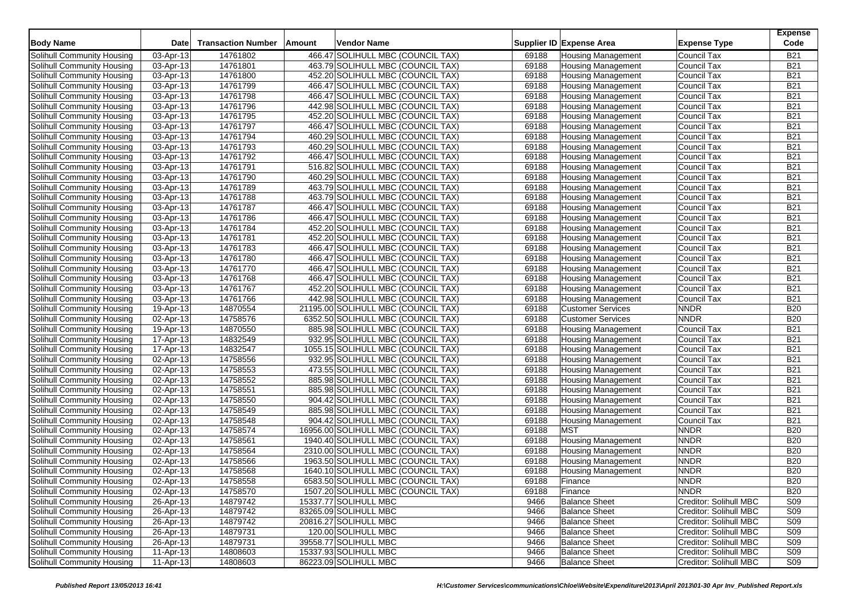| <b>Body Name</b>           | <b>Date</b> | <b>Transaction Number</b> | <b>Amount</b> | <b>Vendor Name</b>                  |       | Supplier ID Expense Area  | <b>Expense Type</b>    | <b>Expense</b><br>Code |
|----------------------------|-------------|---------------------------|---------------|-------------------------------------|-------|---------------------------|------------------------|------------------------|
| Solihull Community Housing | 03-Apr-13   | 14761802                  |               | 466.47 SOLIHULL MBC (COUNCIL TAX)   | 69188 | <b>Housing Management</b> | Council Tax            | <b>B21</b>             |
| Solihull Community Housing | 03-Apr-13   | 14761801                  |               | 463.79 SOLIHULL MBC (COUNCIL TAX)   | 69188 | <b>Housing Management</b> | Council Tax            | <b>B21</b>             |
| Solihull Community Housing | 03-Apr-13   | 14761800                  |               | 452.20 SOLIHULL MBC (COUNCIL TAX)   | 69188 | <b>Housing Management</b> | Council Tax            | <b>B21</b>             |
| Solihull Community Housing | 03-Apr-13   | 14761799                  |               | 466.47 SOLIHULL MBC (COUNCIL TAX)   | 69188 | <b>Housing Management</b> | Council Tax            | <b>B21</b>             |
| Solihull Community Housing | 03-Apr-13   | 14761798                  |               | 466.47 SOLIHULL MBC (COUNCIL TAX)   | 69188 | <b>Housing Management</b> | Council Tax            | <b>B21</b>             |
| Solihull Community Housing | 03-Apr-13   | 14761796                  |               | 442.98 SOLIHULL MBC (COUNCIL TAX)   | 69188 | <b>Housing Management</b> | Council Tax            | <b>B21</b>             |
| Solihull Community Housing | 03-Apr-13   | 14761795                  |               | 452.20 SOLIHULL MBC (COUNCIL TAX)   | 69188 | <b>Housing Management</b> | Council Tax            | <b>B21</b>             |
| Solihull Community Housing | 03-Apr-13   | 14761797                  |               | 466.47 SOLIHULL MBC (COUNCIL TAX)   | 69188 | <b>Housing Management</b> | Council Tax            | <b>B21</b>             |
| Solihull Community Housing | 03-Apr-13   | 14761794                  |               | 460.29 SOLIHULL MBC (COUNCIL TAX)   | 69188 | <b>Housing Management</b> | Council Tax            | <b>B21</b>             |
| Solihull Community Housing | 03-Apr-13   | 14761793                  |               | 460.29 SOLIHULL MBC (COUNCIL TAX)   | 69188 | <b>Housing Management</b> | Council Tax            | <b>B21</b>             |
| Solihull Community Housing | 03-Apr-13   | 14761792                  |               | 466.47 SOLIHULL MBC (COUNCIL TAX)   | 69188 | <b>Housing Management</b> | Council Tax            | <b>B21</b>             |
| Solihull Community Housing | 03-Apr-13   | 14761791                  |               | 516.82 SOLIHULL MBC (COUNCIL TAX)   | 69188 | <b>Housing Management</b> | Council Tax            | <b>B21</b>             |
| Solihull Community Housing | 03-Apr-13   | 14761790                  |               | 460.29 SOLIHULL MBC (COUNCIL TAX)   | 69188 | <b>Housing Management</b> | Council Tax            | <b>B21</b>             |
| Solihull Community Housing | 03-Apr-13   | 14761789                  |               | 463.79 SOLIHULL MBC (COUNCIL TAX)   | 69188 | <b>Housing Management</b> | Council Tax            | <b>B21</b>             |
| Solihull Community Housing | 03-Apr-13   | 14761788                  |               | 463.79 SOLIHULL MBC (COUNCIL TAX)   | 69188 | <b>Housing Management</b> | Council Tax            | <b>B21</b>             |
| Solihull Community Housing | 03-Apr-13   | 14761787                  |               | 466.47 SOLIHULL MBC (COUNCIL TAX)   | 69188 | <b>Housing Management</b> | Council Tax            | <b>B21</b>             |
| Solihull Community Housing | 03-Apr-13   | 14761786                  |               | 466.47 SOLIHULL MBC (COUNCIL TAX)   | 69188 | <b>Housing Management</b> | Council Tax            | <b>B21</b>             |
| Solihull Community Housing | 03-Apr-13   | 14761784                  |               | 452.20 SOLIHULL MBC (COUNCIL TAX)   | 69188 | <b>Housing Management</b> | Council Tax            | <b>B21</b>             |
| Solihull Community Housing | 03-Apr-13   | 14761781                  |               | 452.20 SOLIHULL MBC (COUNCIL TAX)   | 69188 | <b>Housing Management</b> | Council Tax            | <b>B21</b>             |
| Solihull Community Housing | 03-Apr-13   | 14761783                  |               | 466.47 SOLIHULL MBC (COUNCIL TAX)   | 69188 | <b>Housing Management</b> | Council Tax            | <b>B21</b>             |
| Solihull Community Housing | 03-Apr-13   | 14761780                  |               | 466.47 SOLIHULL MBC (COUNCIL TAX)   | 69188 | <b>Housing Management</b> | Council Tax            | <b>B21</b>             |
| Solihull Community Housing | 03-Apr-13   | 14761770                  |               | 466.47 SOLIHULL MBC (COUNCIL TAX)   | 69188 | <b>Housing Management</b> | Council Tax            | <b>B21</b>             |
| Solihull Community Housing | 03-Apr-13   | 14761768                  |               | 466.47 SOLIHULL MBC (COUNCIL TAX)   | 69188 | <b>Housing Management</b> | Council Tax            | <b>B21</b>             |
| Solihull Community Housing | 03-Apr-13   | 14761767                  |               | 452.20 SOLIHULL MBC (COUNCIL TAX)   | 69188 | <b>Housing Management</b> | Council Tax            | <b>B21</b>             |
| Solihull Community Housing | 03-Apr-13   | 14761766                  |               | 442.98 SOLIHULL MBC (COUNCIL TAX)   | 69188 | <b>Housing Management</b> | Council Tax            | <b>B21</b>             |
| Solihull Community Housing | 19-Apr-13   | 14870554                  |               | 21195.00 SOLIHULL MBC (COUNCIL TAX) | 69188 | <b>Customer Services</b>  | <b>NNDR</b>            | <b>B20</b>             |
| Solihull Community Housing | 02-Apr-13   | 14758576                  |               | 6352.50 SOLIHULL MBC (COUNCIL TAX)  | 69188 | <b>Customer Services</b>  | <b>NNDR</b>            | <b>B20</b>             |
| Solihull Community Housing | 19-Apr-13   | 14870550                  |               | 885.98 SOLIHULL MBC (COUNCIL TAX)   | 69188 | <b>Housing Management</b> | Council Tax            | <b>B21</b>             |
| Solihull Community Housing | 17-Apr-13   | 14832549                  |               | 932.95 SOLIHULL MBC (COUNCIL TAX)   | 69188 | <b>Housing Management</b> | Council Tax            | <b>B21</b>             |
| Solihull Community Housing | 17-Apr-13   | 14832547                  |               | 1055.15 SOLIHULL MBC (COUNCIL TAX)  | 69188 | Housing Management        | Council Tax            | <b>B21</b>             |
| Solihull Community Housing | 02-Apr-13   | 14758556                  |               | 932.95 SOLIHULL MBC (COUNCIL TAX)   | 69188 | <b>Housing Management</b> | Council Tax            | <b>B21</b>             |
| Solihull Community Housing | 02-Apr-13   | 14758553                  |               | 473.55 SOLIHULL MBC (COUNCIL TAX)   | 69188 | <b>Housing Management</b> | Council Tax            | <b>B21</b>             |
| Solihull Community Housing | 02-Apr-13   | 14758552                  |               | 885.98 SOLIHULL MBC (COUNCIL TAX)   | 69188 | <b>Housing Management</b> | Council Tax            | <b>B21</b>             |
| Solihull Community Housing | 02-Apr-13   | 14758551                  |               | 885.98 SOLIHULL MBC (COUNCIL TAX)   | 69188 | <b>Housing Management</b> | Council Tax            | <b>B21</b>             |
| Solihull Community Housing | 02-Apr-13   | 14758550                  |               | 904.42 SOLIHULL MBC (COUNCIL TAX)   | 69188 | <b>Housing Management</b> | Council Tax            | <b>B21</b>             |
| Solihull Community Housing | 02-Apr-13   | 14758549                  |               | 885.98 SOLIHULL MBC (COUNCIL TAX)   | 69188 | <b>Housing Management</b> | Council Tax            | <b>B21</b>             |
| Solihull Community Housing | 02-Apr-13   | 14758548                  |               | 904.42 SOLIHULL MBC (COUNCIL TAX)   | 69188 | <b>Housing Management</b> | Council Tax            | <b>B21</b>             |
| Solihull Community Housing | 02-Apr-13   | 14758574                  |               | 16956.00 SOLIHULL MBC (COUNCIL TAX) | 69188 | <b>MST</b>                | <b>NNDR</b>            | <b>B20</b>             |
| Solihull Community Housing | 02-Apr-13   | 14758561                  |               | 1940.40 SOLIHULL MBC (COUNCIL TAX)  | 69188 | <b>Housing Management</b> | <b>NNDR</b>            | <b>B20</b>             |
| Solihull Community Housing | 02-Apr-13   | 14758564                  |               | 2310.00 SOLIHULL MBC (COUNCIL TAX)  | 69188 | <b>Housing Management</b> | <b>NNDR</b>            | <b>B20</b>             |
| Solihull Community Housing | 02-Apr-13   | 14758566                  |               | 1963.50 SOLIHULL MBC (COUNCIL TAX)  | 69188 | <b>Housing Management</b> | <b>NNDR</b>            | <b>B20</b>             |
| Solihull Community Housing | 02-Apr-13   | 14758568                  |               | 1640.10 SOLIHULL MBC (COUNCIL TAX)  | 69188 | <b>Housing Management</b> | <b>NNDR</b>            | <b>B20</b>             |
| Solihull Community Housing | 02-Apr-13   | 14758558                  |               | 6583.50 SOLIHULL MBC (COUNCIL TAX)  | 69188 | Finance                   | <b>NNDR</b>            | <b>B20</b>             |
| Solihull Community Housing | 02-Apr-13   | 14758570                  |               | 1507.20 SOLIHULL MBC (COUNCIL TAX)  | 69188 | Finance                   | <b>NNDR</b>            | <b>B20</b>             |
| Solihull Community Housing | 26-Apr-13   | 14879742                  |               | 15337.77 SOLIHULL MBC               | 9466  | <b>Balance Sheet</b>      | Creditor: Solihull MBC | S <sub>09</sub>        |
| Solihull Community Housing | 26-Apr-13   | 14879742                  |               | 83265.09 SOLIHULL MBC               | 9466  | <b>Balance Sheet</b>      | Creditor: Solihull MBC | S09                    |
| Solihull Community Housing | 26-Apr-13   | 14879742                  |               | 20816.27 SOLIHULL MBC               | 9466  | <b>Balance Sheet</b>      | Creditor: Solihull MBC | S09                    |
| Solihull Community Housing | 26-Apr-13   | 14879731                  |               | 120.00 SOLIHULL MBC                 | 9466  | <b>Balance Sheet</b>      | Creditor: Solihull MBC | S09                    |
| Solihull Community Housing | 26-Apr-13   | 14879731                  |               | 39558.77 SOLIHULL MBC               | 9466  | <b>Balance Sheet</b>      | Creditor: Solihull MBC | S09                    |
| Solihull Community Housing | $11-Apr-13$ | 14808603                  |               | 15337.93 SOLIHULL MBC               | 9466  | <b>Balance Sheet</b>      | Creditor: Solihull MBC | S <sub>09</sub>        |
| Solihull Community Housing | 11-Apr-13   | 14808603                  |               | 86223.09 SOLIHULL MBC               | 9466  | <b>Balance Sheet</b>      | Creditor: Solihull MBC | S09                    |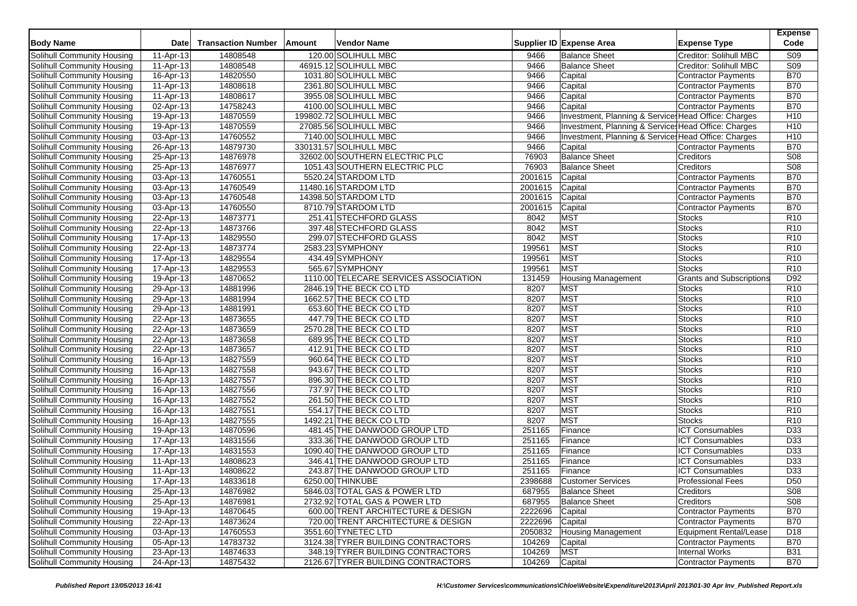| <b>Body Name</b>                                         | <b>Date</b>             | <b>Transaction Number</b> | Amount | Vendor Name                                                    |                  | Supplier ID Expense Area  | <b>Expense Type</b>                                  | <b>Expense</b><br>Code |
|----------------------------------------------------------|-------------------------|---------------------------|--------|----------------------------------------------------------------|------------------|---------------------------|------------------------------------------------------|------------------------|
| Solihull Community Housing                               | 11-Apr-13               | 14808548                  |        | 120.00 SOLIHULL MBC                                            | 9466             | <b>Balance Sheet</b>      | Creditor: Solihull MBC                               | S <sub>09</sub>        |
| Solihull Community Housing                               | 11-Apr-13               | 14808548                  |        | 46915.12 SOLIHULL MBC                                          | 9466             | <b>Balance Sheet</b>      | Creditor: Solihull MBC                               | S <sub>09</sub>        |
| Solihull Community Housing                               | 16-Apr-13               | 14820550                  |        | 1031.80 SOLIHULL MBC                                           | 9466             | Capital                   | <b>Contractor Payments</b>                           | <b>B70</b>             |
| Solihull Community Housing                               | 11-Apr-13               | 14808618                  |        | 2361.80 SOLIHULL MBC                                           | 9466             | Capital                   | <b>Contractor Payments</b>                           | <b>B70</b>             |
| Solihull Community Housing                               | 11-Apr-13               | 14808617                  |        | 3955.08 SOLIHULL MBC                                           | 9466             | Capital                   | <b>Contractor Payments</b>                           | <b>B70</b>             |
| Solihull Community Housing                               | 02-Apr-13               | 14758243                  |        | 4100.00 SOLIHULL MBC                                           | 9466             | Capital                   | Contractor Payments                                  | <b>B70</b>             |
| Solihull Community Housing                               | $\overline{19}$ -Apr-13 | 14870559                  |        | 199802.72 SOLIHULL MBC                                         | 9466             |                           | Investment, Planning & Service: Head Office: Charges | H <sub>10</sub>        |
| Solihull Community Housing                               | 19-Apr-13               | 14870559                  |        | 27085.56 SOLIHULL MBC                                          | 9466             |                           | Investment, Planning & Service: Head Office: Charges | H <sub>10</sub>        |
| Solihull Community Housing                               | 03-Apr-13               | 14760552                  |        | 7140.00 SOLIHULL MBC                                           | 9466             |                           | Investment, Planning & Service: Head Office: Charges | H <sub>10</sub>        |
| Solihull Community Housing                               | 26-Apr-13               | 14879730                  |        | 330131.57 SOLIHULL MBC                                         | 9466             | Capital                   | <b>Contractor Payments</b>                           | <b>B70</b>             |
| Solihull Community Housing                               | 25-Apr-13               | 14876978                  |        | 32602.00 SOUTHERN ELECTRIC PLC                                 | 76903            | <b>Balance Sheet</b>      | Creditors                                            | S <sub>08</sub>        |
| Solihull Community Housing                               | 25-Apr-13               | 14876977                  |        | 1051.43 SOUTHERN ELECTRIC PLC                                  | 76903            | <b>Balance Sheet</b>      | Creditors                                            | S08                    |
| Solihull Community Housing                               | $\overline{03}$ -Apr-13 | 14760551                  |        | 5520.24 STARDOM LTD                                            | 2001615          | Capital                   | <b>Contractor Payments</b>                           | <b>B70</b>             |
| Solihull Community Housing                               | 03-Apr-13               | 14760549                  |        | 11480.16 STARDOM LTD                                           | 2001615          | Capital                   | Contractor Payments                                  | <b>B70</b>             |
| <b>Solihull Community Housing</b>                        | 03-Apr-13               | 14760548                  |        | 14398.50 STARDOM LTD                                           | 2001615          | Capital                   | <b>Contractor Payments</b>                           | <b>B70</b>             |
| Solihull Community Housing                               | $\overline{03}$ -Apr-13 | 14760550                  |        | 8710.79 STARDOM LTD                                            | 2001615          | Capital                   | <b>Contractor Payments</b>                           | <b>B70</b>             |
| Solihull Community Housing                               | $22-Apr-13$             | 14873771                  |        | 251.41 STECHFORD GLASS                                         | 8042             | <b>MST</b>                | <b>Stocks</b>                                        | R <sub>10</sub>        |
| Solihull Community Housing                               | 22-Apr-13               | 14873766                  |        | 397.48 STECHFORD GLASS                                         | 8042             | <b>MST</b>                | <b>Stocks</b>                                        | R <sub>10</sub>        |
| Solihull Community Housing                               | 17-Apr-13               | 14829550                  |        | 299.07 STECHFORD GLASS                                         | 8042             | <b>MST</b>                | <b>Stocks</b>                                        | R <sub>10</sub>        |
| Solihull Community Housing                               | 22-Apr-13               | 14873774                  |        | 2583.23 SYMPHONY                                               | 199561           | <b>MST</b>                | <b>Stocks</b>                                        | R <sub>10</sub>        |
| Solihull Community Housing                               | 17-Apr-13               | 14829554                  |        | 434.49 SYMPHONY                                                | 199561           | <b>MST</b>                | <b>Stocks</b>                                        | R <sub>10</sub>        |
| Solihull Community Housing                               | 17-Apr-13               | 14829553                  |        | 565.67 SYMPHONY                                                | 199561           | <b>MST</b>                | <b>Stocks</b>                                        | R <sub>10</sub>        |
| Solihull Community Housing                               | 19-Apr-13               | 14870652                  |        | 1110.00 TELECARE SERVICES ASSOCIATION                          | 131459           | <b>Housing Management</b> | <b>Grants and Subscriptions</b>                      | D <sub>92</sub>        |
| Solihull Community Housing                               | 29-Apr-13               | 14881996                  |        | 2846.19 THE BECK CO LTD                                        | 8207             | <b>MST</b>                | <b>Stocks</b>                                        | R <sub>10</sub>        |
| Solihull Community Housing                               | 29-Apr-13               | 14881994                  |        | 1662.57 THE BECK CO LTD                                        | 8207             | <b>MST</b>                | <b>Stocks</b>                                        | R <sub>10</sub>        |
| Solihull Community Housing                               | 29-Apr-13               | 14881991                  |        | 653.60 THE BECK CO LTD                                         | 8207             | <b>MST</b>                | Stocks                                               | R10                    |
| Solihull Community Housing                               | 22-Apr-13               | 14873655                  |        | 447.79 THE BECK CO LTD                                         | 8207             | <b>MST</b>                | <b>Stocks</b>                                        | R <sub>10</sub>        |
| Solihull Community Housing                               | 22-Apr-13               | 14873659                  |        | 2570.28 THE BECK CO LTD                                        | 8207             | <b>MST</b>                | <b>Stocks</b>                                        | R <sub>10</sub>        |
| Solihull Community Housing                               | 22-Apr-13               | 14873658                  |        | 689.95 THE BECK CO LTD                                         | 8207             | <b>MST</b>                | <b>Stocks</b>                                        | R <sub>10</sub>        |
| Solihull Community Housing                               | 22-Apr-13               | 14873657                  |        | 412.91 THE BECK CO LTD                                         | 8207             | <b>MST</b>                | <b>Stocks</b>                                        | R <sub>10</sub>        |
| Solihull Community Housing                               | 16-Apr-13               | 14827559                  |        | 960.64 THE BECK CO LTD                                         | 8207             | MST                       | <b>Stocks</b>                                        | R <sub>10</sub>        |
| Solihull Community Housing                               | 16-Apr-13               | 14827558                  |        | 943.67 THE BECK CO LTD                                         | 8207             | MST                       | Stocks                                               | R <sub>10</sub>        |
| Solihull Community Housing                               | 16-Apr-13               | 14827557                  |        | 896.30 THE BECK CO LTD                                         | 8207             | <b>MST</b>                | <b>Stocks</b>                                        | R <sub>10</sub>        |
| Solihull Community Housing                               | 16-Apr-13               | 14827556                  |        | 737.97 THE BECK CO LTD                                         | 8207             | MST                       | <b>Stocks</b>                                        | R <sub>10</sub>        |
| Solihull Community Housing                               | 16-Apr-13               | 14827552                  |        | 261.50 THE BECK CO LTD                                         | 8207             | MST                       | <b>Stocks</b>                                        | R <sub>10</sub>        |
| Solihull Community Housing                               | 16-Apr-13               | 14827551                  |        | 554.17 THE BECK CO LTD                                         | 8207             | <b>MST</b>                | <b>Stocks</b>                                        | R10                    |
| Solihull Community Housing                               | 16-Apr-13               | 14827555                  |        | 1492.21 THE BECK CO LTD                                        | 8207             | <b>MST</b>                | <b>Stocks</b>                                        | R <sub>10</sub>        |
| Solihull Community Housing                               | 19-Apr-13               | 14870596                  |        | 481.45 THE DANWOOD GROUP LTD                                   | 251165           | Finance                   | <b>ICT Consumables</b>                               | D33                    |
| Solihull Community Housing                               | 17-Apr-13               | 14831556                  |        | 333.36 THE DANWOOD GROUP LTD                                   | 251165           | Finance                   | <b>ICT Consumables</b>                               | D <sub>33</sub>        |
| Solihull Community Housing                               | 17-Apr-13               | 14831553                  |        | 1090.40 THE DANWOOD GROUP LTD                                  | 251165           | Finance                   | <b>ICT Consumables</b>                               | D33                    |
| Solihull Community Housing                               | 11-Apr-13               | 14808623                  |        | 346.41 THE DANWOOD GROUP LTD                                   | 251165           | Finance                   | <b>ICT Consumables</b>                               | D33                    |
| Solihull Community Housing                               |                         | 14808622                  |        | 243.87 THE DANWOOD GROUP LTD                                   | 251165           | Finance                   | <b>ICT Consumables</b>                               | $\overline{D33}$       |
|                                                          | 11-Apr-13               |                           |        | 6250.00 THINKUBE                                               | 2398688          | <b>Customer Services</b>  | <b>Professional Fees</b>                             | D50                    |
| Solihull Community Housing                               | 17-Apr-13               | 14833618                  |        |                                                                |                  |                           |                                                      |                        |
| Solihull Community Housing                               | 25-Apr-13               | 14876982                  |        | 5846.03 TOTAL GAS & POWER LTD<br>2732.92 TOTAL GAS & POWER LTD | 687955<br>687955 | <b>Balance Sheet</b>      | Creditors<br>Creditors                               | <b>S08</b><br>S08      |
| Solihull Community Housing<br>Solihull Community Housing | 25-Apr-13               | 14876981                  |        |                                                                |                  | <b>Balance Sheet</b>      |                                                      |                        |
|                                                          | 19-Apr-13               | 14870645                  |        | 600.00 TRENT ARCHITECTURE & DESIGN                             | 2222696          | Capital                   | <b>Contractor Payments</b>                           | <b>B70</b>             |
| Solihull Community Housing                               | 22-Apr-13               | 14873624                  |        | 720.00 TRENT ARCHITECTURE & DESIGN                             | 2222696          | Capital                   | Contractor Payments                                  | <b>B70</b>             |
| Solihull Community Housing                               | $\overline{03}$ -Apr-13 | 14760553                  |        | 3551.60 TYNETEC LTD                                            | 2050832          | <b>Housing Management</b> | Equipment Rental/Lease                               | D <sub>18</sub>        |
| Solihull Community Housing                               | 05-Apr-13               | 14783732                  |        | 3124.38 TYRER BUILDING CONTRACTORS                             | 104269           | Capital                   | <b>Contractor Payments</b>                           | <b>B70</b>             |
| Solihull Community Housing                               | 23-Apr-13               | 14874633                  |        | 348.19 TYRER BUILDING CONTRACTORS                              | 104269           | <b>MST</b>                | <b>Internal Works</b>                                | <b>B31</b>             |
| Solihull Community Housing                               | 24-Apr-13               | 14875432                  |        | 2126.67 TYRER BUILDING CONTRACTORS                             | 104269           | Capital                   | <b>Contractor Payments</b>                           | <b>B70</b>             |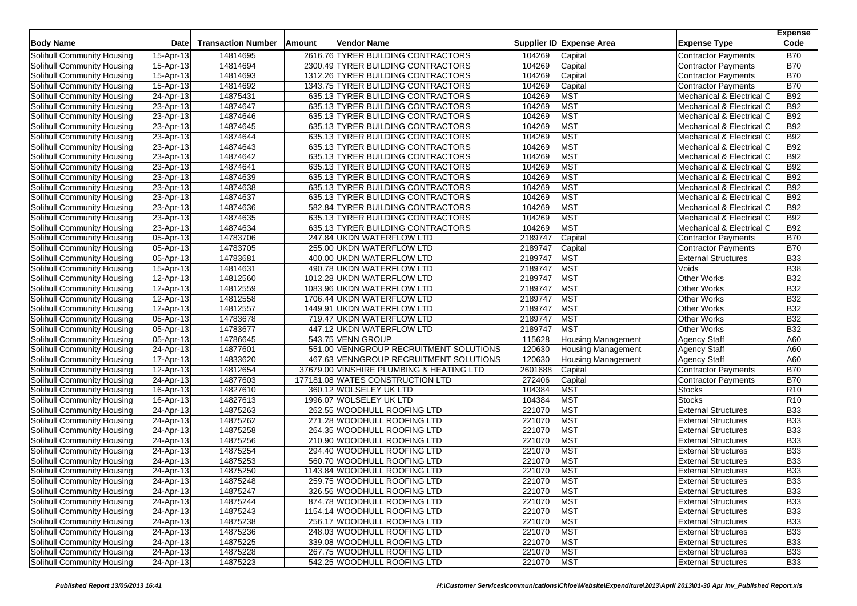| <b>Body Name</b>                  | <b>Date</b> | <b>Transaction Number</b> | Amount | Vendor Name                              |         | Supplier ID Expense Area  | <b>Expense Type</b>        | <b>Expense</b><br>Code |
|-----------------------------------|-------------|---------------------------|--------|------------------------------------------|---------|---------------------------|----------------------------|------------------------|
| Solihull Community Housing        | 15-Apr-13   | 14814695                  |        | 2616.76 TYRER BUILDING CONTRACTORS       | 104269  | Capital                   | Contractor Payments        | <b>B70</b>             |
| Solihull Community Housing        | 15-Apr-13   | 14814694                  |        | 2300.49 TYRER BUILDING CONTRACTORS       | 104269  | Capital                   | <b>Contractor Payments</b> | <b>B70</b>             |
| Solihull Community Housing        | 15-Apr-13   | 14814693                  |        | 1312.26 TYRER BUILDING CONTRACTORS       | 104269  | Capital                   | <b>Contractor Payments</b> | <b>B70</b>             |
| Solihull Community Housing        | 15-Apr-13   | 14814692                  |        | 1343.75 TYRER BUILDING CONTRACTORS       | 104269  | Capital                   | Contractor Payments        | <b>B70</b>             |
| Solihull Community Housing        | 24-Apr-13   | 14875431                  |        | 635.13 TYRER BUILDING CONTRACTORS        | 104269  | <b>MST</b>                | Mechanical & Electrical C  | <b>B92</b>             |
| Solihull Community Housing        | 23-Apr-13   | 14874647                  |        | 635.13 TYRER BUILDING CONTRACTORS        | 104269  | <b>MST</b>                | Mechanical & Electrical C  | <b>B92</b>             |
| Solihull Community Housing        | 23-Apr-13   | 14874646                  |        | 635.13 TYRER BUILDING CONTRACTORS        | 104269  | <b>MST</b>                | Mechanical & Electrical C  | <b>B92</b>             |
| Solihull Community Housing        | 23-Apr-13   | 14874645                  |        | 635.13 TYRER BUILDING CONTRACTORS        | 104269  | MST                       | Mechanical & Electrical C  | <b>B92</b>             |
| Solihull Community Housing        | 23-Apr-13   | 14874644                  |        | 635.13 TYRER BUILDING CONTRACTORS        | 104269  | <b>MST</b>                | Mechanical & Electrical C  | <b>B92</b>             |
| Solihull Community Housing        | 23-Apr-13   | 14874643                  |        | 635.13 TYRER BUILDING CONTRACTORS        | 104269  | <b>MST</b>                | Mechanical & Electrical C  | <b>B92</b>             |
| Solihull Community Housing        | 23-Apr-13   | 14874642                  |        | 635.13 TYRER BUILDING CONTRACTORS        | 104269  | <b>MST</b>                | Mechanical & Electrical C  | <b>B92</b>             |
| Solihull Community Housing        | 23-Apr-13   | 14874641                  |        | 635.13 TYRER BUILDING CONTRACTORS        | 104269  | <b>MST</b>                | Mechanical & Electrical C  | <b>B92</b>             |
| Solihull Community Housing        | 23-Apr-13   | 14874639                  |        | 635.13 TYRER BUILDING CONTRACTORS        | 104269  | <b>MST</b>                | Mechanical & Electrical C  | <b>B92</b>             |
| Solihull Community Housing        | 23-Apr-13   | 14874638                  |        | 635.13 TYRER BUILDING CONTRACTORS        | 104269  | <b>MST</b>                | Mechanical & Electrical C  | <b>B92</b>             |
| Solihull Community Housing        | 23-Apr-13   | 14874637                  |        | 635.13 TYRER BUILDING CONTRACTORS        | 104269  | <b>MST</b>                | Mechanical & Electrical C  | <b>B92</b>             |
| Solihull Community Housing        | 23-Apr-13   | 14874636                  |        | 582.84 TYRER BUILDING CONTRACTORS        | 104269  | <b>MST</b>                | Mechanical & Electrical C  | <b>B92</b>             |
| Solihull Community Housing        | 23-Apr-13   | 14874635                  |        | 635.13 TYRER BUILDING CONTRACTORS        | 104269  | <b>MST</b>                | Mechanical & Electrical C  | <b>B92</b>             |
| Solihull Community Housing        | 23-Apr-13   | 14874634                  |        | 635.13 TYRER BUILDING CONTRACTORS        | 104269  | <b>MST</b>                | Mechanical & Electrical C  | <b>B92</b>             |
| Solihull Community Housing        | 05-Apr-13   | 14783706                  |        | 247.84 UKDN WATERFLOW LTD                | 2189747 | Capital                   | Contractor Payments        | <b>B70</b>             |
| Solihull Community Housing        | 05-Apr-13   | 14783705                  |        | 255.00 UKDN WATERFLOW LTD                | 2189747 | Capital                   | <b>Contractor Payments</b> | <b>B70</b>             |
| Solihull Community Housing        | 05-Apr-13   | 14783681                  |        | 400.00 UKDN WATERFLOW LTD                | 2189747 | <b>MST</b>                | <b>External Structures</b> | <b>B33</b>             |
| Solihull Community Housing        | 15-Apr-13   | 14814631                  |        | 490.78 UKDN WATERFLOW LTD                | 2189747 | <b>MST</b>                | Voids                      | <b>B38</b>             |
| Solihull Community Housing        | 12-Apr-13   | 14812560                  |        | 1012.28 UKDN WATERFLOW LTD               | 2189747 | <b>MST</b>                | Other Works                | <b>B32</b>             |
| Solihull Community Housing        | 12-Apr-13   | 14812559                  |        | 1083.96 UKDN WATERFLOW LTD               | 2189747 | MST                       | <b>Other Works</b>         | <b>B32</b>             |
| Solihull Community Housing        | 12-Apr-13   | 14812558                  |        | 1706.44 UKDN WATERFLOW LTD               | 2189747 | <b>MST</b>                | <b>Other Works</b>         | <b>B32</b>             |
| Solihull Community Housing        | 12-Apr-13   | 14812557                  |        | 1449.91 UKDN WATERFLOW LTD               | 2189747 | <b>MST</b>                | Other Works                | <b>B32</b>             |
| Solihull Community Housing        | 05-Apr-13   | 14783678                  |        | 719.47 UKDN WATERFLOW LTD                | 2189747 | <b>MST</b>                | Other Works                | <b>B32</b>             |
| Solihull Community Housing        | 05-Apr-13   | 14783677                  |        | 447.12 UKDN WATERFLOW LTD                | 2189747 | MST                       | Other Works                | <b>B32</b>             |
| Solihull Community Housing        | 05-Apr-13   | 14786645                  |        | 543.75 VENN GROUP                        | 115628  | <b>Housing Management</b> | <b>Agency Staff</b>        | A60                    |
| Solihull Community Housing        | 24-Apr-13   | 14877601                  |        | 551.00 VENNGROUP RECRUITMENT SOLUTIONS   | 120630  | <b>Housing Management</b> | <b>Agency Staff</b>        | A60                    |
| Solihull Community Housing        | 17-Apr-13   | 14833620                  |        | 467.63 VENNGROUP RECRUITMENT SOLUTIONS   | 120630  | <b>Housing Management</b> | Agency Staff               | A60                    |
| Solihull Community Housing        | 12-Apr-13   | 14812654                  |        | 37679.00 VINSHIRE PLUMBING & HEATING LTD | 2601688 | Capital                   | Contractor Payments        | <b>B70</b>             |
| Solihull Community Housing        | 24-Apr-13   | 14877603                  |        | 177181.08 WATES CONSTRUCTION LTD         | 272406  | Capital                   | Contractor Payments        | <b>B70</b>             |
| Solihull Community Housing        | 16-Apr-13   | 14827610                  |        | 360.12 WOLSELEY UK LTD                   | 104384  | <b>MST</b>                | <b>Stocks</b>              | R <sub>10</sub>        |
| Solihull Community Housing        | 16-Apr-13   | 14827613                  |        | 1996.07 WOLSELEY UK LTD                  | 104384  | <b>MST</b>                | <b>Stocks</b>              | R <sub>10</sub>        |
| Solihull Community Housing        | 24-Apr-13   | 14875263                  |        | 262.55 WOODHULL ROOFING LTD              | 221070  | <b>MST</b>                | <b>External Structures</b> | <b>B33</b>             |
| Solihull Community Housing        | 24-Apr-13   | 14875262                  |        | 271.28 WOODHULL ROOFING LTD              | 221070  | <b>MST</b>                | <b>External Structures</b> | <b>B33</b>             |
| Solihull Community Housing        | 24-Apr-13   | 14875258                  |        | 264.35 WOODHULL ROOFING LTD              | 221070  | MST                       | <b>External Structures</b> | <b>B33</b>             |
| Solihull Community Housing        | 24-Apr-13   | 14875256                  |        | 210.90 WOODHULL ROOFING LTD              | 221070  | <b>MST</b>                | <b>External Structures</b> | <b>B33</b>             |
| Solihull Community Housing        | 24-Apr-13   | 14875254                  |        | 294.40 WOODHULL ROOFING LTD              | 221070  | <b>MST</b>                | <b>External Structures</b> | <b>B33</b>             |
| Solihull Community Housing        | 24-Apr-13   | 14875253                  |        | 560.70 WOODHULL ROOFING LTD              | 221070  | <b>MST</b>                | <b>External Structures</b> | <b>B33</b>             |
| Solihull Community Housing        | 24-Apr-13   | 14875250                  |        | 1143.84 WOODHULL ROOFING LTD             | 221070  | <b>MST</b>                | <b>External Structures</b> | <b>B33</b>             |
| Solihull Community Housing        | 24-Apr-13   | 14875248                  |        | 259.75 WOODHULL ROOFING LTD              | 221070  | <b>MST</b>                | <b>External Structures</b> | <b>B33</b>             |
| Solihull Community Housing        | 24-Apr-13   | 14875247                  |        | 326.56 WOODHULL ROOFING LTD              | 221070  | <b>MST</b>                | <b>External Structures</b> | <b>B33</b>             |
| Solihull Community Housing        | 24-Apr-13   | 14875244                  |        | 874.78 WOODHULL ROOFING LTD              | 221070  | <b>MST</b>                | <b>External Structures</b> | <b>B33</b>             |
| Solihull Community Housing        | 24-Apr-13   | 14875243                  |        | 1154.14 WOODHULL ROOFING LTD             | 221070  | <b>MST</b>                | <b>External Structures</b> | <b>B33</b>             |
| Solihull Community Housing        | 24-Apr-13   | 14875238                  |        | 256.17 WOODHULL ROOFING LTD              | 221070  | <b>MST</b>                | <b>External Structures</b> | <b>B33</b>             |
| Solihull Community Housing        | 24-Apr-13   | 14875236                  |        | 248.03 WOODHULL ROOFING LTD              | 221070  | <b>MST</b>                | <b>External Structures</b> | <b>B33</b>             |
| Solihull Community Housing        | 24-Apr-13   | 14875225                  |        | 339.08 WOODHULL ROOFING LTD              | 221070  | <b>MST</b>                | <b>External Structures</b> | <b>B33</b>             |
| <b>Solihull Community Housing</b> | 24-Apr-13   | 14875228                  |        | 267.75 WOODHULL ROOFING LTD              | 221070  | <b>MST</b>                | <b>External Structures</b> | <b>B33</b>             |
| Solihull Community Housing        | $24-Apr-13$ | 14875223                  |        | 542.25 WOODHULL ROOFING LTD              | 221070  | <b>MST</b>                | <b>External Structures</b> | <b>B33</b>             |
|                                   |             |                           |        |                                          |         |                           |                            |                        |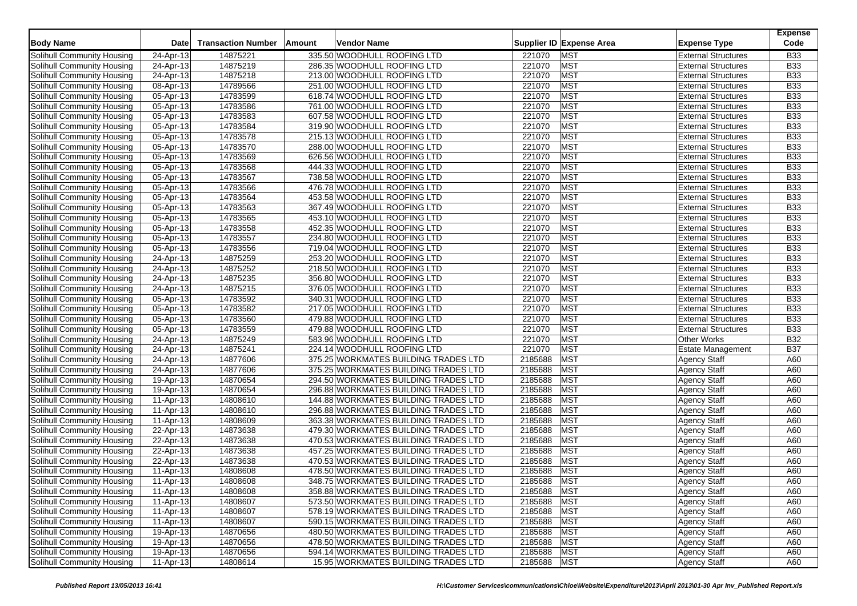| <b>Body Name</b>           | <b>Date</b> | <b>Transaction Number</b> | Amount | Vendor Name                          |             | Supplier ID Expense Area | <b>Expense Type</b>        | <b>Expense</b><br>Code |
|----------------------------|-------------|---------------------------|--------|--------------------------------------|-------------|--------------------------|----------------------------|------------------------|
| Solihull Community Housing | 24-Apr-13   | 14875221                  |        | 335.50 WOODHULL ROOFING LTD          | 221070      | <b>MST</b>               | <b>External Structures</b> | <b>B33</b>             |
| Solihull Community Housing | 24-Apr-13   | 14875219                  |        | 286.35 WOODHULL ROOFING LTD          | 221070      | <b>MST</b>               | <b>External Structures</b> | <b>B33</b>             |
| Solihull Community Housing | 24-Apr-13   | 14875218                  |        | 213.00 WOODHULL ROOFING LTD          | 221070      | <b>MST</b>               | <b>External Structures</b> | <b>B33</b>             |
| Solihull Community Housing | 08-Apr-13   | 14789566                  |        | 251.00 WOODHULL ROOFING LTD          | 221070      | <b>MST</b>               | <b>External Structures</b> | <b>B33</b>             |
| Solihull Community Housing | 05-Apr-13   | 14783599                  |        | 618.74 WOODHULL ROOFING LTD          | 221070      | <b>MST</b>               | <b>External Structures</b> | <b>B33</b>             |
| Solihull Community Housing | 05-Apr-13   | 14783586                  |        | 761.00 WOODHULL ROOFING LTD          | 221070      | <b>MST</b>               | <b>External Structures</b> | <b>B33</b>             |
| Solihull Community Housing | 05-Apr-13   | 14783583                  |        | 607.58 WOODHULL ROOFING LTD          | 221070      | <b>MST</b>               | <b>External Structures</b> | <b>B33</b>             |
| Solihull Community Housing | 05-Apr-13   | 14783584                  |        | 319.90 WOODHULL ROOFING LTD          | 221070      | <b>MST</b>               | <b>External Structures</b> | <b>B33</b>             |
| Solihull Community Housing | 05-Apr-13   | 14783578                  |        | 215.13 WOODHULL ROOFING LTD          | 221070      | MST                      | <b>External Structures</b> | <b>B33</b>             |
| Solihull Community Housing | 05-Apr-13   | 14783570                  |        | 288.00 WOODHULL ROOFING LTD          | 221070      | <b>MST</b>               | <b>External Structures</b> | <b>B33</b>             |
| Solihull Community Housing | 05-Apr-13   | 14783569                  |        | 626.56 WOODHULL ROOFING LTD          | 221070      | <b>MST</b>               | <b>External Structures</b> | <b>B33</b>             |
| Solihull Community Housing | 05-Apr-13   | 14783568                  |        | 444.33 WOODHULL ROOFING LTD          | 221070      | MST                      | <b>External Structures</b> | <b>B33</b>             |
| Solihull Community Housing | 05-Apr-13   | 14783567                  |        | 738.58 WOODHULL ROOFING LTD          | 221070      | <b>MST</b>               | <b>External Structures</b> | <b>B33</b>             |
| Solihull Community Housing | 05-Apr-13   | 14783566                  |        | 476.78 WOODHULL ROOFING LTD          | 221070      | MST                      | <b>External Structures</b> | <b>B33</b>             |
| Solihull Community Housing | 05-Apr-13   | 14783564                  |        | 453.58 WOODHULL ROOFING LTD          | 221070      | <b>MST</b>               | <b>External Structures</b> | <b>B33</b>             |
| Solihull Community Housing | 05-Apr-13   | 14783563                  |        | 367.49 WOODHULL ROOFING LTD          | 221070      | <b>MST</b>               | <b>External Structures</b> | <b>B33</b>             |
| Solihull Community Housing | 05-Apr-13   | 14783565                  |        | 453.10 WOODHULL ROOFING LTD          | 221070      | MST                      | <b>External Structures</b> | <b>B33</b>             |
| Solihull Community Housing | 05-Apr-13   | 14783558                  |        | 452.35 WOODHULL ROOFING LTD          | 221070      | MST                      | <b>External Structures</b> | <b>B33</b>             |
| Solihull Community Housing | 05-Apr-13   | 14783557                  |        | 234.80 WOODHULL ROOFING LTD          | 221070      | <b>MST</b>               | <b>External Structures</b> | <b>B33</b>             |
| Solihull Community Housing | 05-Apr-13   | 14783556                  |        | 719.04 WOODHULL ROOFING LTD          | 221070      | MST                      | <b>External Structures</b> | <b>B33</b>             |
| Solihull Community Housing | 24-Apr-13   | 14875259                  |        | 253.20 WOODHULL ROOFING LTD          | 221070      | <b>MST</b>               | <b>External Structures</b> | <b>B33</b>             |
| Solihull Community Housing | 24-Apr-13   | 14875252                  |        | 218.50 WOODHULL ROOFING LTD          | 221070      | <b>MST</b>               | <b>External Structures</b> | <b>B33</b>             |
| Solihull Community Housing | 24-Apr-13   | 14875235                  |        | 356.80 WOODHULL ROOFING LTD          | 221070      | MST                      | <b>External Structures</b> | <b>B33</b>             |
| Solihull Community Housing | 24-Apr-13   | 14875215                  |        | 376.05 WOODHULL ROOFING LTD          | 221070      | <b>MST</b>               | <b>External Structures</b> | <b>B33</b>             |
| Solihull Community Housing | 05-Apr-13   | 14783592                  |        | 340.31 WOODHULL ROOFING LTD          | 221070      | <b>MST</b>               | <b>External Structures</b> | <b>B33</b>             |
| Solihull Community Housing | 05-Apr-13   | 14783582                  |        | 217.05 WOODHULL ROOFING LTD          | 221070      | MST                      | <b>External Structures</b> | <b>B33</b>             |
| Solihull Community Housing | 05-Apr-13   | 14783560                  |        | 479.88 WOODHULL ROOFING LTD          | 221070      | <b>MST</b>               | <b>External Structures</b> | <b>B33</b>             |
| Solihull Community Housing | 05-Apr-13   | 14783559                  |        | 479.88 WOODHULL ROOFING LTD          | 221070      | <b>MST</b>               | External Structures        | <b>B33</b>             |
| Solihull Community Housing | 24-Apr-13   | 14875249                  |        | 583.96 WOODHULL ROOFING LTD          | 221070      | <b>MST</b>               | <b>Other Works</b>         | <b>B32</b>             |
| Solihull Community Housing | 24-Apr-13   | 14875241                  |        | 224.14 WOODHULL ROOFING LTD          | 221070      | <b>MST</b>               | <b>Estate Management</b>   | <b>B37</b>             |
| Solihull Community Housing | 24-Apr-13   | 14877606                  |        | 375.25 WORKMATES BUILDING TRADES LTD | 2185688     | MST                      | <b>Agency Staff</b>        | A60                    |
| Solihull Community Housing | 24-Apr-13   | 14877606                  |        | 375.25 WORKMATES BUILDING TRADES LTD | 2185688     | <b>MST</b>               | <b>Agency Staff</b>        | A60                    |
| Solihull Community Housing | 19-Apr-13   | 14870654                  |        | 294.50 WORKMATES BUILDING TRADES LTD | 2185688     | <b>MST</b>               | <b>Agency Staff</b>        | A60                    |
| Solihull Community Housing | 19-Apr-13   | 14870654                  |        | 296.88 WORKMATES BUILDING TRADES LTD | 2185688     | <b>MST</b>               | <b>Agency Staff</b>        | A60                    |
| Solihull Community Housing | 11-Apr-13   | 14808610                  |        | 144.88 WORKMATES BUILDING TRADES LTD | 2185688     | <b>MST</b>               | <b>Agency Staff</b>        | A60                    |
| Solihull Community Housing | 11-Apr-13   | 14808610                  |        | 296.88 WORKMATES BUILDING TRADES LTD | 2185688     | <b>MST</b>               | <b>Agency Staff</b>        | A60                    |
| Solihull Community Housing | 11-Apr-13   | 14808609                  |        | 363.38 WORKMATES BUILDING TRADES LTD | 2185688     | <b>MST</b>               | <b>Agency Staff</b>        | A60                    |
| Solihull Community Housing | 22-Apr-13   | 14873638                  |        | 479.30 WORKMATES BUILDING TRADES LTD | 2185688     | <b>MST</b>               | <b>Agency Staff</b>        | A60                    |
| Solihull Community Housing | 22-Apr-13   | 14873638                  |        | 470.53 WORKMATES BUILDING TRADES LTD | 2185688     | <b>MST</b>               | <b>Agency Staff</b>        | A60                    |
| Solihull Community Housing | 22-Apr-13   | 14873638                  |        | 457.25 WORKMATES BUILDING TRADES LTD | 2185688     | <b>MST</b>               | <b>Agency Staff</b>        | A60                    |
| Solihull Community Housing | 22-Apr-13   | 14873638                  |        | 470.53 WORKMATES BUILDING TRADES LTD | 2185688     | <b>MST</b>               | <b>Agency Staff</b>        | A60                    |
| Solihull Community Housing | 11-Apr-13   | 14808608                  |        | 478.50 WORKMATES BUILDING TRADES LTD | 2185688     | <b>MST</b>               | <b>Agency Staff</b>        | A60                    |
| Solihull Community Housing | 11-Apr-13   | 14808608                  |        | 348.75 WORKMATES BUILDING TRADES LTD | 2185688     | <b>MST</b>               | <b>Agency Staff</b>        | A60                    |
| Solihull Community Housing | 11-Apr-13   | 14808608                  |        | 358.88 WORKMATES BUILDING TRADES LTD | 2185688 MST |                          | <b>Agency Staff</b>        | A60                    |
| Solihull Community Housing | 11-Apr-13   | 14808607                  |        | 573.50 WORKMATES BUILDING TRADES LTD | 2185688     | <b>MST</b>               | <b>Agency Staff</b>        | A60                    |
| Solihull Community Housing | 11-Apr-13   | 14808607                  |        | 578.19 WORKMATES BUILDING TRADES LTD | 2185688     | <b>MST</b>               | <b>Agency Staff</b>        | A60                    |
| Solihull Community Housing | 11-Apr-13   | 14808607                  |        | 590.15 WORKMATES BUILDING TRADES LTD | 2185688     | <b>MST</b>               | <b>Agency Staff</b>        | A60                    |
| Solihull Community Housing | 19-Apr-13   | 14870656                  |        | 480.50 WORKMATES BUILDING TRADES LTD | 2185688     | <b>MST</b>               | <b>Agency Staff</b>        | A60                    |
| Solihull Community Housing | 19-Apr-13   | 14870656                  |        | 478.50 WORKMATES BUILDING TRADES LTD | 2185688     | <b>MST</b>               | <b>Agency Staff</b>        | A60                    |
| Solihull Community Housing | 19-Apr-13   | 14870656                  |        | 594.14 WORKMATES BUILDING TRADES LTD | 2185688     | <b>MST</b>               | <b>Agency Staff</b>        | A60                    |
| Solihull Community Housing | 11-Apr-13   | 14808614                  |        | 15.95 WORKMATES BUILDING TRADES LTD  | 2185688     | <b>MST</b>               | <b>Agency Staff</b>        | A60                    |